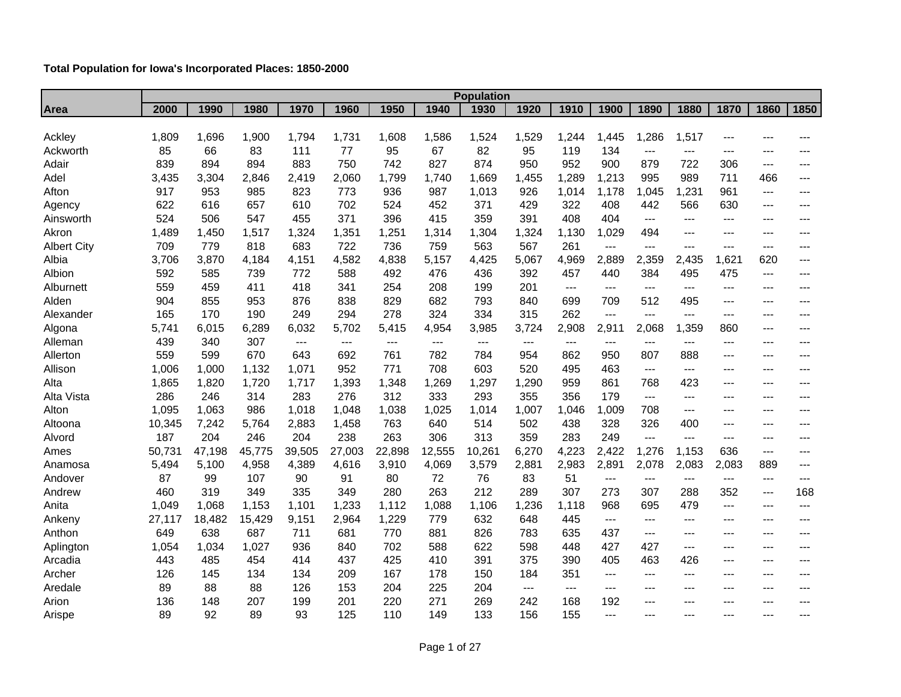| Total Population for Iowa's Incorporated Places: 1850-2000 |  |  |  |
|------------------------------------------------------------|--|--|--|
|------------------------------------------------------------|--|--|--|

|                    |        |        |        |                        |        |        |        | <b>Population</b> |       |       |       |       |       |       |                          |       |
|--------------------|--------|--------|--------|------------------------|--------|--------|--------|-------------------|-------|-------|-------|-------|-------|-------|--------------------------|-------|
| Area               | 2000   | 1990   | 1980   | 1970                   | 1960   | 1950   | 1940   | 1930              | 1920  | 1910  | 1900  | 1890  | 1880  | 1870  | 1860                     | 1850  |
|                    |        |        |        |                        |        |        |        |                   |       |       |       |       |       |       |                          |       |
| Ackley             | 1,809  | 1,696  | 1,900  | 1,794                  | 1,731  | 1,608  | 1,586  | 1,524             | 1,529 | 1,244 | 1,445 | 1,286 | 1,517 | $---$ |                          |       |
| Ackworth           | 85     | 66     | 83     | 111                    | 77     | 95     | 67     | 82                | 95    | 119   | 134   | $---$ | $---$ | $---$ | $---$                    | ---   |
| Adair              | 839    | 894    | 894    | 883                    | 750    | 742    | 827    | 874               | 950   | 952   | 900   | 879   | 722   | 306   | $\overline{\phantom{a}}$ | $---$ |
| Adel               | 3,435  | 3,304  | 2,846  | 2,419                  | 2,060  | 1,799  | 1,740  | 1,669             | 1,455 | 1,289 | 1,213 | 995   | 989   | 711   | 466                      | $---$ |
| Afton              | 917    | 953    | 985    | 823                    | 773    | 936    | 987    | 1,013             | 926   | 1,014 | 1,178 | 1,045 | 1,231 | 961   | $---$                    | $---$ |
| Agency             | 622    | 616    | 657    | 610                    | 702    | 524    | 452    | 371               | 429   | 322   | 408   | 442   | 566   | 630   | $---$                    | $---$ |
| Ainsworth          | 524    | 506    | 547    | 455                    | 371    | 396    | 415    | 359               | 391   | 408   | 404   | ---   | $---$ | $---$ | ---                      | ---   |
| Akron              | 1,489  | 1,450  | 1,517  | 1,324                  | 1,351  | 1,251  | 1,314  | 1,304             | 1,324 | 1,130 | 1,029 | 494   | $---$ | $---$ | $---$                    | $---$ |
| <b>Albert City</b> | 709    | 779    | 818    | 683                    | 722    | 736    | 759    | 563               | 567   | 261   | $---$ | $---$ | ---   | $---$ | ---                      | $---$ |
| Albia              | 3,706  | 3,870  | 4,184  | 4,151                  | 4,582  | 4,838  | 5,157  | 4,425             | 5,067 | 4,969 | 2,889 | 2,359 | 2,435 | 1,621 | 620                      | $---$ |
| Albion             | 592    | 585    | 739    | 772                    | 588    | 492    | 476    | 436               | 392   | 457   | 440   | 384   | 495   | 475   | $---$                    | $---$ |
| Alburnett          | 559    | 459    | 411    | 418                    | 341    | 254    | 208    | 199               | 201   | $---$ | $---$ | $---$ | ---   | $---$ | ---                      | ---   |
| Alden              | 904    | 855    | 953    | 876                    | 838    | 829    | 682    | 793               | 840   | 699   | 709   | 512   | 495   | $---$ | $---$                    | $---$ |
| Alexander          | 165    | 170    | 190    | 249                    | 294    | 278    | 324    | 334               | 315   | 262   | $---$ | $---$ | $---$ | $---$ | ---                      | $---$ |
| Algona             | 5,741  | 6,015  | 6,289  | 6,032                  | 5,702  | 5,415  | 4,954  | 3,985             | 3,724 | 2,908 | 2,911 | 2,068 | 1,359 | 860   | $---$                    | $---$ |
| Alleman            | 439    | 340    | 307    | $\qquad \qquad \cdots$ | ---    | $--$   | $---$  | $--$              | $---$ | ---   | $---$ | $---$ | ---   | ---   | $---$                    | ---   |
| Allerton           | 559    | 599    | 670    | 643                    | 692    | 761    | 782    | 784               | 954   | 862   | 950   | 807   | 888   | $---$ | $---$                    | $---$ |
| Allison            | 1,006  | 1,000  | 1,132  | 1,071                  | 952    | 771    | 708    | 603               | 520   | 495   | 463   | $---$ | $---$ | $---$ | $---$                    | $---$ |
| Alta               | 1,865  | 1,820  | 1,720  | 1,717                  | 1,393  | 1,348  | 1,269  | 1,297             | 1,290 | 959   | 861   | 768   | 423   | ---   | $---$                    |       |
| Alta Vista         | 286    | 246    | 314    | 283                    | 276    | 312    | 333    | 293               | 355   | 356   | 179   | $---$ | $---$ | $---$ | $---$                    | $---$ |
| Alton              | 1,095  | 1,063  | 986    | 1,018                  | 1,048  | 1,038  | 1,025  | 1,014             | 1,007 | 1,046 | 1,009 | 708   | ---   | $---$ | $---$                    | $---$ |
| Altoona            | 10,345 | 7,242  | 5,764  | 2,883                  | 1,458  | 763    | 640    | 514               | 502   | 438   | 328   | 326   | 400   | $---$ | ---                      | ---   |
| Alvord             | 187    | 204    | 246    | 204                    | 238    | 263    | 306    | 313               | 359   | 283   | 249   | $---$ | $---$ | $---$ | $---$                    | $---$ |
| Ames               | 50,731 | 47,198 | 45,775 | 39,505                 | 27,003 | 22,898 | 12,555 | 10,261            | 6,270 | 4,223 | 2,422 | 1,276 | 1,153 | 636   | $\frac{1}{2}$            | $---$ |
| Anamosa            | 5,494  | 5,100  | 4,958  | 4,389                  | 4,616  | 3,910  | 4,069  | 3,579             | 2,881 | 2,983 | 2,891 | 2,078 | 2,083 | 2,083 | 889                      | ---   |
| Andover            | 87     | 99     | 107    | 90                     | 91     | 80     | 72     | 76                | 83    | 51    | $---$ | $---$ | ---   | $--$  | $---$                    | $---$ |
| Andrew             | 460    | 319    | 349    | 335                    | 349    | 280    | 263    | 212               | 289   | 307   | 273   | 307   | 288   | 352   | $---$                    | 168   |
| Anita              | 1,049  | 1,068  | 1,153  | 1,101                  | 1,233  | 1,112  | 1,088  | 1,106             | 1,236 | 1,118 | 968   | 695   | 479   | $---$ | $---$                    | ---   |
| Ankeny             | 27,117 | 18,482 | 15,429 | 9,151                  | 2,964  | 1,229  | 779    | 632               | 648   | 445   | $---$ | $--$  | $---$ | $---$ | $---$                    | $---$ |
| Anthon             | 649    | 638    | 687    | 711                    | 681    | 770    | 881    | 826               | 783   | 635   | 437   | $---$ | $---$ | $---$ | $---$                    | $---$ |
| Aplington          | 1,054  | 1,034  | 1,027  | 936                    | 840    | 702    | 588    | 622               | 598   | 448   | 427   | 427   | $---$ | $---$ | $---$                    | $---$ |
| Arcadia            | 443    | 485    | 454    | 414                    | 437    | 425    | 410    | 391               | 375   | 390   | 405   | 463   | 426   | $---$ | $---$                    | $---$ |
| Archer             | 126    | 145    | 134    | 134                    | 209    | 167    | 178    | 150               | 184   | 351   | $---$ | $---$ | $---$ | $---$ | $---$                    | $---$ |
| Aredale            | 89     | 88     | 88     | 126                    | 153    | 204    | 225    | 204               | $--$  | ---   | $---$ | $---$ | $---$ | $---$ | $---$                    | $---$ |
| Arion              | 136    | 148    | 207    | 199                    | 201    | 220    | 271    | 269               | 242   | 168   | 192   | ---   | ---   | ---   | ---                      | ---   |
| Arispe             | 89     | 92     | 89     | 93                     | 125    | 110    | 149    | 133               | 156   | 155   | $---$ | $---$ | $---$ | $---$ | $---$                    | $---$ |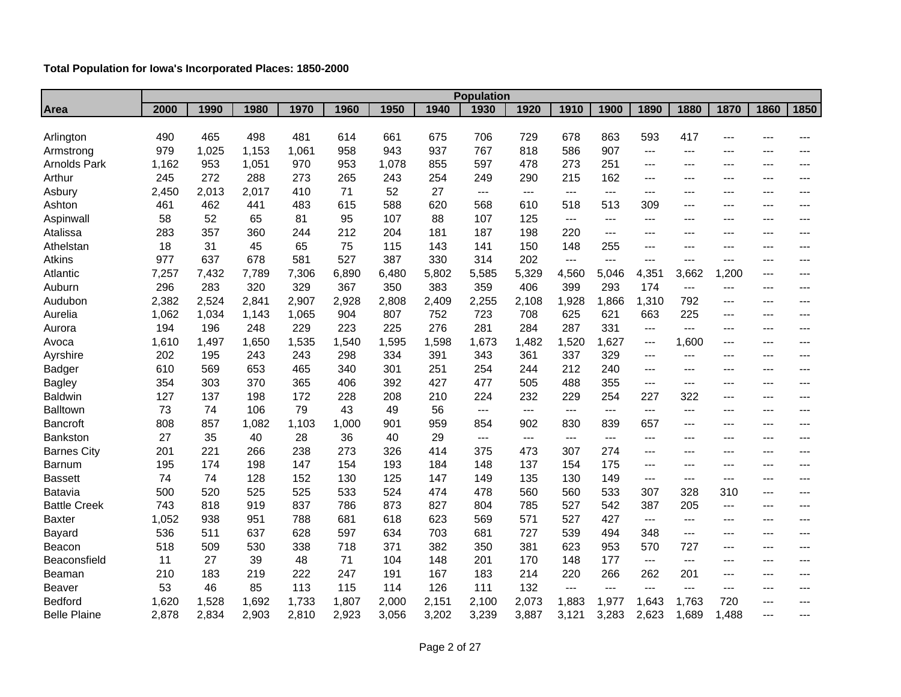| Total Population for Iowa's Incorporated Places: 1850-2000 |  |  |  |  |
|------------------------------------------------------------|--|--|--|--|
|------------------------------------------------------------|--|--|--|--|

|                     |       |       |       |       |       |       |       | <b>Population</b> |       |       |       |       |                     |                              |                          |       |
|---------------------|-------|-------|-------|-------|-------|-------|-------|-------------------|-------|-------|-------|-------|---------------------|------------------------------|--------------------------|-------|
| Area                | 2000  | 1990  | 1980  | 1970  | 1960  | 1950  | 1940  | 1930              | 1920  | 1910  | 1900  | 1890  | 1880                | 1870                         | 1860                     | 1850  |
|                     |       |       |       |       |       |       |       |                   |       |       |       |       |                     |                              |                          |       |
| Arlington           | 490   | 465   | 498   | 481   | 614   | 661   | 675   | 706               | 729   | 678   | 863   | 593   | 417                 | $---$                        |                          |       |
| Armstrong           | 979   | 1,025 | 1,153 | 1,061 | 958   | 943   | 937   | 767               | 818   | 586   | 907   | $---$ | $---$               | $---$                        | ---                      | ---   |
| <b>Arnolds Park</b> | 1,162 | 953   | 1,051 | 970   | 953   | 1,078 | 855   | 597               | 478   | 273   | 251   | $---$ | $---$               | $---$                        | ---                      |       |
| Arthur              | 245   | 272   | 288   | 273   | 265   | 243   | 254   | 249               | 290   | 215   | 162   | $--$  | ---                 | $---$                        | ---                      | ---   |
| Asbury              | 2,450 | 2,013 | 2,017 | 410   | 71    | 52    | 27    | $---$             | $---$ | $---$ | $---$ | $---$ | $---$               | $---$                        | $---$                    | ---   |
| Ashton              | 461   | 462   | 441   | 483   | 615   | 588   | 620   | 568               | 610   | 518   | 513   | 309   | $---$               | $---$                        | ---                      | ---   |
| Aspinwall           | 58    | 52    | 65    | 81    | 95    | 107   | 88    | 107               | 125   | ---   | $---$ | $---$ | ---                 | $\qquad \qquad \textbf{---}$ | ---                      | ---   |
| Atalissa            | 283   | 357   | 360   | 244   | 212   | 204   | 181   | 187               | 198   | 220   | $---$ | $---$ | $---$               | $---$                        | ---                      | ---   |
| Athelstan           | 18    | 31    | 45    | 65    | 75    | 115   | 143   | 141               | 150   | 148   | 255   | $---$ | ---                 | ---                          | ---                      | ---   |
| <b>Atkins</b>       | 977   | 637   | 678   | 581   | 527   | 387   | 330   | 314               | 202   | $---$ | $---$ | $---$ | $---$               | $---$                        | $---$                    | ---   |
| Atlantic            | 7,257 | 7,432 | 7,789 | 7,306 | 6,890 | 6,480 | 5,802 | 5,585             | 5,329 | 4,560 | 5,046 | 4,351 | 3,662               | 1,200                        | $---$                    | $---$ |
| Auburn              | 296   | 283   | 320   | 329   | 367   | 350   | 383   | 359               | 406   | 399   | 293   | 174   | $\overline{a}$      | $---$                        | $---$                    | $---$ |
| Audubon             | 2,382 | 2,524 | 2,841 | 2,907 | 2,928 | 2,808 | 2,409 | 2,255             | 2,108 | 1,928 | 1,866 | 1,310 | 792                 | $---$                        | $---$                    | $---$ |
| Aurelia             | 1,062 | 1,034 | 1,143 | 1,065 | 904   | 807   | 752   | 723               | 708   | 625   | 621   | 663   | 225                 | $---$                        | $---$                    | ---   |
| Aurora              | 194   | 196   | 248   | 229   | 223   | 225   | 276   | 281               | 284   | 287   | 331   | $---$ | ---                 | ---                          | ---                      |       |
| Avoca               | 1,610 | 1,497 | 1,650 | 1,535 | 1,540 | 1,595 | 1,598 | 1,673             | 1,482 | 1,520 | 1,627 | $---$ | 1,600               | $---$                        | $---$                    | ---   |
| Ayrshire            | 202   | 195   | 243   | 243   | 298   | 334   | 391   | 343               | 361   | 337   | 329   | $---$ | ---                 | $---$                        | $---$                    | ---   |
| Badger              | 610   | 569   | 653   | 465   | 340   | 301   | 251   | 254               | 244   | 212   | 240   | $---$ | $---$               | ---                          | ---                      |       |
| <b>Bagley</b>       | 354   | 303   | 370   | 365   | 406   | 392   | 427   | 477               | 505   | 488   | 355   | $---$ | $---$               | $---$                        | $\qquad \qquad -$        | $---$ |
| <b>Baldwin</b>      | 127   | 137   | 198   | 172   | 228   | 208   | 210   | 224               | 232   | 229   | 254   | 227   | 322                 | $---$                        | $---$                    | ---   |
| Balltown            | 73    | 74    | 106   | 79    | 43    | 49    | 56    | $---$             | $---$ | ---   | ---   | ---   | $\qquad \qquad - -$ | $---$                        | ---                      | ---   |
| <b>Bancroft</b>     | 808   | 857   | 1,082 | 1,103 | 1,000 | 901   | 959   | 854               | 902   | 830   | 839   | 657   | $---$               | $---$                        | $---$                    | ---   |
| Bankston            | 27    | 35    | 40    | 28    | 36    | 40    | 29    | $---$             | $---$ | $---$ | $---$ | $---$ | $---$               | $---$                        | ---                      | ---   |
| <b>Barnes City</b>  | 201   | 221   | 266   | 238   | 273   | 326   | 414   | 375               | 473   | 307   | 274   | $---$ | $---$               | $---$                        | ---                      | ---   |
| <b>Barnum</b>       | 195   | 174   | 198   | 147   | 154   | 193   | 184   | 148               | 137   | 154   | 175   | $---$ | $---$               | $---$                        | $---$                    | ---   |
| <b>Bassett</b>      | 74    | 74    | 128   | 152   | 130   | 125   | 147   | 149               | 135   | 130   | 149   | $---$ | $---$               | $---$                        | ---                      | ---   |
| Batavia             | 500   | 520   | 525   | 525   | 533   | 524   | 474   | 478               | 560   | 560   | 533   | 307   | 328                 | 310                          | ---                      | ---   |
| <b>Battle Creek</b> | 743   | 818   | 919   | 837   | 786   | 873   | 827   | 804               | 785   | 527   | 542   | 387   | 205                 | $---$                        | $\qquad \qquad \qquad -$ | ---   |
| <b>Baxter</b>       | 1,052 | 938   | 951   | 788   | 681   | 618   | 623   | 569               | 571   | 527   | 427   | $---$ | $---$               | $---$                        | ---                      | ---   |
| Bayard              | 536   | 511   | 637   | 628   | 597   | 634   | 703   | 681               | 727   | 539   | 494   | 348   | $---$               | ---                          | $--$                     | ---   |
| Beacon              | 518   | 509   | 530   | 338   | 718   | 371   | 382   | 350               | 381   | 623   | 953   | 570   | 727                 | $---$                        | $\qquad \qquad -$        | $---$ |
| Beaconsfield        | 11    | 27    | 39    | 48    | 71    | 104   | 148   | 201               | 170   | 148   | 177   | $---$ | $---$               | $---$                        | ---                      | ---   |
| Beaman              | 210   | 183   | 219   | 222   | 247   | 191   | 167   | 183               | 214   | 220   | 266   | 262   | 201                 | $---$                        | $---$                    | ---   |
| Beaver              | 53    | 46    | 85    | 113   | 115   | 114   | 126   | 111               | 132   | $---$ | $---$ | $---$ | $---$               | $---$                        | $---$                    | ---   |
| Bedford             | 1,620 | 1,528 | 1,692 | 1,733 | 1,807 | 2,000 | 2,151 | 2,100             | 2,073 | 1,883 | 1,977 | 1,643 | 1,763               | 720                          | ---                      | ---   |
| <b>Belle Plaine</b> | 2,878 | 2,834 | 2,903 | 2,810 | 2,923 | 3,056 | 3,202 | 3,239             | 3,887 | 3,121 | 3,283 | 2,623 | 1,689               | 1,488                        | ---                      | ---   |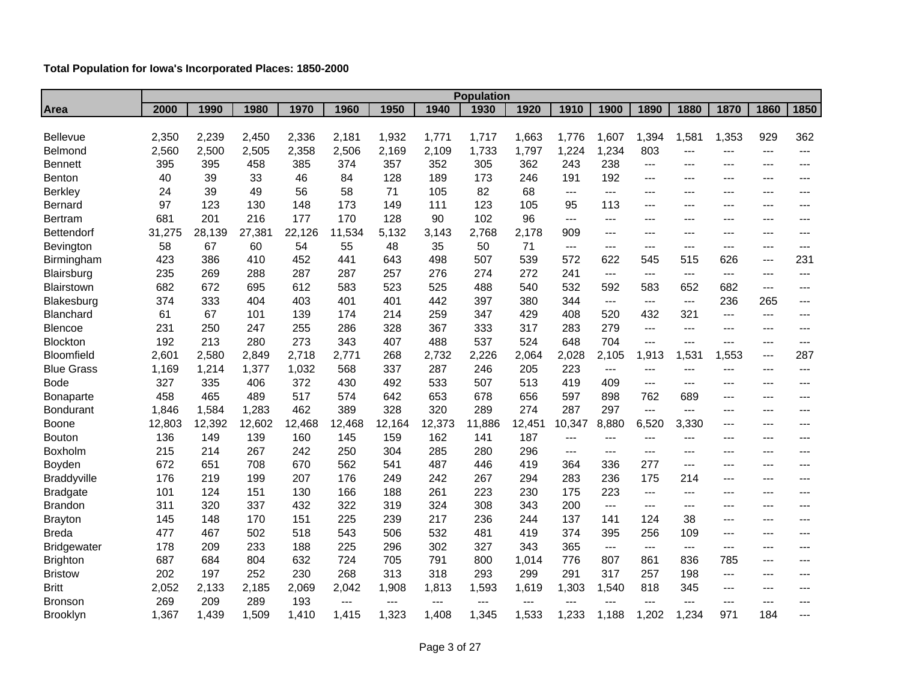| Total Population for Iowa's Incorporated Places: 1850-2000 |  |  |  |
|------------------------------------------------------------|--|--|--|
|------------------------------------------------------------|--|--|--|

|                   |        |        |        |        |        |                          |        | <b>Population</b> |        |        |                            |       |                     |       |                              |       |
|-------------------|--------|--------|--------|--------|--------|--------------------------|--------|-------------------|--------|--------|----------------------------|-------|---------------------|-------|------------------------------|-------|
| Area              | 2000   | 1990   | 1980   | 1970   | 1960   | 1950                     | 1940   | 1930              | 1920   | 1910   | 1900                       | 1890  | 1880                | 1870  | 1860                         | 1850  |
|                   |        |        |        |        |        |                          |        |                   |        |        |                            |       |                     |       |                              |       |
| Bellevue          | 2,350  | 2,239  | 2,450  | 2,336  | 2,181  | 1,932                    | 1,771  | 1,717             | 1,663  | 1,776  | 1,607                      | 1,394 | 1,581               | 1,353 | 929                          | 362   |
| Belmond           | 2,560  | 2,500  | 2,505  | 2,358  | 2,506  | 2,169                    | 2,109  | 1,733             | 1,797  | 1,224  | 1,234                      | 803   | $---$               | $---$ | $---$                        | $---$ |
| <b>Bennett</b>    | 395    | 395    | 458    | 385    | 374    | 357                      | 352    | 305               | 362    | 243    | 238                        | ---   | $---$               | $---$ | ---                          |       |
| Benton            | 40     | 39     | 33     | 46     | 84     | 128                      | 189    | 173               | 246    | 191    | 192                        | $---$ | $---$               | $---$ | $---$                        | ---   |
| <b>Berkley</b>    | 24     | 39     | 49     | 56     | 58     | 71                       | 105    | 82                | 68     | $---$  | ---                        | $---$ | $---$               | $---$ | $---$                        | ---   |
| <b>Bernard</b>    | 97     | 123    | 130    | 148    | 173    | 149                      | 111    | 123               | 105    | 95     | 113                        | $---$ | ---                 | $---$ | ---                          |       |
| <b>Bertram</b>    | 681    | 201    | 216    | 177    | 170    | 128                      | 90     | 102               | 96     | $---$  | $---$                      | $---$ | ---                 | $---$ | ---                          | ---   |
| Bettendorf        | 31,275 | 28,139 | 27,381 | 22,126 | 11,534 | 5,132                    | 3,143  | 2,768             | 2,178  | 909    | ---                        | $---$ | $---$               | $---$ | ---                          | ---   |
| Bevington         | 58     | 67     | 60     | 54     | 55     | 48                       | 35     | 50                | 71     | $---$  | ---                        | $---$ | ---                 | $---$ | ---                          | ---   |
| Birmingham        | 423    | 386    | 410    | 452    | 441    | 643                      | 498    | 507               | 539    | 572    | 622                        | 545   | 515                 | 626   | $\qquad \qquad - -$          | 231   |
| Blairsburg        | 235    | 269    | 288    | 287    | 287    | 257                      | 276    | 274               | 272    | 241    | $---$                      | $---$ | $---$               | $---$ | $---$                        | $---$ |
| <b>Blairstown</b> | 682    | 672    | 695    | 612    | 583    | 523                      | 525    | 488               | 540    | 532    | 592                        | 583   | 652                 | 682   | $\qquad \qquad \textbf{---}$ | $---$ |
| Blakesburg        | 374    | 333    | 404    | 403    | 401    | 401                      | 442    | 397               | 380    | 344    | $\overline{a}$             | $---$ | $\overline{a}$      | 236   | 265                          | $---$ |
| Blanchard         | 61     | 67     | 101    | 139    | 174    | 214                      | 259    | 347               | 429    | 408    | 520                        | 432   | 321                 | $---$ | $---$                        | ---   |
| Blencoe           | 231    | 250    | 247    | 255    | 286    | 328                      | 367    | 333               | 317    | 283    | 279                        | $---$ | $\qquad \qquad - -$ | $---$ | ---                          | ---   |
| <b>Blockton</b>   | 192    | 213    | 280    | 273    | 343    | 407                      | 488    | 537               | 524    | 648    | 704                        | $---$ | $---$               | $---$ | $---$                        | $---$ |
| Bloomfield        | 2,601  | 2,580  | 2,849  | 2,718  | 2,771  | 268                      | 2,732  | 2,226             | 2,064  | 2,028  | 2,105                      | 1,913 | ,531                | 1,553 | $---$                        | 287   |
| <b>Blue Grass</b> | 1,169  | 1,214  | 1,377  | 1,032  | 568    | 337                      | 287    | 246               | 205    | 223    | $--$                       | $--$  | $--$                | $---$ | ---                          | $--$  |
| <b>Bode</b>       | 327    | 335    | 406    | 372    | 430    | 492                      | 533    | 507               | 513    | 419    | 409                        | $---$ | $---$               | $---$ | $\qquad \qquad \qquad -$     | ---   |
| Bonaparte         | 458    | 465    | 489    | 517    | 574    | 642                      | 653    | 678               | 656    | 597    | 898                        | 762   | 689                 | $---$ | $---$                        | ---   |
| <b>Bondurant</b>  | 1,846  | 1,584  | 1,283  | 462    | 389    | 328                      | 320    | 289               | 274    | 287    | 297                        | $---$ | ---                 | $---$ | $---$                        | ---   |
| <b>Boone</b>      | 12,803 | 12,392 | 12,602 | 12,468 | 12,468 | 12,164                   | 12,373 | 11,886            | 12,451 | 10,347 | 8,880                      | 6,520 | 3,330               | $---$ | $---$                        | $---$ |
| <b>Bouton</b>     | 136    | 149    | 139    | 160    | 145    | 159                      | 162    | 141               | 187    | $---$  | ---                        | ---   | ---                 | ---   | ---                          | ---   |
| Boxholm           | 215    | 214    | 267    | 242    | 250    | 304                      | 285    | 280               | 296    | $---$  | $---$                      | $---$ | $---$               | $---$ | $---$                        | $---$ |
| Boyden            | 672    | 651    | 708    | 670    | 562    | 541                      | 487    | 446               | 419    | 364    | 336                        | 277   | $---$               | $---$ | $---$                        | ---   |
| Braddyville       | 176    | 219    | 199    | 207    | 176    | 249                      | 242    | 267               | 294    | 283    | 236                        | 175   | 214                 | ---   | ---                          |       |
| <b>Bradgate</b>   | 101    | 124    | 151    | 130    | 166    | 188                      | 261    | 223               | 230    | 175    | 223                        | $---$ | $---$               | $---$ | $---$                        | ---   |
| <b>Brandon</b>    | 311    | 320    | 337    | 432    | 322    | 319                      | 324    | 308               | 343    | 200    | $\overline{a}$             | ---   | $---$               | $---$ | $---$                        | ---   |
| <b>Brayton</b>    | 145    | 148    | 170    | 151    | 225    | 239                      | 217    | 236               | 244    | 137    | 141                        | 124   | 38                  | $---$ | $---$                        | ---   |
| <b>Breda</b>      | 477    | 467    | 502    | 518    | 543    | 506                      | 532    | 481               | 419    | 374    | 395                        | 256   | 109                 | $---$ | $\qquad \qquad -$            | ---   |
| Bridgewater       | 178    | 209    | 233    | 188    | 225    | 296                      | 302    | 327               | 343    | 365    | $\qquad \qquad \text{---}$ | $---$ | $---$               | $---$ | $---$                        | ---   |
| <b>Brighton</b>   | 687    | 684    | 804    | 632    | 724    | 705                      | 791    | 800               | 1,014  | 776    | 807                        | 861   | 836                 | 785   | $---$                        | ---   |
| <b>Bristow</b>    | 202    | 197    | 252    | 230    | 268    | 313                      | 318    | 293               | 299    | 291    | 317                        | 257   | 198                 | $---$ | $---$                        | $---$ |
| <b>Britt</b>      | 2,052  | 2,133  | 2,185  | 2,069  | 2,042  | 1,908                    | 1,813  | 1,593             | 1,619  | 1,303  | 1,540                      | 818   | 345                 | $---$ | $---$                        | ---   |
| <b>Bronson</b>    | 269    | 209    | 289    | 193    | $---$  | $\scriptstyle{\cdots}$ . | $---$  | $---$             | $---$  | $---$  | $---$                      | $---$ | $---$               | $---$ | ---                          | ---   |
| Brooklyn          | 1,367  | 1,439  | 1,509  | 1,410  | 1,415  | 1,323                    | 1,408  | 1,345             | 1,533  | 1,233  | 1,188                      | 1,202 | 1,234               | 971   | 184                          | $---$ |
|                   |        |        |        |        |        |                          |        |                   |        |        |                            |       |                     |       |                              |       |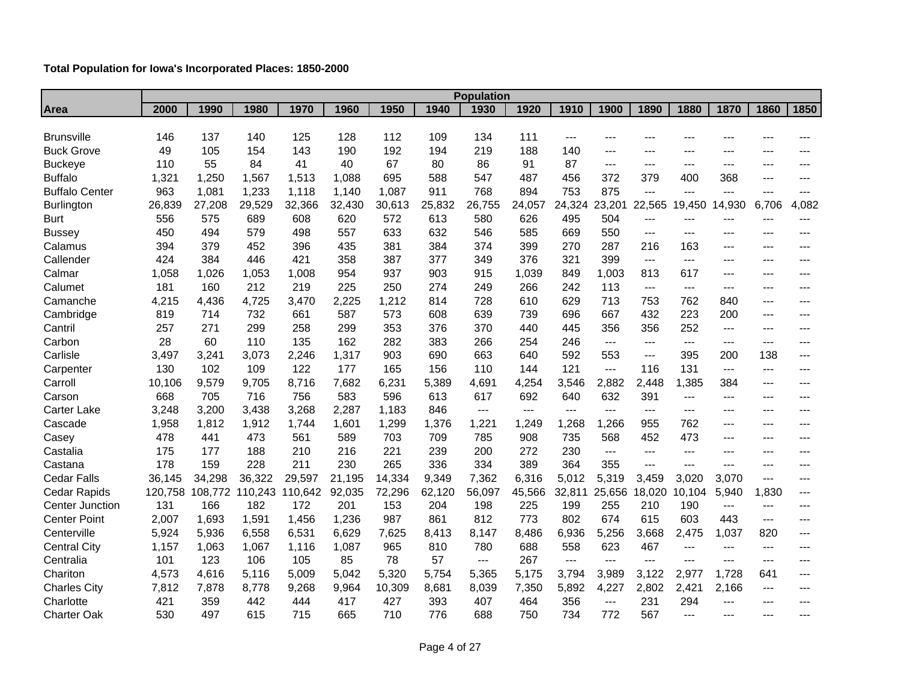|                       | <b>Population</b> |         |         |         |        |        |        |        |        |        |                |        |               |        |       |       |
|-----------------------|-------------------|---------|---------|---------|--------|--------|--------|--------|--------|--------|----------------|--------|---------------|--------|-------|-------|
| <b>Area</b>           | 2000              | 1990    | 1980    | 1970    | 1960   | 1950   | 1940   | 1930   | 1920   | 1910   | 1900           | 1890   | 1880          | 1870   | 1860  | 1850  |
|                       |                   |         |         |         |        |        |        |        |        |        |                |        |               |        |       |       |
| <b>Brunsville</b>     | 146               | 137     | 140     | 125     | 128    | 112    | 109    | 134    | 111    | $---$  | ---            | ---    | ---           |        |       |       |
| <b>Buck Grove</b>     | 49                | 105     | 154     | 143     | 190    | 192    | 194    | 219    | 188    | 140    | $---$          | $---$  | ---           | ---    |       |       |
| <b>Buckeye</b>        | 110               | 55      | 84      | 41      | 40     | 67     | 80     | 86     | 91     | 87     | $--$           | ---    | ---           | ---    | ---   |       |
| <b>Buffalo</b>        | 1,321             | 1,250   | 1,567   | 1,513   | 1,088  | 695    | 588    | 547    | 487    | 456    | 372            | 379    | 400           | 368    | ---   | ---   |
| <b>Buffalo Center</b> | 963               | 1,081   | 1,233   | 1,118   | 1,140  | 1,087  | 911    | 768    | 894    | 753    | 875            | ---    | $---$         | $---$  | $---$ |       |
| <b>Burlington</b>     | 26,839            | 27,208  | 29,529  | 32,366  | 32,430 | 30,613 | 25,832 | 26,755 | 24,057 | 24,324 | 23,201         | 22,565 | 19,450        | 14,930 | 6,706 | 4,082 |
| Burt                  | 556               | 575     | 689     | 608     | 620    | 572    | 613    | 580    | 626    | 495    | 504            | $---$  | ---           | ---    | $---$ | ---   |
| <b>Bussey</b>         | 450               | 494     | 579     | 498     | 557    | 633    | 632    | 546    | 585    | 669    | 550            | $---$  | ---           | ---    | $---$ | ---   |
| Calamus               | 394               | 379     | 452     | 396     | 435    | 381    | 384    | 374    | 399    | 270    | 287            | 216    | 163           | ---    | $---$ | ---   |
| Callender             | 424               | 384     | 446     | 421     | 358    | 387    | 377    | 349    | 376    | 321    | 399            | $---$  | $---$         | $---$  | $---$ | ---   |
| Calmar                | 1,058             | 1,026   | 1,053   | 1,008   | 954    | 937    | 903    | 915    | 1,039  | 849    | 1,003          | 813    | 617           | ---    | $---$ | ---   |
| Calumet               | 181               | 160     | 212     | 219     | 225    | 250    | 274    | 249    | 266    | 242    | 113            | $---$  | ---           | ---    | $---$ | ---   |
| Camanche              | 4,215             | 4,436   | 4,725   | 3,470   | 2,225  | 1,212  | 814    | 728    | 610    | 629    | 713            | 753    | 762           | 840    | $---$ | ---   |
| Cambridge             | 819               | 714     | 732     | 661     | 587    | 573    | 608    | 639    | 739    | 696    | 667            | 432    | 223           | 200    | ---   | ---   |
| Cantril               | 257               | 271     | 299     | 258     | 299    | 353    | 376    | 370    | 440    | 445    | 356            | 356    | 252           | ---    | $---$ | ---   |
| Carbon                | 28                | 60      | 110     | 135     | 162    | 282    | 383    | 266    | 254    | 246    | $---$          | $---$  | $\frac{1}{2}$ | $---$  | $---$ | ---   |
| Carlisle              | 3,497             | 3,241   | 3,073   | 2,246   | 1,317  | 903    | 690    | 663    | 640    | 592    | 553            | ---    | 395           | 200    | 138   | $---$ |
| Carpenter             | 130               | 102     | 109     | 122     | 177    | 165    | 156    | 110    | 144    | 121    | $---$          | 116    | 131           | $---$  | ---   | ---   |
| Carroll               | 10,106            | 9,579   | 9,705   | 8,716   | 7,682  | 6,231  | 5,389  | 4,691  | 4,254  | 3,546  | 2,882          | 2,448  | 1,385         | 384    | ---   | ---   |
| Carson                | 668               | 705     | 716     | 756     | 583    | 596    | 613    | 617    | 692    | 640    | 632            | 391    | ---           | $---$  | ---   | ---   |
| <b>Carter Lake</b>    | 3,248             | 3,200   | 3,438   | 3,268   | 2,287  | 1,183  | 846    | $---$  | $---$  | ---    | ---            | ---    | ---           | ---    | $---$ |       |
| Cascade               | 1,958             | 1,812   | 1,912   | 1,744   | 1,601  | 1,299  | 1,376  | 1,221  | 1,249  | 1,268  | 1,266          | 955    | 762           | ---    | ---   | ---   |
| Casey                 | 478               | 441     | 473     | 561     | 589    | 703    | 709    | 785    | 908    | 735    | 568            | 452    | 473           | $---$  | ---   | ---   |
| Castalia              | 175               | 177     | 188     | 210     | 216    | 221    | 239    | 200    | 272    | 230    | $---$          | ---    | ---           | ---    | ---   |       |
| Castana               | 178               | 159     | 228     | 211     | 230    | 265    | 336    | 334    | 389    | 364    | 355            | ---    | $---$         | ---    | ---   | ---   |
| <b>Cedar Falls</b>    | 36,145            | 34,298  | 36,322  | 29,597  | 21,195 | 14,334 | 9,349  | 7,362  | 6,316  | 5,012  | 5,319          | 3,459  | 3,020         | 3,070  | $---$ | ---   |
| <b>Cedar Rapids</b>   | 120,758           | 108,772 | 110,243 | 110,642 | 92,035 | 72,296 | 62,120 | 56,097 | 45,566 | 32,811 | 25,656         | 18,020 | 10,104        | 5,940  | 1,830 | ---   |
| Center Junction       | 131               | 166     | 182     | 172     | 201    | 153    | 204    | 198    | 225    | 199    | 255            | 210    | 190           | $---$  | ---   | ---   |
| <b>Center Point</b>   | 2,007             | 1,693   | 1,591   | 1,456   | 1,236  | 987    | 861    | 812    | 773    | 802    | 674            | 615    | 603           | 443    | $---$ | ---   |
| Centerville           | 5,924             | 5,936   | 6,558   | 6,531   | 6,629  | 7,625  | 8,413  | 8,147  | 8,486  | 6,936  | 5,256          | 3,668  | 2,475         | 1,037  | 820   | ---   |
| <b>Central City</b>   | 1,157             | 1,063   | 1,067   | 1,116   | 1,087  | 965    | 810    | 780    | 688    | 558    | 623            | 467    | $---$         | $---$  | ---   | ---   |
| Centralia             | 101               | 123     | 106     | 105     | 85     | 78     | 57     | $---$  | 267    | $---$  | $---$          | $---$  | ---           | ---    | $---$ | ---   |
| Chariton              | 4,573             | 4,616   | 5,116   | 5,009   | 5,042  | 5,320  | 5,754  | 5,365  | 5,175  | 3,794  | 3,989          | 3,122  | 2,977         | 1,728  | 641   | ---   |
| <b>Charles City</b>   | 7,812             | 7,878   | 8,778   | 9,268   | 9,964  | 10,309 | 8,681  | 8,039  | 7,350  | 5,892  | 4,227          | 2,802  | 2,421         | 2,166  | ---   | ---   |
| Charlotte             | 421               | 359     | 442     | 444     | 417    | 427    | 393    | 407    | 464    | 356    | $\overline{a}$ | 231    | 294           | $---$  | $---$ | ---   |
| <b>Charter Oak</b>    | 530               | 497     | 615     | 715     | 665    | 710    | 776    | 688    | 750    | 734    | 772            | 567    | $---$         | ---    | ---   |       |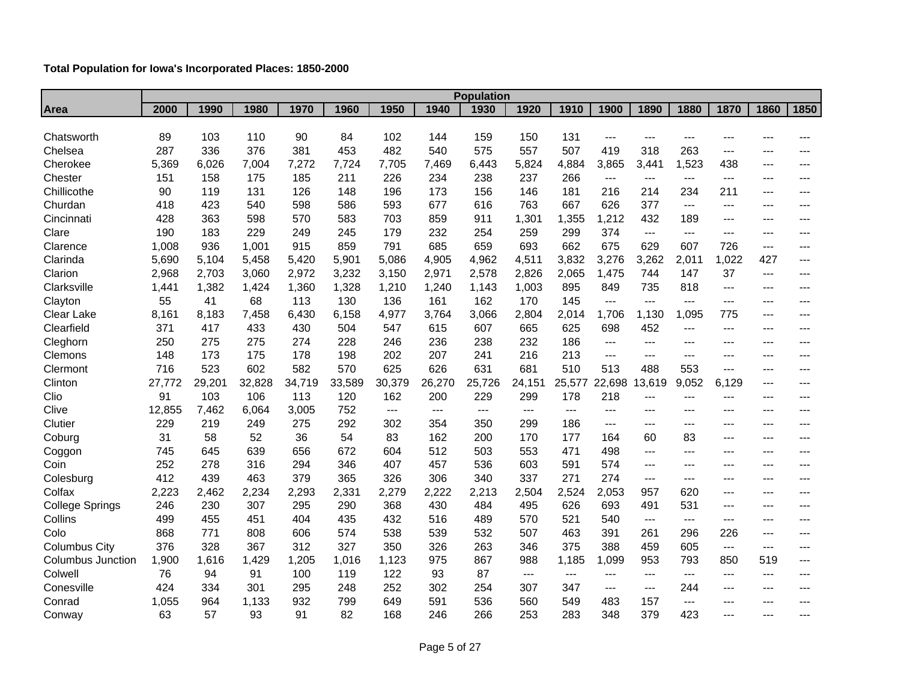|                          | <b>Population</b> |        |        |        |        |                        |        |        |        |        |                                     |        |       |                              |       |       |
|--------------------------|-------------------|--------|--------|--------|--------|------------------------|--------|--------|--------|--------|-------------------------------------|--------|-------|------------------------------|-------|-------|
| Area                     | 2000              | 1990   | 1980   | 1970   | 1960   | 1950                   | 1940   | 1930   | 1920   | 1910   | 1900                                | 1890   | 1880  | 1870                         | 1860  | 1850  |
|                          |                   |        |        |        |        |                        |        |        |        |        |                                     |        |       |                              |       |       |
| Chatsworth               | 89                | 103    | 110    | 90     | 84     | 102                    | 144    | 159    | 150    | 131    | $---$                               | ---    | ---   | ---                          |       | ---   |
| Chelsea                  | 287               | 336    | 376    | 381    | 453    | 482                    | 540    | 575    | 557    | 507    | 419                                 | 318    | 263   | $---$                        | ---   | ---   |
| Cherokee                 | 5,369             | 6,026  | 7,004  | 7,272  | 7,724  | 7,705                  | 7,469  | 6,443  | 5,824  | 4,884  | 3,865                               | 3,441  | 1,523 | 438                          | $---$ | ---   |
| Chester                  | 151               | 158    | 175    | 185    | 211    | 226                    | 234    | 238    | 237    | 266    | $---$                               | $---$  | $--$  | $---$                        | ---   | ---   |
| Chillicothe              | 90                | 119    | 131    | 126    | 148    | 196                    | 173    | 156    | 146    | 181    | 216                                 | 214    | 234   | 211                          | $---$ | $---$ |
| Churdan                  | 418               | 423    | 540    | 598    | 586    | 593                    | 677    | 616    | 763    | 667    | 626                                 | 377    | $---$ | $---$                        | $---$ | ---   |
| Cincinnati               | 428               | 363    | 598    | 570    | 583    | 703                    | 859    | 911    | 1,301  | 1,355  | 1,212                               | 432    | 189   | $---$                        | ---   | ---   |
| Clare                    | 190               | 183    | 229    | 249    | 245    | 179                    | 232    | 254    | 259    | 299    | 374                                 | $---$  | $---$ | $---$                        | $---$ | ---   |
| Clarence                 | 1,008             | 936    | 1,001  | 915    | 859    | 791                    | 685    | 659    | 693    | 662    | 675                                 | 629    | 607   | 726                          | ---   | ---   |
| Clarinda                 | 5,690             | 5,104  | 5,458  | 5,420  | 5,901  | 5,086                  | 4,905  | 4,962  | 4,511  | 3,832  | 3,276                               | 3,262  | 2,011 | 1,022                        | 427   | ---   |
| Clarion                  | 2,968             | 2,703  | 3,060  | 2,972  | 3,232  | 3,150                  | 2,971  | 2,578  | 2,826  | 2,065  | 1,475                               | 744    | 147   | 37                           | $---$ | $---$ |
| Clarksville              | 1,441             | 1,382  | 1,424  | 1,360  | 1,328  | 1,210                  | 1,240  | 1,143  | 1,003  | 895    | 849                                 | 735    | 818   | ---                          | $---$ | ---   |
| Clayton                  | 55                | 41     | 68     | 113    | 130    | 136                    | 161    | 162    | 170    | 145    | $---$                               | $---$  | $---$ | $---$                        | $---$ | ---   |
| Clear Lake               | 8,161             | 8,183  | 7,458  | 6,430  | 6,158  | 4,977                  | 3,764  | 3,066  | 2,804  | 2,014  | 1,706                               | 1,130  | 1,095 | 775                          | $---$ | ---   |
| Clearfield               | 371               | 417    | 433    | 430    | 504    | 547                    | 615    | 607    | 665    | 625    | 698                                 | 452    | $---$ | ---                          | $---$ | ---   |
| Cleghorn                 | 250               | 275    | 275    | 274    | 228    | 246                    | 236    | 238    | 232    | 186    | $\sim$ $\sim$                       | $--$   | $--$  | ---                          | $---$ | ---   |
| Clemons                  | 148               | 173    | 175    | 178    | 198    | 202                    | 207    | 241    | 216    | 213    | $---$                               | $---$  | $---$ | $---$                        | $---$ | $---$ |
| Clermont                 | 716               | 523    | 602    | 582    | 570    | 625                    | 626    | 631    | 681    | 510    | 513                                 | 488    | 553   | $---$                        | $---$ | ---   |
| Clinton                  | 27,772            | 29,201 | 32,828 | 34,719 | 33,589 | 30,379                 | 26,270 | 25,726 | 24,151 | 25,577 | 22,698                              | 13,619 | 9,052 | 6,129                        | $---$ | ---   |
| Clio                     | 91                | 103    | 106    | 113    | 120    | 162                    | 200    | 229    | 299    | 178    | 218                                 | $---$  | $---$ | $---$                        | $---$ | $---$ |
| Clive                    | 12,855            | 7,462  | 6,064  | 3,005  | 752    | $\qquad \qquad \cdots$ | $---$  | ---    | $---$  | ---    | $---$                               | $---$  | $---$ | ---                          | ---   | ---   |
| Clutier                  | 229               | 219    | 249    | 275    | 292    | 302                    | 354    | 350    | 299    | 186    | $\hspace{0.05cm}---\hspace{0.05cm}$ | $---$  | $---$ | ---                          | $---$ | ---   |
| Coburg                   | 31                | 58     | 52     | 36     | 54     | 83                     | 162    | 200    | 170    | 177    | 164                                 | 60     | 83    | $---$                        | $---$ | $---$ |
| Coggon                   | 745               | 645    | 639    | 656    | 672    | 604                    | 512    | 503    | 553    | 471    | 498                                 | $---$  | $---$ | ---                          | $---$ | ---   |
| Coin                     | 252               | 278    | 316    | 294    | 346    | 407                    | 457    | 536    | 603    | 591    | 574                                 | $---$  | $---$ | ---                          | $---$ | ---   |
| Colesburg                | 412               | 439    | 463    | 379    | 365    | 326                    | 306    | 340    | 337    | 271    | 274                                 | $---$  | $---$ | $---$                        | $---$ | ---   |
| Colfax                   | 2,223             | 2,462  | 2,234  | 2,293  | 2,331  | 2,279                  | 2,222  | 2,213  | 2,504  | 2,524  | 2,053                               | 957    | 620   | ---                          | ---   | ---   |
| <b>College Springs</b>   | 246               | 230    | 307    | 295    | 290    | 368                    | 430    | 484    | 495    | 626    | 693                                 | 491    | 531   | ---                          | $---$ | ---   |
| Collins                  | 499               | 455    | 451    | 404    | 435    | 432                    | 516    | 489    | 570    | 521    | 540                                 | $---$  | $---$ | $---$                        | $---$ | $---$ |
| Colo                     | 868               | 771    | 808    | 606    | 574    | 538                    | 539    | 532    | 507    | 463    | 391                                 | 261    | 296   | 226                          | $---$ | ---   |
| <b>Columbus City</b>     | 376               | 328    | 367    | 312    | 327    | 350                    | 326    | 263    | 346    | 375    | 388                                 | 459    | 605   | $\qquad \qquad \textbf{---}$ | $---$ | ---   |
| <b>Columbus Junction</b> | 1,900             | 1,616  | 1,429  | 1,205  | 1,016  | 1,123                  | 975    | 867    | 988    | 1,185  | 1,099                               | 953    | 793   | 850                          | 519   | $---$ |
| Colwell                  | 76                | 94     | 91     | 100    | 119    | 122                    | 93     | 87     | $---$  | $---$  | $\hspace{0.05cm}---\hspace{0.05cm}$ | $---$  | $---$ | $---$                        | $---$ | $---$ |
| Conesville               | 424               | 334    | 301    | 295    | 248    | 252                    | 302    | 254    | 307    | 347    | $---$                               | $---$  | 244   | ---                          | $---$ | ---   |
| Conrad                   | 1,055             | 964    | 1,133  | 932    | 799    | 649                    | 591    | 536    | 560    | 549    | 483                                 | 157    | $---$ | $---$                        | $---$ | ---   |
| Conway                   | 63                | 57     | 93     | 91     | 82     | 168                    | 246    | 266    | 253    | 283    | 348                                 | 379    | 423   | ---                          | ---   | ---   |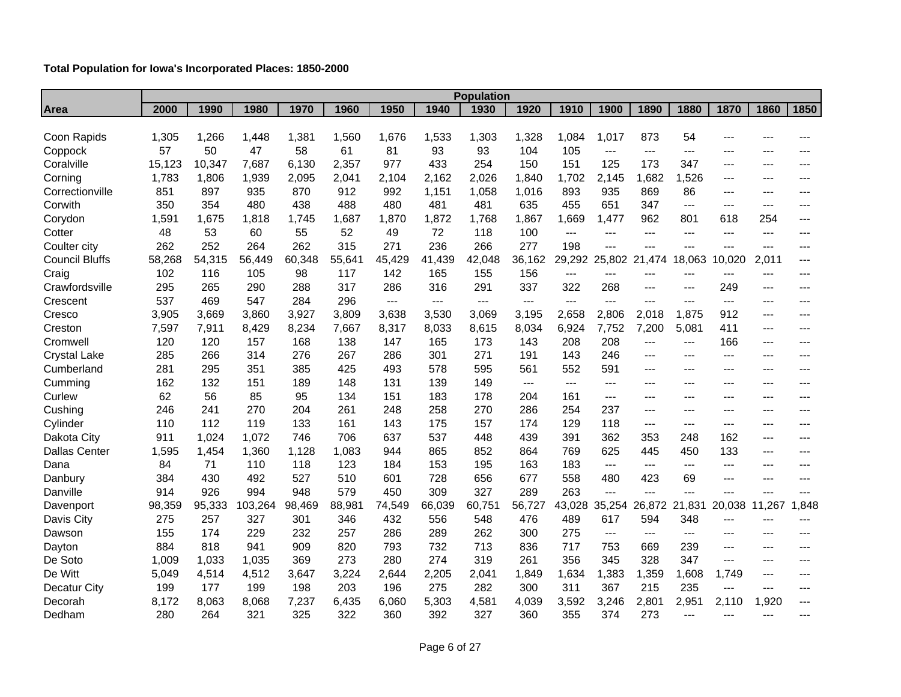|                       | <b>Population</b> |        |         |        |        |        |        |        |                              |        |        |               |        |        |                |       |
|-----------------------|-------------------|--------|---------|--------|--------|--------|--------|--------|------------------------------|--------|--------|---------------|--------|--------|----------------|-------|
| <b>Area</b>           | 2000              | 1990   | 1980    | 1970   | 1960   | 1950   | 1940   | 1930   | 1920                         | 1910   | 1900   | 1890          | 1880   | 1870   | 1860           | 1850  |
|                       |                   |        |         |        |        |        |        |        |                              |        |        |               |        |        |                |       |
| Coon Rapids           | 1,305             | 1,266  | 1,448   | 1,381  | 1,560  | 1,676  | 1,533  | 1,303  | 1,328                        | 1,084  | 1,017  | 873           | 54     |        |                |       |
| Coppock               | 57                | 50     | 47      | 58     | 61     | 81     | 93     | 93     | 104                          | 105    | ---    | ---           | $--$   | ---    |                |       |
| Coralville            | 15,123            | 10,347 | 7,687   | 6,130  | 2,357  | 977    | 433    | 254    | 150                          | 151    | 125    | 173           | 347    | $---$  | ---            | ---   |
| Corning               | 1,783             | 1,806  | 1,939   | 2,095  | 2,041  | 2,104  | 2,162  | 2,026  | 1,840                        | 1,702  | 2,145  | 1,682         | 1,526  | $---$  | $- - -$        |       |
| Correctionville       | 851               | 897    | 935     | 870    | 912    | 992    | 1,151  | 1,058  | 1,016                        | 893    | 935    | 869           | 86     | $---$  | ---            | ---   |
| Corwith               | 350               | 354    | 480     | 438    | 488    | 480    | 481    | 481    | 635                          | 455    | 651    | 347           | $---$  | ---    | $---$          | ---   |
| Corydon               | 1,591             | 1,675  | 1,818   | 1,745  | 1,687  | 1,870  | 1,872  | 1,768  | 1,867                        | 1,669  | 1,477  | 962           | 801    | 618    | 254            | ---   |
| Cotter                | 48                | 53     | 60      | 55     | 52     | 49     | 72     | 118    | 100                          | $---$  | $---$  | ---           | $---$  | $---$  | $---$          | ---   |
| Coulter city          | 262               | 252    | 264     | 262    | 315    | 271    | 236    | 266    | 277                          | 198    | $---$  | $---$         | $---$  | $---$  | $---$          | ---   |
| <b>Council Bluffs</b> | 58,268            | 54,315 | 56,449  | 60,348 | 55,641 | 45,429 | 41,439 | 42,048 | 36,162                       | 29,292 | 25,802 | 21,474        | 18,063 | 10,020 | 2,011          | ---   |
| Craig                 | 102               | 116    | 105     | 98     | 117    | 142    | 165    | 155    | 156                          | ---    | ---    | $---$         | ---    | ---    | $---$          | ---   |
| Crawfordsville        | 295               | 265    | 290     | 288    | 317    | 286    | 316    | 291    | 337                          | 322    | 268    | $---$         | $---$  | 249    | ---            | $---$ |
| Crescent              | 537               | 469    | 547     | 284    | 296    | $---$  | $---$  | $---$  | ---                          | ---    | ---    | ---           | ---    | $---$  | $--$           | ---   |
| Cresco                | 3,905             | 3,669  | 3,860   | 3,927  | 3,809  | 3,638  | 3,530  | 3,069  | 3,195                        | 2,658  | 2,806  | 2,018         | 1,875  | 912    | $---$          | $---$ |
| Creston               | 7,597             | 7,911  | 8,429   | 8,234  | 7,667  | 8,317  | 8,033  | 8,615  | 8,034                        | 6,924  | 7,752  | 7,200         | 5,081  | 411    | $---$          | $---$ |
| Cromwell              | 120               | 120    | 157     | 168    | 138    | 147    | 165    | 173    | 143                          | 208    | 208    | $---$         | $---$  | 166    | ---            | ---   |
| <b>Crystal Lake</b>   | 285               | 266    | 314     | 276    | 267    | 286    | 301    | 271    | 191                          | 143    | 246    | $---$         | $---$  | $---$  | ---            | ---   |
| Cumberland            | 281               | 295    | 351     | 385    | 425    | 493    | 578    | 595    | 561                          | 552    | 591    | $---$         | $---$  | $---$  | ---            | ---   |
| Cumming               | 162               | 132    | 151     | 189    | 148    | 131    | 139    | 149    | $\qquad \qquad \textbf{---}$ | $---$  | $---$  | ---           | ---    | ---    | ---            |       |
| Curlew                | 62                | 56     | 85      | 95     | 134    | 151    | 183    | 178    | 204                          | 161    | $---$  | $---$         | ---    | $---$  | $---$          | ---   |
| Cushing               | 246               | 241    | 270     | 204    | 261    | 248    | 258    | 270    | 286                          | 254    | 237    | $---$         | $---$  | $---$  | ---            | ---   |
| Cylinder              | 110               | 112    | 119     | 133    | 161    | 143    | 175    | 157    | 174                          | 129    | 118    | ---           | $---$  | $---$  | ---            |       |
| Dakota City           | 911               | 1,024  | 1,072   | 746    | 706    | 637    | 537    | 448    | 439                          | 391    | 362    | 353           | 248    | 162    | $---$          | $---$ |
| <b>Dallas Center</b>  | 1,595             | 1,454  | 1,360   | 1,128  | 1,083  | 944    | 865    | 852    | 864                          | 769    | 625    | 445           | 450    | 133    | $\overline{a}$ | ---   |
| Dana                  | 84                | 71     | 110     | 118    | 123    | 184    | 153    | 195    | 163                          | 183    | $---$  | $---$         | $---$  | $---$  | ---            |       |
| Danbury               | 384               | 430    | 492     | 527    | 510    | 601    | 728    | 656    | 677                          | 558    | 480    | 423           | 69     | $---$  | ---            | ---   |
| Danville              | 914               | 926    | 994     | 948    | 579    | 450    | 309    | 327    | 289                          | 263    | $---$  | ---           | $---$  | ---    | ---            |       |
| Davenport             | 98,359            | 95,333 | 103,264 | 98,469 | 88,981 | 74,549 | 66,039 | 60,751 | 56,727                       | 43,028 | 35,254 | 26,872 21,831 |        | 20,038 | 11,267         | .848  |
| Davis City            | 275               | 257    | 327     | 301    | 346    | 432    | 556    | 548    | 476                          | 489    | 617    | 594           | 348    | $---$  | $---$          | $---$ |
| Dawson                | 155               | 174    | 229     | 232    | 257    | 286    | 289    | 262    | 300                          | 275    | $---$  | ---           | ---    | $---$  | ---            | ---   |
| Dayton                | 884               | 818    | 941     | 909    | 820    | 793    | 732    | 713    | 836                          | 717    | 753    | 669           | 239    | $---$  | $---$          |       |
| De Soto               | 1,009             | 1,033  | 1,035   | 369    | 273    | 280    | 274    | 319    | 261                          | 356    | 345    | 328           | 347    | $---$  | $---$          | $---$ |
| De Witt               | 5,049             | 4,514  | 4,512   | 3,647  | 3,224  | 2,644  | 2,205  | 2,041  | 1,849                        | 1,634  | 1,383  | 1,359         | 1,608  | 1,749  | $---$          | ---   |
| <b>Decatur City</b>   | 199               | 177    | 199     | 198    | 203    | 196    | 275    | 282    | 300                          | 311    | 367    | 215           | 235    | $---$  | $---$          | ---   |
| Decorah               | 8,172             | 8,063  | 8,068   | 7,237  | 6,435  | 6,060  | 5,303  | 4,581  | 4,039                        | 3,592  | 3,246  | 2,801         | 2,951  | 2,110  | 1,920          | $---$ |
| Dedham                | 280               | 264    | 321     | 325    | 322    | 360    | 392    | 327    | 360                          | 355    | 374    | 273           | ---    | ---    | $---$          |       |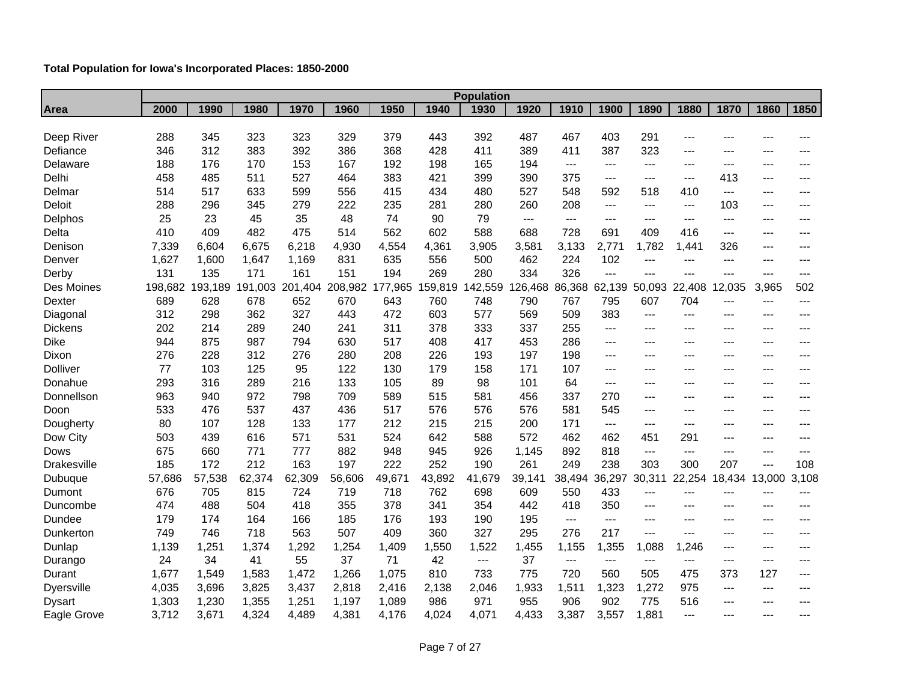|                    | <b>Population</b> |         |         |         |         |         |        |                 |        |        |                |        |        |        |            |       |
|--------------------|-------------------|---------|---------|---------|---------|---------|--------|-----------------|--------|--------|----------------|--------|--------|--------|------------|-------|
| Area               | 2000              | 1990    | 1980    | 1970    | 1960    | 1950    | 1940   | 1930            | 1920   | 1910   | 1900           | 1890   | 1880   | 1870   | 1860       | 1850  |
|                    |                   |         |         |         |         |         |        |                 |        |        |                |        |        |        |            |       |
| Deep River         | 288               | 345     | 323     | 323     | 329     | 379     | 443    | 392             | 487    | 467    | 403            | 291    | $---$  | ---    |            | ---   |
| Defiance           | 346               | 312     | 383     | 392     | 386     | 368     | 428    | 411             | 389    | 411    | 387            | 323    | $---$  | $---$  |            |       |
| Delaware           | 188               | 176     | 170     | 153     | 167     | 192     | 198    | 165             | 194    | $--$   | ---            | ---    | $---$  | $---$  | $---$      | ---   |
| Delhi              | 458               | 485     | 511     | 527     | 464     | 383     | 421    | 399             | 390    | 375    | ---            | $---$  | $---$  | 413    | $---$      | ---   |
| Delmar             | 514               | 517     | 633     | 599     | 556     | 415     | 434    | 480             | 527    | 548    | 592            | 518    | 410    | $---$  | $---$      |       |
| Deloit             | 288               | 296     | 345     | 279     | 222     | 235     | 281    | 280             | 260    | 208    | $---$          | ---    | $---$  | 103    | $---$      | ---   |
| Delphos            | 25                | 23      | 45      | 35      | 48      | 74      | 90     | 79              | $---$  | ---    | ---            | $---$  | $---$  | $---$  | $---$      | ---   |
| Delta              | 410               | 409     | 482     | 475     | 514     | 562     | 602    | 588             | 688    | 728    | 691            | 409    | 416    | $---$  | $---$      |       |
| Denison            | 7,339             | 6,604   | 6,675   | 6,218   | 4,930   | 4,554   | 4,361  | 3,905           | 3,581  | 3,133  | 2,771          | 1,782  | 1,441  | 326    | $---$      | ---   |
| Denver             | 1,627             | 1,600   | 1,647   | 1,169   | 831     | 635     | 556    | 500             | 462    | 224    | 102            | $---$  | $---$  | $---$  | $---$      | $---$ |
| Derby              | 131               | 135     | 171     | 161     | 151     | 194     | 269    | 280             | 334    | 326    | $\overline{a}$ | $---$  | $---$  | $---$  | $---$      | ---   |
| Des Moines         | 198,682           | 193,189 | 191,003 | 201,404 | 208,982 | 177,965 |        | 159,819 142,559 | 26,468 | 86,368 | 62,139         | 50,093 | 22,408 | 12,035 | 3,965      | 502   |
| Dexter             | 689               | 628     | 678     | 652     | 670     | 643     | 760    | 748             | 790    | 767    | 795            | 607    | 704    | $---$  | $---$      | $---$ |
| Diagonal           | 312               | 298     | 362     | 327     | 443     | 472     | 603    | 577             | 569    | 509    | 383            | ---    | $---$  | $---$  | $---$      | ---   |
| <b>Dickens</b>     | 202               | 214     | 289     | 240     | 241     | 311     | 378    | 333             | 337    | 255    | ---            | ---    | ---    | $---$  | $---$      | ---   |
| <b>Dike</b>        | 944               | 875     | 987     | 794     | 630     | 517     | 408    | 417             | 453    | 286    | $---$          | ---    | $---$  | $---$  | $---$      | ---   |
| Dixon              | 276               | 228     | 312     | 276     | 280     | 208     | 226    | 193             | 197    | 198    | ---            | ---    | $---$  | $---$  | $---$      | ---   |
| <b>Dolliver</b>    | 77                | 103     | 125     | 95      | 122     | 130     | 179    | 158             | 171    | 107    | ---            | ---    | $---$  | $---$  | $---$      | ---   |
| Donahue            | 293               | 316     | 289     | 216     | 133     | 105     | 89     | 98              | 101    | 64     | $---$          | ---    | $---$  | $---$  | $---$      | ---   |
| Donnellson         | 963               | 940     | 972     | 798     | 709     | 589     | 515    | 581             | 456    | 337    | 270            | ---    | $---$  | $---$  | $---$      | ---   |
| Doon               | 533               | 476     | 537     | 437     | 436     | 517     | 576    | 576             | 576    | 581    | 545            | ---    | ---    | $---$  | $---$      |       |
| Dougherty          | 80                | 107     | 128     | 133     | 177     | 212     | 215    | 215             | 200    | 171    | ---            | $---$  | $---$  | $---$  | $---$      | ---   |
| Dow City           | 503               | 439     | 616     | 571     | 531     | 524     | 642    | 588             | 572    | 462    | 462            | 451    | 291    | $---$  | $---$      | ---   |
| Dows               | 675               | 660     | 771     | 777     | 882     | 948     | 945    | 926             | 1,145  | 892    | 818            | ---    | ---    | $---$  | $---$      | $---$ |
| <b>Drakesville</b> | 185               | 172     | 212     | 163     | 197     | 222     | 252    | 190             | 261    | 249    | 238            | 303    | 300    | 207    | $---$      | 108   |
| Dubuque            | 57,686            | 57,538  | 62,374  | 62,309  | 56,606  | 49,671  | 43,892 | 41,679          | 39,141 | 38,494 | 36,297         | 30,311 | 22,254 | 18,434 | 3,000<br>1 | 3,108 |
| Dumont             | 676               | 705     | 815     | 724     | 719     | 718     | 762    | 698             | 609    | 550    | 433            | ---    | $---$  | $---$  | $---$      | ---   |
| Duncombe           | 474               | 488     | 504     | 418     | 355     | 378     | 341    | 354             | 442    | 418    | 350            | $---$  | $---$  | $---$  | $---$      | ---   |
| Dundee             | 179               | 174     | 164     | 166     | 185     | 176     | 193    | 190             | 195    | $---$  | ---            | ---    | $---$  | $---$  | $---$      | ---   |
| Dunkerton          | 749               | 746     | 718     | 563     | 507     | 409     | 360    | 327             | 295    | 276    | 217            | $---$  | $---$  | $---$  | $---$      | ---   |
| Dunlap             | 1,139             | 1,251   | 1,374   | 1,292   | 1,254   | 1,409   | 1,550  | 1,522           | 1,455  | 1,155  | 1,355          | 1,088  | 1,246  | $---$  | $---$      | ---   |
| Durango            | 24                | 34      | 41      | 55      | 37      | 71      | 42     | $---$           | 37     | $---$  | $---$          | ---    | ---    | ---    | $---$      | ---   |
| Durant             | 1,677             | 1,549   | 1,583   | 1,472   | 1,266   | 1,075   | 810    | 733             | 775    | 720    | 560            | 505    | 475    | 373    | 127        | $---$ |
| <b>Dyersville</b>  | 4,035             | 3,696   | 3,825   | 3,437   | 2,818   | 2,416   | 2,138  | 2,046           | 1,933  | 1,511  | 1,323          | 1,272  | 975    | $---$  | $---$      | ---   |
| <b>Dysart</b>      | 1,303             | 1,230   | 1,355   | 1,251   | 1,197   | 1,089   | 986    | 971             | 955    | 906    | 902            | 775    | 516    | $---$  | $---$      | ---   |
| Eagle Grove        | 3,712             | 3,671   | 4,324   | 4,489   | 4,381   | 4,176   | 4,024  | 4,071           | 4,433  | 3,387  | 3,557          | 1,881  | $---$  | $---$  | ---        | ---   |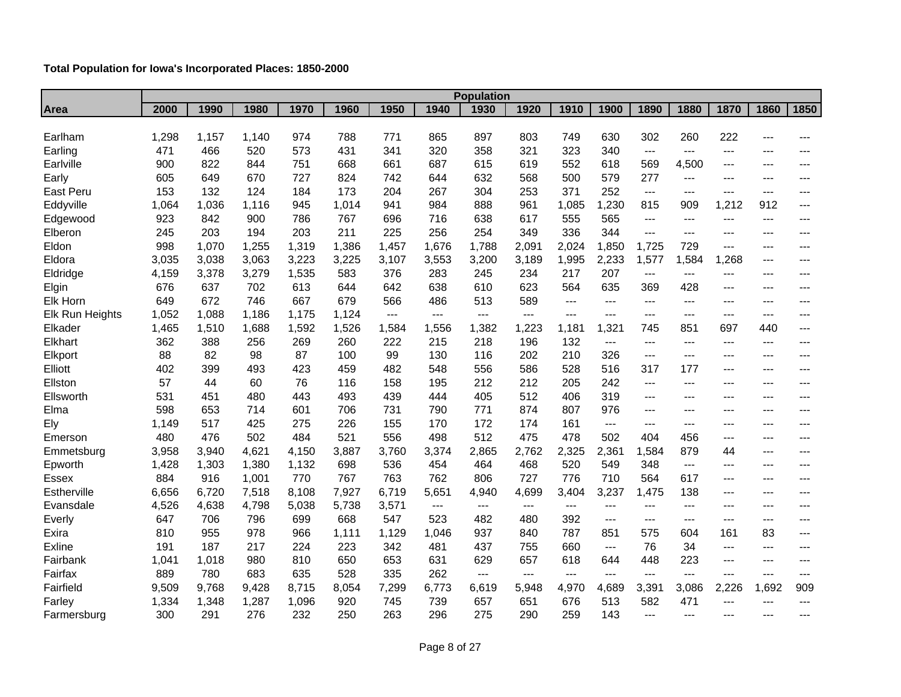|                  |       |       |       |       |       |                |       | <b>Population</b> |                     |                     |       |       |       |       |       |       |
|------------------|-------|-------|-------|-------|-------|----------------|-------|-------------------|---------------------|---------------------|-------|-------|-------|-------|-------|-------|
| Area             | 2000  | 1990  | 1980  | 1970  | 1960  | 1950           | 1940  | 1930              | 1920                | 1910                | 1900  | 1890  | 1880  | 1870  | 1860  | 1850  |
|                  |       |       |       |       |       |                |       |                   |                     |                     |       |       |       |       |       |       |
| Earlham          | 1,298 | 1,157 | 1,140 | 974   | 788   | 771            | 865   | 897               | 803                 | 749                 | 630   | 302   | 260   | 222   | ---   | ---   |
| Earling          | 471   | 466   | 520   | 573   | 431   | 341            | 320   | 358               | 321                 | 323                 | 340   | $---$ | $---$ | ---   | $---$ | ---   |
| Earlville        | 900   | 822   | 844   | 751   | 668   | 661            | 687   | 615               | 619                 | 552                 | 618   | 569   | 4,500 | ---   | $---$ | ---   |
| Early            | 605   | 649   | 670   | 727   | 824   | 742            | 644   | 632               | 568                 | 500                 | 579   | 277   | $---$ | ---   | ---   | ---   |
| <b>East Peru</b> | 153   | 132   | 124   | 184   | 173   | 204            | 267   | 304               | 253                 | 371                 | 252   | $---$ | ---   | ---   | ---   | ---   |
| Eddyville        | 1,064 | 1,036 | 1,116 | 945   | 1,014 | 941            | 984   | 888               | 961                 | 1,085               | 1,230 | 815   | 909   | 1,212 | 912   | ---   |
| Edgewood         | 923   | 842   | 900   | 786   | 767   | 696            | 716   | 638               | 617                 | 555                 | 565   | $---$ | $---$ | $--$  | ---   | ---   |
| Elberon          | 245   | 203   | 194   | 203   | 211   | 225            | 256   | 254               | 349                 | 336                 | 344   | $---$ | $---$ | ---   | $---$ | ---   |
| Eldon            | 998   | 1,070 | 1,255 | 1,319 | 1,386 | 1,457          | 1,676 | 1,788             | 2,091               | 2,024               | 1,850 | 1,725 | 729   | ---   | ---   | ---   |
| Eldora           | 3,035 | 3,038 | 3,063 | 3,223 | 3,225 | 3,107          | 3,553 | 3,200             | 3,189               | 1,995               | 2,233 | 1,577 | 1,584 | 1,268 | $---$ | ---   |
| Eldridge         | 4,159 | 3,378 | 3,279 | 1,535 | 583   | 376            | 283   | 245               | 234                 | 217                 | 207   | $---$ | $---$ | $---$ | $---$ | $---$ |
| Elgin            | 676   | 637   | 702   | 613   | 644   | 642            | 638   | 610               | 623                 | 564                 | 635   | 369   | 428   | ---   | ---   | ---   |
| Elk Horn         | 649   | 672   | 746   | 667   | 679   | 566            | 486   | 513               | 589                 | $---$               | $---$ | $---$ | ---   | ---   | $---$ | ---   |
| Elk Run Heights  | 1,052 | 1,088 | 1,186 | 1,175 | 1,124 | $\overline{a}$ | $---$ | $---$             | $---$               | $---$               | $---$ | $---$ | $---$ | $---$ | $---$ | ---   |
| Elkader          | 1,465 | 1,510 | 1,688 | 1,592 | 1,526 | 1,584          | 1,556 | 1,382             | 1,223               | 1,181               | 1,321 | 745   | 851   | 697   | 440   | ---   |
| Elkhart          | 362   | 388   | 256   | 269   | 260   | 222            | 215   | 218               | 196                 | 132                 | ---   | ---   | $---$ | ---   | $---$ | ---   |
| Elkport          | 88    | 82    | 98    | 87    | 100   | 99             | 130   | 116               | 202                 | 210                 | 326   | $---$ | $---$ | ---   | $---$ | ---   |
| Elliott          | 402   | 399   | 493   | 423   | 459   | 482            | 548   | 556               | 586                 | 528                 | 516   | 317   | 177   | $---$ | $---$ |       |
| Ellston          | 57    | 44    | 60    | 76    | 116   | 158            | 195   | 212               | 212                 | 205                 | 242   | $---$ | $---$ | $---$ | $---$ | ---   |
| Ellsworth        | 531   | 451   | 480   | 443   | 493   | 439            | 444   | 405               | 512                 | 406                 | 319   | $---$ | ---   | ---   | ---   | ---   |
| Elma             | 598   | 653   | 714   | 601   | 706   | 731            | 790   | 771               | 874                 | 807                 | 976   | ---   | ---   | ---   | $---$ |       |
| Ely              | 1,149 | 517   | 425   | 275   | 226   | 155            | 170   | 172               | 174                 | 161                 | ---   | ---   | ---   | ---   | ---   | ---   |
| Emerson          | 480   | 476   | 502   | 484   | 521   | 556            | 498   | 512               | 475                 | 478                 | 502   | 404   | 456   | ---   | ---   | ---   |
| Emmetsburg       | 3,958 | 3,940 | 4,621 | 4,150 | 3,887 | 3,760          | 3,374 | 2,865             | 2,762               | 2,325               | 2,361 | 1,584 | 879   | 44    | $---$ | ---   |
| Epworth          | 1,428 | 1,303 | 1,380 | 1,132 | 698   | 536            | 454   | 464               | 468                 | 520                 | 549   | 348   | $---$ | ---   | ---   | ---   |
| <b>Essex</b>     | 884   | 916   | 1,001 | 770   | 767   | 763            | 762   | 806               | 727                 | 776                 | 710   | 564   | 617   | ---   | ---   | ---   |
| Estherville      | 6,656 | 6,720 | 7,518 | 8,108 | 7,927 | 6,719          | 5,651 | 4,940             | 4,699               | 3,404               | 3,237 | 1,475 | 138   | ---   | $---$ |       |
| Evansdale        | 4,526 | 4,638 | 4,798 | 5,038 | 5,738 | 3,571          | $--$  | $---$             | $---$               | $--$                | $---$ | $---$ | ---   | ---   | ---   | ---   |
| Everly           | 647   | 706   | 796   | 699   | 668   | 547            | 523   | 482               | 480                 | 392                 | $---$ | $---$ | $---$ | $---$ | $---$ | ---   |
| Exira            | 810   | 955   | 978   | 966   | 1,111 | 1,129          | 1,046 | 937               | 840                 | 787                 | 851   | 575   | 604   | 161   | 83    | ---   |
| <b>Exline</b>    | 191   | 187   | 217   | 224   | 223   | 342            | 481   | 437               | 755                 | 660                 | $---$ | 76    | 34    | ---   | ---   | ---   |
| Fairbank         | 1,041 | 1,018 | 980   | 810   | 650   | 653            | 631   | 629               | 657                 | 618                 | 644   | 448   | 223   | ---   | $---$ | ---   |
| Fairfax          | 889   | 780   | 683   | 635   | 528   | 335            | 262   | ---               | $\qquad \qquad - -$ | $\qquad \qquad - -$ | $---$ | $---$ | $---$ | ---   | ---   | ---   |
| Fairfield        | 9,509 | 9,768 | 9,428 | 8,715 | 8,054 | 7,299          | 6,773 | 6,619             | 5,948               | 4,970               | 4,689 | 3,391 | 3,086 | 2,226 | 1,692 | 909   |
| Farley           | 1,334 | 1,348 | 1,287 | 1,096 | 920   | 745            | 739   | 657               | 651                 | 676                 | 513   | 582   | 471   | $---$ | $---$ | $---$ |
| Farmersburg      | 300   | 291   | 276   | 232   | 250   | 263            | 296   | 275               | 290                 | 259                 | 143   | $---$ | ---   | $---$ | $---$ |       |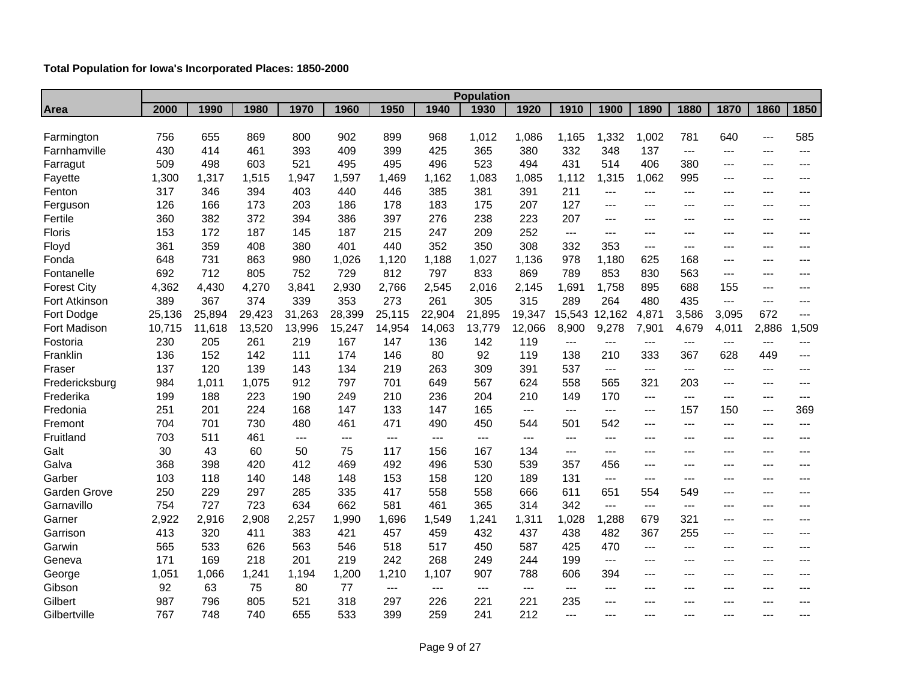|                    | <b>Population</b> |        |        |        |        |               |        |        |        |        |        |       |       |       |       |       |
|--------------------|-------------------|--------|--------|--------|--------|---------------|--------|--------|--------|--------|--------|-------|-------|-------|-------|-------|
| <b>Area</b>        | 2000              | 1990   | 1980   | 1970   | 1960   | 1950          | 1940   | 1930   | 1920   | 1910   | 1900   | 1890  | 1880  | 1870  | 1860  | 1850  |
|                    |                   |        |        |        |        |               |        |        |        |        |        |       |       |       |       |       |
| Farmington         | 756               | 655    | 869    | 800    | 902    | 899           | 968    | 1,012  | 1,086  | 1,165  | 1,332  | 1,002 | 781   | 640   | $---$ | 585   |
| Farnhamville       | 430               | 414    | 461    | 393    | 409    | 399           | 425    | 365    | 380    | 332    | 348    | 137   | $---$ | $---$ | $---$ | $---$ |
| Farragut           | 509               | 498    | 603    | 521    | 495    | 495           | 496    | 523    | 494    | 431    | 514    | 406   | 380   | ---   | ---   | ---   |
| Fayette            | 1,300             | 1,317  | 1,515  | 1,947  | 1,597  | 1,469         | 1,162  | 1,083  | 1,085  | 1,112  | 1,315  | 1,062 | 995   | ---   | ---   | ---   |
| Fenton             | 317               | 346    | 394    | 403    | 440    | 446           | 385    | 381    | 391    | 211    | $---$  | $---$ | $---$ | ---   | $---$ | ---   |
| Ferguson           | 126               | 166    | 173    | 203    | 186    | 178           | 183    | 175    | 207    | 127    | ---    | ---   | ---   | ---   | $---$ | ---   |
| Fertile            | 360               | 382    | 372    | 394    | 386    | 397           | 276    | 238    | 223    | 207    | $---$  | ---   | ---   | ---   | ---   | ---   |
| Floris             | 153               | 172    | 187    | 145    | 187    | 215           | 247    | 209    | 252    | $---$  | $---$  | $---$ | $---$ | ---   | $---$ | ---   |
| Floyd              | 361               | 359    | 408    | 380    | 401    | 440           | 352    | 350    | 308    | 332    | 353    | ---   | ---   | ---   | $---$ | ---   |
| Fonda              | 648               | 731    | 863    | 980    | 1,026  | 1,120         | 1,188  | 1,027  | 1,136  | 978    | 1,180  | 625   | 168   | ---   | $---$ | $---$ |
| Fontanelle         | 692               | 712    | 805    | 752    | 729    | 812           | 797    | 833    | 869    | 789    | 853    | 830   | 563   | ---   | $---$ | $---$ |
| <b>Forest City</b> | 4,362             | 4,430  | 4,270  | 3,841  | 2,930  | 2,766         | 2,545  | 2,016  | 2,145  | 1,691  | 1,758  | 895   | 688   | 155   | ---   | ---   |
| Fort Atkinson      | 389               | 367    | 374    | 339    | 353    | 273           | 261    | 305    | 315    | 289    | 264    | 480   | 435   | ---   | ---   | ---   |
| Fort Dodge         | 25,136            | 25,894 | 29,423 | 31,263 | 28,399 | 25,115        | 22,904 | 21,895 | 19,347 | 15,543 | 12,162 | 4,871 | 3,586 | 3,095 | 672   | ---   |
| Fort Madison       | 10,715            | 11,618 | 13,520 | 13,996 | 15,247 | 14,954        | 14,063 | 13,779 | 12,066 | 8,900  | 9,278  | 7,901 | 4,679 | 4,011 | 2,886 | 1,509 |
| Fostoria           | 230               | 205    | 261    | 219    | 167    | 147           | 136    | 142    | 119    | $---$  | $---$  | ---   | ---   | ---   | ---   | ---   |
| Franklin           | 136               | 152    | 142    | 111    | 174    | 146           | 80     | 92     | 119    | 138    | 210    | 333   | 367   | 628   | 449   | ---   |
| Fraser             | 137               | 120    | 139    | 143    | 134    | 219           | 263    | 309    | 391    | 537    | $---$  | $---$ | $---$ | ---   | $---$ | ---   |
| Fredericksburg     | 984               | 1,011  | 1,075  | 912    | 797    | 701           | 649    | 567    | 624    | 558    | 565    | 321   | 203   | ---   | $---$ | ---   |
| Frederika          | 199               | 188    | 223    | 190    | 249    | 210           | 236    | 204    | 210    | 149    | 170    | $---$ | $---$ | ---   | ---   | ---   |
| Fredonia           | 251               | 201    | 224    | 168    | 147    | 133           | 147    | 165    | $---$  | $---$  | $---$  | $---$ | 157   | 150   | $---$ | 369   |
| Fremont            | 704               | 701    | 730    | 480    | 461    | 471           | 490    | 450    | 544    | 501    | 542    | ---   | $---$ | ---   | $---$ | ---   |
| Fruitland          | 703               | 511    | 461    | $---$  | ---    | $---$         | $---$  | ---    | $---$  | $---$  | $---$  | $---$ | $---$ | ---   | $---$ | $---$ |
| Galt               | 30                | 43     | 60     | 50     | 75     | 117           | 156    | 167    | 134    | $---$  | $---$  | $---$ | ---   | ---   | $---$ | ---   |
| Galva              | 368               | 398    | 420    | 412    | 469    | 492           | 496    | 530    | 539    | 357    | 456    | ---   | ---   | ---   | $---$ | ---   |
| Garber             | 103               | 118    | 140    | 148    | 148    | 153           | 158    | 120    | 189    | 131    | $---$  | ---   | ---   | ---   | ---   | ---   |
| Garden Grove       | 250               | 229    | 297    | 285    | 335    | 417           | 558    | 558    | 666    | 611    | 651    | 554   | 549   | ---   | ---   | ---   |
| Garnavillo         | 754               | 727    | 723    | 634    | 662    | 581           | 461    | 365    | 314    | 342    | $---$  | $---$ | $---$ | ---   | $---$ | ---   |
| Garner             | 2,922             | 2,916  | 2,908  | 2,257  | 1,990  | 1,696         | 1,549  | 1,241  | 1,311  | 1,028  | 1,288  | 679   | 321   | ---   | ---   |       |
| Garrison           | 413               | 320    | 411    | 383    | 421    | 457           | 459    | 432    | 437    | 438    | 482    | 367   | 255   | ---   | ---   | ---   |
| Garwin             | 565               | 533    | 626    | 563    | 546    | 518           | 517    | 450    | 587    | 425    | 470    | $---$ | $---$ | ---   | ---   | ---   |
| Geneva             | 171               | 169    | 218    | 201    | 219    | 242           | 268    | 249    | 244    | 199    | $---$  | ---   | ---   | ---   | $---$ | ---   |
| George             | 1,051             | 1,066  | 1,241  | 1,194  | 1,200  | 1,210         | 1,107  | 907    | 788    | 606    | 394    | $--$  | ---   | ---   | ---   | ---   |
| Gibson             | 92                | 63     | 75     | 80     | 77     | $\sim$ $\sim$ | $---$  | $---$  | $---$  | $---$  | $---$  | $---$ | ---   | ---   | $---$ | ---   |
| Gilbert            | 987               | 796    | 805    | 521    | 318    | 297           | 226    | 221    | 221    | 235    | ---    | ---   | ---   | ---   | ---   |       |
| Gilbertville       | 767               | 748    | 740    | 655    | 533    | 399           | 259    | 241    | 212    | $---$  | $---$  | ---   | $---$ | $---$ | $---$ | $---$ |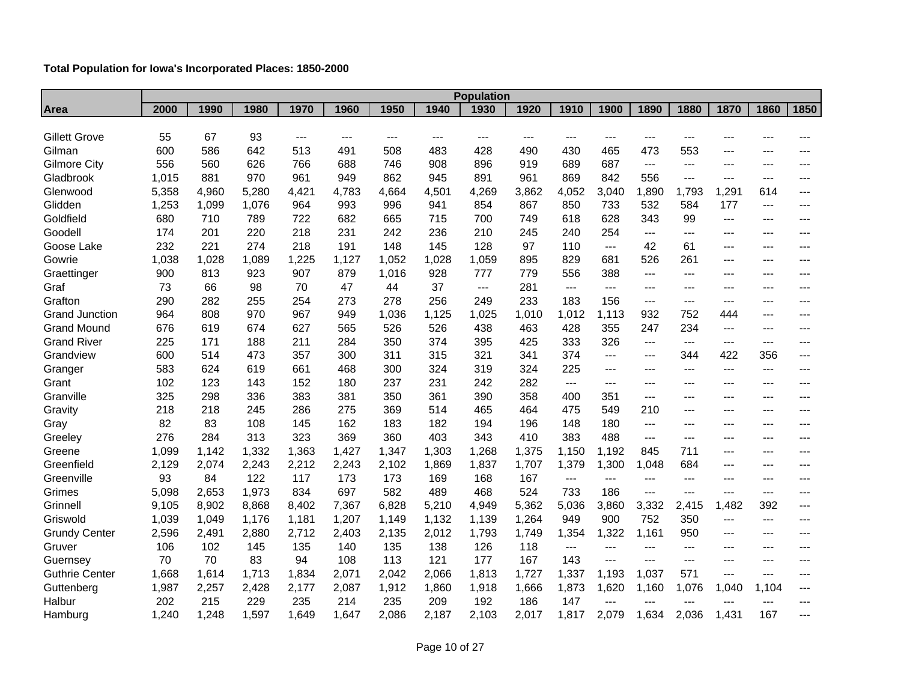|                       | <b>Population</b> |       |       |       |       |       |       |       |       |       |       |       |       |       |       |       |
|-----------------------|-------------------|-------|-------|-------|-------|-------|-------|-------|-------|-------|-------|-------|-------|-------|-------|-------|
| <b>Area</b>           | 2000              | 1990  | 1980  | 1970  | 1960  | 1950  | 1940  | 1930  | 1920  | 1910  | 1900  | 1890  | 1880  | 1870  | 1860  | 1850  |
|                       |                   |       |       |       |       |       |       |       |       |       |       |       |       |       |       |       |
| <b>Gillett Grove</b>  | 55                | 67    | 93    | $---$ | $---$ | $---$ | $---$ | $---$ | $---$ | $---$ | $---$ | ---   | ---   | ---   |       | ---   |
| Gilman                | 600               | 586   | 642   | 513   | 491   | 508   | 483   | 428   | 490   | 430   | 465   | 473   | 553   | ---   | ---   |       |
| <b>Gilmore City</b>   | 556               | 560   | 626   | 766   | 688   | 746   | 908   | 896   | 919   | 689   | 687   | $---$ | ---   | ---   | ---   | ---   |
| Gladbrook             | 1,015             | 881   | 970   | 961   | 949   | 862   | 945   | 891   | 961   | 869   | 842   | 556   | ---   | ---   | $---$ | ---   |
| Glenwood              | 5,358             | 4,960 | 5,280 | 4,421 | 4,783 | 4,664 | 4,501 | 4,269 | 3,862 | 4,052 | 3,040 | 1,890 | 1,793 | 1,291 | 614   | ---   |
| Glidden               | 1,253             | 1,099 | 1,076 | 964   | 993   | 996   | 941   | 854   | 867   | 850   | 733   | 532   | 584   | 177   | $---$ | ---   |
| Goldfield             | 680               | 710   | 789   | 722   | 682   | 665   | 715   | 700   | 749   | 618   | 628   | 343   | 99    | $---$ | ---   | ---   |
| Goodell               | 174               | 201   | 220   | 218   | 231   | 242   | 236   | 210   | 245   | 240   | 254   | ---   | ---   | ---   | $---$ | ---   |
| Goose Lake            | 232               | 221   | 274   | 218   | 191   | 148   | 145   | 128   | 97    | 110   | $---$ | 42    | 61    | ---   | ---   | ---   |
| Gowrie                | 1,038             | 1,028 | 1,089 | 1,225 | 1,127 | 1,052 | 1,028 | 1,059 | 895   | 829   | 681   | 526   | 261   | $---$ | $---$ | ---   |
| Graettinger           | 900               | 813   | 923   | 907   | 879   | 1,016 | 928   | 777   | 779   | 556   | 388   | ---   | ---   | ---   | $---$ | ---   |
| Graf                  | 73                | 66    | 98    | 70    | 47    | 44    | 37    | $---$ | 281   | ---   | $---$ | $---$ | ---   | ---   | ---   | ---   |
| Grafton               | 290               | 282   | 255   | 254   | 273   | 278   | 256   | 249   | 233   | 183   | 156   | ---   | $---$ | $---$ | $---$ | ---   |
| <b>Grand Junction</b> | 964               | 808   | 970   | 967   | 949   | 1,036 | 1,125 | 1,025 | 1,010 | 1,012 | 1,113 | 932   | 752   | 444   | ---   | ---   |
| <b>Grand Mound</b>    | 676               | 619   | 674   | 627   | 565   | 526   | 526   | 438   | 463   | 428   | 355   | 247   | 234   | ---   | $---$ | ---   |
| <b>Grand River</b>    | 225               | 171   | 188   | 211   | 284   | 350   | 374   | 395   | 425   | 333   | 326   | $---$ | $---$ | ---   | $---$ | ---   |
| Grandview             | 600               | 514   | 473   | 357   | 300   | 311   | 315   | 321   | 341   | 374   | $---$ | $---$ | 344   | 422   | 356   | ---   |
| Granger               | 583               | 624   | 619   | 661   | 468   | 300   | 324   | 319   | 324   | 225   | $---$ | ---   | ---   | ---   | $---$ | ---   |
| Grant                 | 102               | 123   | 143   | 152   | 180   | 237   | 231   | 242   | 282   | $---$ | $---$ | $---$ | ---   | ---   | $---$ | ---   |
| Granville             | 325               | 298   | 336   | 383   | 381   | 350   | 361   | 390   | 358   | 400   | 351   | ---   | ---   | $---$ | $---$ | ---   |
| Gravity               | 218               | 218   | 245   | 286   | 275   | 369   | 514   | 465   | 464   | 475   | 549   | 210   | $---$ | $---$ | $---$ | ---   |
| Gray                  | 82                | 83    | 108   | 145   | 162   | 183   | 182   | 194   | 196   | 148   | 180   | $---$ | ---   | ---   | $---$ | ---   |
| Greeley               | 276               | 284   | 313   | 323   | 369   | 360   | 403   | 343   | 410   | 383   | 488   | $---$ | $---$ | ---   | $---$ | $---$ |
| Greene                | 1,099             | 1,142 | 1,332 | 1,363 | 1,427 | 1,347 | 1,303 | 1,268 | 1,375 | 1,150 | 1,192 | 845   | 711   | ---   | $---$ | ---   |
| Greenfield            | 2,129             | 2,074 | 2,243 | 2,212 | 2,243 | 2,102 | 1,869 | 1,837 | 1,707 | 1,379 | 1,300 | 1,048 | 684   | ---   | ---   | ---   |
| Greenville            | 93                | 84    | 122   | 117   | 173   | 173   | 169   | 168   | 167   | $---$ | $---$ | $---$ | ---   | ---   | $---$ | ---   |
| Grimes                | 5,098             | 2,653 | 1,973 | 834   | 697   | 582   | 489   | 468   | 524   | 733   | 186   | ---   | ---   | ---   | ---   | ---   |
| Grinnell              | 9,105             | 8,902 | 8,868 | 8,402 | 7,367 | 6,828 | 5,210 | 4,949 | 5,362 | 5,036 | 3,860 | 3,332 | 2,415 | 1,482 | 392   | $---$ |
| Griswold              | 1,039             | 1,049 | 1,176 | 1,181 | 1,207 | 1,149 | 1,132 | 1,139 | 1,264 | 949   | 900   | 752   | 350   | $---$ | $---$ | $---$ |
| <b>Grundy Center</b>  | 2,596             | 2,491 | 2,880 | 2,712 | 2,403 | 2,135 | 2,012 | 1,793 | 1,749 | 1,354 | 1,322 | 1,161 | 950   | ---   | $---$ | ---   |
| Gruver                | 106               | 102   | 145   | 135   | 140   | 135   | 138   | 126   | 118   | $---$ | $---$ | $--$  | ---   | ---   | ---   | ---   |
| Guernsey              | 70                | 70    | 83    | 94    | 108   | 113   | 121   | 177   | 167   | 143   | $---$ | ---   | ---   | ---   | $---$ | ---   |
| <b>Guthrie Center</b> | 1,668             | 1,614 | 1,713 | 1,834 | 2,071 | 2,042 | 2,066 | 1,813 | 1,727 | 1,337 | 1,193 | 1,037 | 571   | ---   | $---$ | ---   |
| Guttenberg            | 1,987             | 2,257 | 2,428 | 2,177 | 2,087 | 1,912 | 1,860 | 1,918 | 1,666 | 1,873 | 1,620 | 1,160 | 1,076 | 1,040 | 1,104 | ---   |
| Halbur                | 202               | 215   | 229   | 235   | 214   | 235   | 209   | 192   | 186   | 147   | $---$ | $---$ | $---$ | $---$ | $---$ | $---$ |
| Hamburg               | 1,240             | 1,248 | 1,597 | 1,649 | 1,647 | 2,086 | 2,187 | 2,103 | 2,017 | 1,817 | 2,079 | 1,634 | 2,036 | 1,431 | 167   | $---$ |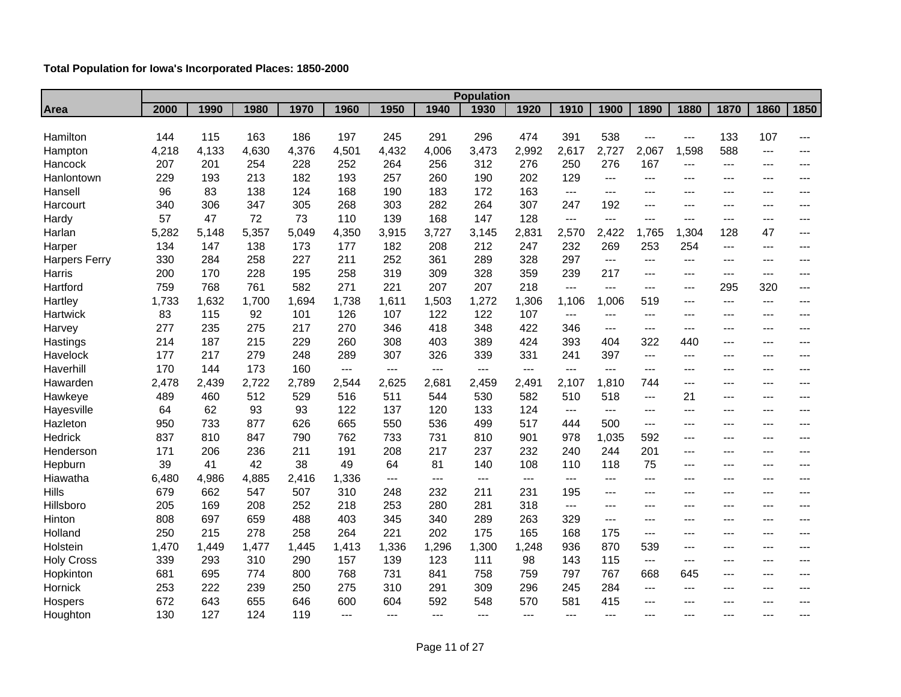| Total Population for Iowa's Incorporated Places: 1850-2000 |  |
|------------------------------------------------------------|--|
|------------------------------------------------------------|--|

|                      |       | <b>Population</b> |       |       |       |       |       |       |       |       |       |       |           |                                                           |       |                          |
|----------------------|-------|-------------------|-------|-------|-------|-------|-------|-------|-------|-------|-------|-------|-----------|-----------------------------------------------------------|-------|--------------------------|
| Area                 | 2000  | 1990              | 1980  | 1970  | 1960  | 1950  | 1940  | 1930  | 1920  | 1910  | 1900  | 1890  | 1880      | 1870                                                      | 1860  | 1850                     |
|                      |       |                   |       |       |       |       |       |       |       |       |       |       |           |                                                           |       |                          |
| Hamilton             | 144   | 115               | 163   | 186   | 197   | 245   | 291   | 296   | 474   | 391   | 538   | $---$ | $---$     | 133                                                       | 107   | $---$                    |
| Hampton              | 4,218 | 4,133             | 4,630 | 4,376 | 4,501 | 4,432 | 4,006 | 3,473 | 2,992 | 2,617 | 2,727 | 2,067 | ,598<br>1 | 588                                                       | $---$ | ---                      |
| Hancock              | 207   | 201               | 254   | 228   | 252   | 264   | 256   | 312   | 276   | 250   | 276   | 167   | $---$     | $\overline{\phantom{a}}$                                  | $---$ | ---                      |
| Hanlontown           | 229   | 193               | 213   | 182   | 193   | 257   | 260   | 190   | 202   | 129   | ---   | ---   | $---$     | $---$                                                     | $---$ | ---                      |
| Hansell              | 96    | 83                | 138   | 124   | 168   | 190   | 183   | 172   | 163   | ---   | ---   | ---   | $---$     | ---                                                       | $---$ | ---                      |
| Harcourt             | 340   | 306               | 347   | 305   | 268   | 303   | 282   | 264   | 307   | 247   | 192   | $---$ | $---$     | $---$                                                     | $---$ | ---                      |
| Hardy                | 57    | 47                | 72    | 73    | 110   | 139   | 168   | 147   | 128   | $---$ | $---$ | ---   | $---$     | $---$                                                     | $---$ | ---                      |
| Harlan               | 5,282 | 5,148             | 5,357 | 5,049 | 4,350 | 3,915 | 3,727 | 3,145 | 2,831 | 2,570 | 2,422 | 1,765 | 1,304     | 128                                                       | 47    | $---$                    |
| Harper               | 134   | 147               | 138   | 173   | 177   | 182   | 208   | 212   | 247   | 232   | 269   | 253   | 254       | $---$                                                     | $---$ | $---$                    |
| <b>Harpers Ferry</b> | 330   | 284               | 258   | 227   | 211   | 252   | 361   | 289   | 328   | 297   | $---$ | $---$ | $---$     | $---$                                                     | $---$ | ---                      |
| Harris               | 200   | 170               | 228   | 195   | 258   | 319   | 309   | 328   | 359   | 239   | 217   | $---$ | $---$     | $\hspace{0.05cm}$ - $\hspace{0.05cm}$ - $\hspace{0.05cm}$ | $---$ | $---$                    |
| Hartford             | 759   | 768               | 761   | 582   | 271   | 221   | 207   | 207   | 218   | $---$ | $---$ | $---$ | $---$     | 295                                                       | 320   | $\overline{\phantom{a}}$ |
| Hartley              | 1,733 | 1,632             | 1,700 | 1,694 | 1,738 | 1,611 | 1,503 | 1,272 | 1,306 | 1,106 | 1,006 | 519   | $---$     | $---$                                                     | $---$ | $---$                    |
| Hartwick             | 83    | 115               | 92    | 101   | 126   | 107   | 122   | 122   | 107   | ---   | ---   | $---$ | $---$     | $---$                                                     | $---$ | ---                      |
| Harvey               | 277   | 235               | 275   | 217   | 270   | 346   | 418   | 348   | 422   | 346   | ---   | $---$ | $---$     | $---$                                                     | $---$ | ---                      |
| Hastings             | 214   | 187               | 215   | 229   | 260   | 308   | 403   | 389   | 424   | 393   | 404   | 322   | 440       | $---$                                                     | $---$ | ---                      |
| Havelock             | 177   | 217               | 279   | 248   | 289   | 307   | 326   | 339   | 331   | 241   | 397   | $---$ | $---$     | $---$                                                     | $---$ | ---                      |
| Haverhill            | 170   | 144               | 173   | 160   | $---$ | $---$ | $---$ | $---$ | $---$ | $---$ | $---$ | $---$ | $---$     | $---$                                                     | $---$ | ---                      |
| Hawarden             | 2,478 | 2,439             | 2,722 | 2,789 | 2,544 | 2,625 | 2,681 | 2,459 | 2,491 | 2,107 | 1,810 | 744   | $---$     | $---$                                                     | $---$ | ---                      |
| Hawkeye              | 489   | 460               | 512   | 529   | 516   | 511   | 544   | 530   | 582   | 510   | 518   | ---   | 21        | $---$                                                     | $---$ |                          |
| Hayesville           | 64    | 62                | 93    | 93    | 122   | 137   | 120   | 133   | 124   | $---$ | $---$ | $---$ | $---$     | $---$                                                     | $---$ | ---                      |
| Hazleton             | 950   | 733               | 877   | 626   | 665   | 550   | 536   | 499   | 517   | 444   | 500   | ---   | $---$     | $---$                                                     | $---$ | ---                      |
| Hedrick              | 837   | 810               | 847   | 790   | 762   | 733   | 731   | 810   | 901   | 978   | 1,035 | 592   | $---$     | $---$                                                     | $---$ |                          |
| Henderson            | 171   | 206               | 236   | 211   | 191   | 208   | 217   | 237   | 232   | 240   | 244   | 201   | $---$     | $---$                                                     | $---$ | ---                      |
| Hepburn              | 39    | 41                | 42    | 38    | 49    | 64    | 81    | 140   | 108   | 110   | 118   | 75    | $---$     | $---$                                                     | $---$ | ---                      |
| Hiawatha             | 6,480 | 4,986             | 4,885 | 2,416 | 1,336 | $---$ | $---$ | $---$ | $---$ | $---$ | $---$ | $---$ | $---$     | $---$                                                     | $---$ | ---                      |
| <b>Hills</b>         | 679   | 662               | 547   | 507   | 310   | 248   | 232   | 211   | 231   | 195   | $---$ | $---$ | $---$     | $---$                                                     | $---$ | ---                      |
| Hillsboro            | 205   | 169               | 208   | 252   | 218   | 253   | 280   | 281   | 318   | ---   | $---$ | $---$ | $---$     | $---$                                                     | $---$ | ---                      |
| Hinton               | 808   | 697               | 659   | 488   | 403   | 345   | 340   | 289   | 263   | 329   | $---$ | $---$ | $---$     | $---$                                                     | $---$ | ---                      |
| Holland              | 250   | 215               | 278   | 258   | 264   | 221   | 202   | 175   | 165   | 168   | 175   | $---$ | $---$     | $---$                                                     | $---$ | ---                      |
| Holstein             | 1,470 | 1,449             | 1,477 | 1,445 | 1,413 | 1,336 | 1,296 | 1,300 | 1,248 | 936   | 870   | 539   | $---$     | $---$                                                     | $---$ | ---                      |
| <b>Holy Cross</b>    | 339   | 293               | 310   | 290   | 157   | 139   | 123   | 111   | 98    | 143   | 115   | $---$ | ---       | $---$                                                     | $---$ | ---                      |
| Hopkinton            | 681   | 695               | 774   | 800   | 768   | 731   | 841   | 758   | 759   | 797   | 767   | 668   | 645       | $---$                                                     | $---$ | ---                      |
| Hornick              | 253   | 222               | 239   | 250   | 275   | 310   | 291   | 309   | 296   | 245   | 284   | ---   | $---$     | $---$                                                     | $---$ | ---                      |
| Hospers              | 672   | 643               | 655   | 646   | 600   | 604   | 592   | 548   | 570   | 581   | 415   | ---   | ---       | ---                                                       |       |                          |
| Houghton             | 130   | 127               | 124   | 119   | $---$ | $---$ | ---   | $---$ | $---$ | $---$ | ---   | $---$ | $---$     | $---$                                                     | $---$ | ---                      |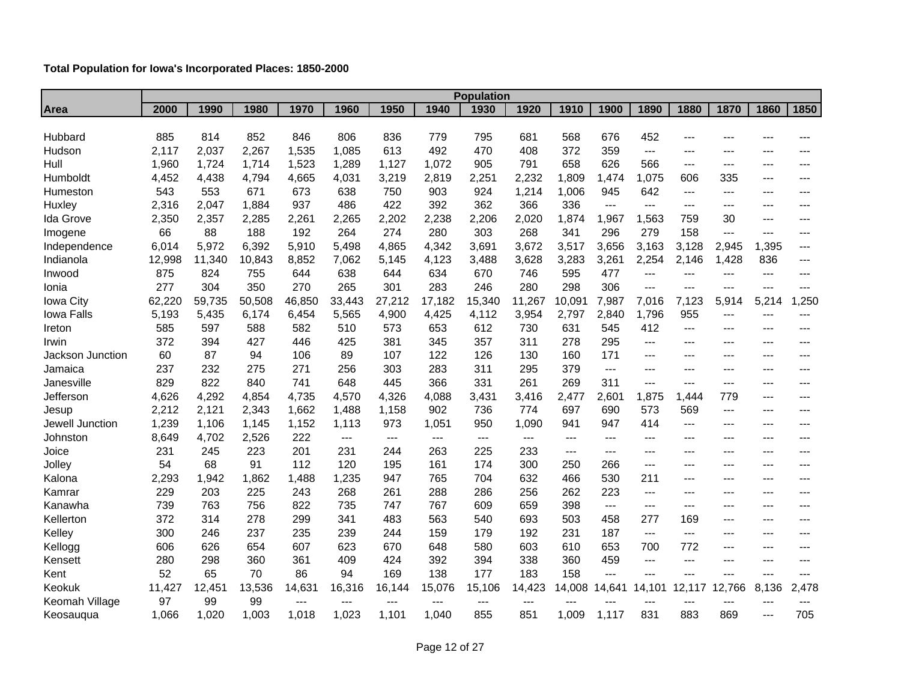| Total Population for Iowa's Incorporated Places: 1850-2000 |  |  |  |
|------------------------------------------------------------|--|--|--|
|------------------------------------------------------------|--|--|--|

|                  | <b>Population</b> |        |        |        |        |        |        |        |        |        |        |            |        |        |                          |       |
|------------------|-------------------|--------|--------|--------|--------|--------|--------|--------|--------|--------|--------|------------|--------|--------|--------------------------|-------|
| <b>Area</b>      | 2000              | 1990   | 1980   | 1970   | 1960   | 1950   | 1940   | 1930   | 1920   | 1910   | 1900   | 1890       | 1880   | 1870   | 1860                     | 1850  |
|                  |                   |        |        |        |        |        |        |        |        |        |        |            |        |        |                          |       |
| Hubbard          | 885               | 814    | 852    | 846    | 806    | 836    | 779    | 795    | 681    | 568    | 676    | 452        | $---$  | $---$  |                          |       |
| Hudson           | 2,117             | 2,037  | 2,267  | 1,535  | 1,085  | 613    | 492    | 470    | 408    | 372    | 359    | $---$      | $---$  | $---$  | $---$                    | ---   |
| Hull             | 1,960             | 1,724  | 1,714  | 1,523  | 1,289  | 1,127  | 1,072  | 905    | 791    | 658    | 626    | 566        | ---    | $---$  | $---$                    |       |
| Humboldt         | 4,452             | 4,438  | 4,794  | 4,665  | 4,031  | 3,219  | 2,819  | 2,251  | 2,232  | 1,809  | 1,474  | 1,075      | 606    | 335    | $--$                     |       |
| Humeston         | 543               | 553    | 671    | 673    | 638    | 750    | 903    | 924    | 1,214  | 1,006  | 945    | 642        | $---$  | $---$  | $---$                    | $---$ |
| Huxley           | 2,316             | 2,047  | 1,884  | 937    | 486    | 422    | 392    | 362    | 366    | 336    | $---$  | ---        | $---$  | $---$  | $---$                    | $---$ |
| Ida Grove        | 2,350             | 2,357  | 2,285  | 2,261  | 2,265  | 2,202  | 2,238  | 2,206  | 2,020  | 1,874  | 1,967  | 1,563      | 759    | 30     | $--$                     | ---   |
| Imogene          | 66                | 88     | 188    | 192    | 264    | 274    | 280    | 303    | 268    | 341    | 296    | 279        | 158    | $---$  | $---$                    | $---$ |
| Independence     | 6,014             | 5,972  | 6,392  | 5,910  | 5,498  | 4,865  | 4,342  | 3,691  | 3,672  | 3,517  | 3,656  | 3,163      | 3,128  | 2,945  | 1,395                    | $---$ |
| Indianola        | 12,998            | 11,340 | 10,843 | 8,852  | 7,062  | 5,145  | 4,123  | 3,488  | 3,628  | 3,283  | 3,261  | 2,254      | 2,146  | 1,428  | 836                      | ---   |
| Inwood           | 875               | 824    | 755    | 644    | 638    | 644    | 634    | 670    | 746    | 595    | 477    | $---$      | $---$  | $---$  | $\frac{1}{2}$            | $---$ |
| Ionia            | 277               | 304    | 350    | 270    | 265    | 301    | 283    | 246    | 280    | 298    | 306    | $---$      | $---$  | $---$  | $---$                    | $---$ |
| Iowa City        | 62,220            | 59,735 | 50,508 | 46,850 | 33,443 | 27,212 | 17,182 | 15,340 | 11,267 | 10,091 | 7,987  | 7,016      | 7,123  | 5,914  | 5,214                    | ,250  |
| Iowa Falls       | 5,193             | 5,435  | 6,174  | 6,454  | 5,565  | 4,900  | 4,425  | 4,112  | 3,954  | 2,797  | 2,840  | 1,796      | 955    | $---$  | $\overline{\phantom{a}}$ | ---   |
| Ireton           | 585               | 597    | 588    | 582    | 510    | 573    | 653    | 612    | 730    | 631    | 545    | 412        | $---$  | $---$  | $---$                    | $---$ |
| Irwin            | 372               | 394    | 427    | 446    | 425    | 381    | 345    | 357    | 311    | 278    | 295    | $---$      | $---$  | ---    | $---$                    | ---   |
| Jackson Junction | 60                | 87     | 94     | 106    | 89     | 107    | 122    | 126    | 130    | 160    | 171    | $---$      | $---$  | $---$  | $---$                    | $---$ |
| Jamaica          | 237               | 232    | 275    | 271    | 256    | 303    | 283    | 311    | 295    | 379    | $---$  | $---$      | $---$  | $---$  | $---$                    | ---   |
| Janesville       | 829               | 822    | 840    | 741    | 648    | 445    | 366    | 331    | 261    | 269    | 311    | $---$      | $---$  | $---$  | $---$                    |       |
| Jefferson        | 4,626             | 4,292  | 4,854  | 4,735  | 4,570  | 4,326  | 4,088  | 3,431  | 3,416  | 2,477  | 2,601  | 1,875      | 1,444  | 779    | $---$                    | $---$ |
| Jesup            | 2,212             | 2,121  | 2,343  | 1,662  | 1,488  | 1,158  | 902    | 736    | 774    | 697    | 690    | 573        | 569    | $---$  | $---$                    | ---   |
| Jewell Junction  | 1,239             | 1,106  | 1,145  | 1,152  | 1,113  | 973    | 1,051  | 950    | 1,090  | 941    | 947    | 414        | $---$  | $---$  | $---$                    | ---   |
| Johnston         | 8,649             | 4,702  | 2,526  | 222    | $---$  | $--$   | $---$  | $---$  | $---$  | ---    | $---$  | $---$      | $---$  | $---$  | $---$                    | $---$ |
| Joice            | 231               | 245    | 223    | 201    | 231    | 244    | 263    | 225    | 233    | ---    | $---$  | $---$      | $---$  | $---$  | $---$                    | $---$ |
| Jolley           | 54                | 68     | 91     | 112    | 120    | 195    | 161    | 174    | 300    | 250    | 266    | ---        | $---$  | $---$  | $---$                    | ---   |
| Kalona           | 2,293             | 1,942  | 1,862  | 1,488  | 1,235  | 947    | 765    | 704    | 632    | 466    | 530    | 211        | $---$  | $---$  | $---$                    | $---$ |
| Kamrar           | 229               | 203    | 225    | 243    | 268    | 261    | 288    | 286    | 256    | 262    | 223    | $---$      | $---$  | $---$  | $---$                    |       |
| Kanawha          | 739               | 763    | 756    | 822    | 735    | 747    | 767    | 609    | 659    | 398    | $---$  | $---$      | $---$  | $---$  | $---$                    |       |
| Kellerton        | 372               | 314    | 278    | 299    | 341    | 483    | 563    | 540    | 693    | 503    | 458    | 277        | 169    | $---$  | $---$                    | $---$ |
| Kelley           | 300               | 246    | 237    | 235    | 239    | 244    | 159    | 179    | 192    | 231    | 187    | $---$      | $---$  | $---$  | $---$                    | ---   |
| Kellogg          | 606               | 626    | 654    | 607    | 623    | 670    | 648    | 580    | 603    | 610    | 653    | 700        | 772    | $---$  | $---$                    |       |
| Kensett          | 280               | 298    | 360    | 361    | 409    | 424    | 392    | 394    | 338    | 360    | 459    | $---$      | $---$  | $---$  | $---$                    | $---$ |
| Kent             | 52                | 65     | 70     | 86     | 94     | 169    | 138    | 177    | 183    | 158    | $---$  | $---$      |        |        | $---$                    |       |
| Keokuk           | 11,427            | 12,451 | 13,536 | 14,631 | 16,316 | 16,144 | 15,076 | 15,106 | 14,423 | 14,008 | 14,641 | 4,101<br>1 | 12,117 | 12,766 | 8,136                    | 2,478 |
| Keomah Village   | 97                | 99     | 99     | $---$  | $---$  | $---$  | $---$  | $---$  | $---$  | $---$  | $---$  | $---$      | $---$  | $---$  | $---$                    | $---$ |
| Keosauqua        | 1,066             | 1,020  | 1,003  | 1,018  | 1,023  | 1,101  | 1,040  | 855    | 851    | 1,009  | 1,117  | 831        | 883    | 869    | ---                      | 705   |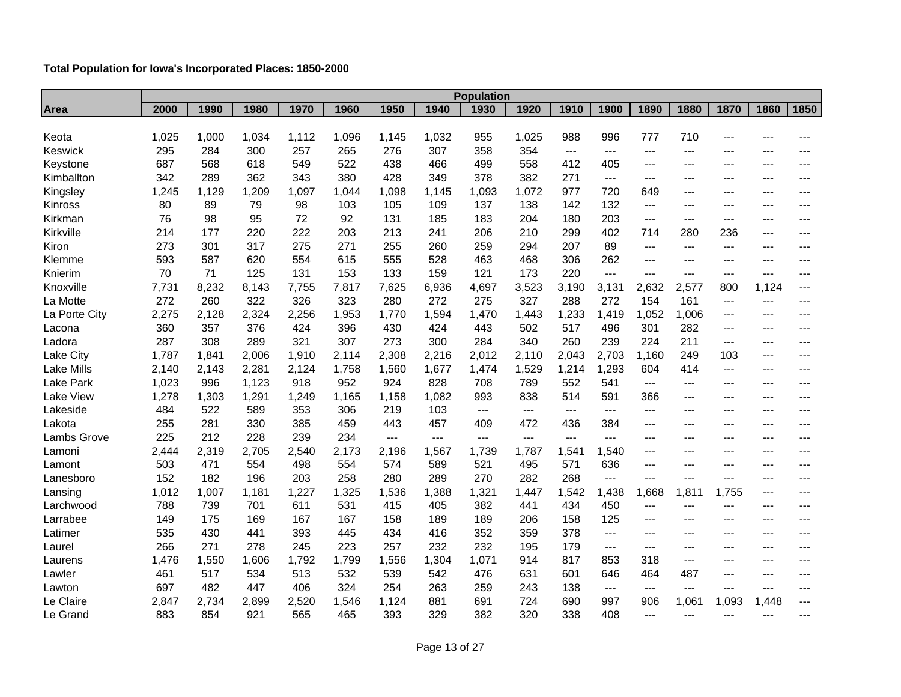|               | <b>Population</b> |       |       |       |       |       |       |                |       |       |       |       |                   |                                                           |                        |                |
|---------------|-------------------|-------|-------|-------|-------|-------|-------|----------------|-------|-------|-------|-------|-------------------|-----------------------------------------------------------|------------------------|----------------|
| Area          | 2000              | 1990  | 1980  | 1970  | 1960  | 1950  | 1940  | 1930           | 1920  | 1910  | 1900  | 1890  | 1880              | 1870                                                      | 1860                   | 1850           |
|               |                   |       |       |       |       |       |       |                |       |       |       |       |                   |                                                           |                        |                |
| Keota         | 1,025             | 1,000 | 1,034 | 1,112 | 1,096 | 1,145 | 1,032 | 955            | 1,025 | 988   | 996   | 777   | 710               | $---$                                                     |                        |                |
| Keswick       | 295               | 284   | 300   | 257   | 265   | 276   | 307   | 358            | 354   | ---   | $---$ | $---$ | $\qquad \qquad -$ | $---$                                                     | $---$                  | ---            |
| Keystone      | 687               | 568   | 618   | 549   | 522   | 438   | 466   | 499            | 558   | 412   | 405   | $---$ | $---$             | $---$                                                     | $---$                  | ---            |
| Kimballton    | 342               | 289   | 362   | 343   | 380   | 428   | 349   | 378            | 382   | 271   | $---$ | $---$ | $---$             | ---                                                       | ---                    | ---            |
| Kingsley      | 1,245             | 1,129 | 1,209 | 1,097 | 1,044 | 1,098 | 1,145 | 1,093          | 1,072 | 977   | 720   | 649   | $---$             | $---$                                                     | $---$                  | ---            |
| Kinross       | 80                | 89    | 79    | 98    | 103   | 105   | 109   | 137            | 138   | 142   | 132   | $---$ | $---$             | $---$                                                     | $---$                  | ---            |
| Kirkman       | 76                | 98    | 95    | 72    | 92    | 131   | 185   | 183            | 204   | 180   | 203   | ---   | ---               | ---                                                       | ---                    | ---            |
| Kirkville     | 214               | 177   | 220   | 222   | 203   | 213   | 241   | 206            | 210   | 299   | 402   | 714   | 280               | 236                                                       | $---$                  | ---            |
| Kiron         | 273               | 301   | 317   | 275   | 271   | 255   | 260   | 259            | 294   | 207   | 89    | ---   | $---$             | $---$                                                     | $---$                  | ---            |
| Klemme        | 593               | 587   | 620   | 554   | 615   | 555   | 528   | 463            | 468   | 306   | 262   | ---   | $---$             | ---                                                       | $---$                  | ---            |
| Knierim       | 70                | 71    | 125   | 131   | 153   | 133   | 159   | 121            | 173   | 220   | $---$ | $---$ | $---$             | $---$                                                     | $---$                  | $---$          |
| Knoxville     | 7,731             | 8,232 | 8,143 | 7,755 | 7,817 | 7,625 | 6,936 | 4,697          | 3,523 | 3,190 | 3,131 | 2,632 | 2,577             | 800                                                       | 1,124                  | $\overline{a}$ |
| La Motte      | 272               | 260   | 322   | 326   | 323   | 280   | 272   | 275            | 327   | 288   | 272   | 154   | 161               | $---$                                                     | $---$                  | $---$          |
| La Porte City | 2,275             | 2,128 | 2,324 | 2,256 | 1,953 | 1,770 | 1,594 | 1,470          | 1,443 | 1,233 | 1,419 | 1,052 | 1,006             | $---$                                                     | $---$                  | $---$          |
| Lacona        | 360               | 357   | 376   | 424   | 396   | 430   | 424   | 443            | 502   | 517   | 496   | 301   | 282               | $---$                                                     | $---$                  | ---            |
| Ladora        | 287               | 308   | 289   | 321   | 307   | 273   | 300   | 284            | 340   | 260   | 239   | 224   | 211               | $\hspace{0.05cm}$ - $\hspace{0.05cm}$ - $\hspace{0.05cm}$ | $---$                  | ---            |
| Lake City     | 1,787             | 1,841 | 2,006 | 1,910 | 2,114 | 2,308 | 2,216 | 2,012          | 2,110 | 2,043 | 2,703 | 1,160 | 249               | 103                                                       | $---$                  | ---            |
| Lake Mills    | 2,140             | 2,143 | 2,281 | 2,124 | 1,758 | 1,560 | 1,677 | 1,474          | 1,529 | 1,214 | 1,293 | 604   | 414               | $---$                                                     | $\qquad \qquad \cdots$ | ---            |
| Lake Park     | 1,023             | 996   | 1,123 | 918   | 952   | 924   | 828   | 708            | 789   | 552   | 541   | $---$ | $---$             | $---$                                                     | $---$                  |                |
| Lake View     | 1,278             | 1,303 | 1,291 | 1,249 | 1,165 | 1,158 | 1,082 | 993            | 838   | 514   | 591   | 366   | $---$             | $---$                                                     | $---$                  | ---            |
| Lakeside      | 484               | 522   | 589   | 353   | 306   | 219   | 103   | $---$          | ---   | ---   | ---   | $---$ | ---               | $---$                                                     | $---$                  | ---            |
| Lakota        | 255               | 281   | 330   | 385   | 459   | 443   | 457   | 409            | 472   | 436   | 384   | $---$ | $---$             | $---$                                                     | $---$                  | ---            |
| Lambs Grove   | 225               | 212   | 228   | 239   | 234   | $---$ | $---$ | $\overline{a}$ | $---$ | $---$ | $---$ | $---$ | $---$             | $---$                                                     | $---$                  | $---$          |
| Lamoni        | 2,444             | 2,319 | 2,705 | 2,540 | 2,173 | 2,196 | 1,567 | 1,739          | 1,787 | 1,541 | 1,540 | $---$ | $---$             | $---$                                                     | $---$                  | ---            |
| Lamont        | 503               | 471   | 554   | 498   | 554   | 574   | 589   | 521            | 495   | 571   | 636   | $---$ | $---$             | $---$                                                     | $---$                  | ---            |
| Lanesboro     | 152               | 182   | 196   | 203   | 258   | 280   | 289   | 270            | 282   | 268   | $---$ | $---$ | $---$             | ---                                                       | $---$                  | ---            |
| Lansing       | 1,012             | 1,007 | 1,181 | 1,227 | 1,325 | 1,536 | 1,388 | 1,321          | 1,447 | 1,542 | 1,438 | 1,668 | 1,811             | 1,755                                                     | $\qquad \qquad - -$    | ---            |
| Larchwood     | 788               | 739   | 701   | 611   | 531   | 415   | 405   | 382            | 441   | 434   | 450   | $---$ | $---$             | $---$                                                     | $---$                  | ---            |
| Larrabee      | 149               | 175   | 169   | 167   | 167   | 158   | 189   | 189            | 206   | 158   | 125   | $---$ | $---$             | $---$                                                     | $---$                  | ---            |
| Latimer       | 535               | 430   | 441   | 393   | 445   | 434   | 416   | 352            | 359   | 378   | ---   | $---$ | $---$             | $---$                                                     | $---$                  | ---            |
| Laurel        | 266               | 271   | 278   | 245   | 223   | 257   | 232   | 232            | 195   | 179   | ---   | $---$ | $---$             | $---$                                                     | ---                    |                |
| Laurens       | 1,476             | 1,550 | 1,606 | 1,792 | 1,799 | 1,556 | 1,304 | 1,071          | 914   | 817   | 853   | 318   | $---$             | $---$                                                     | $---$                  | ---            |
| Lawler        | 461               | 517   | 534   | 513   | 532   | 539   | 542   | 476            | 631   | 601   | 646   | 464   | 487               | $---$                                                     | $---$                  | ---            |
| Lawton        | 697               | 482   | 447   | 406   | 324   | 254   | 263   | 259            | 243   | 138   | ---   | $---$ | $---$             | $---$                                                     | $---$                  | ---            |
| Le Claire     | 2,847             | 2,734 | 2,899 | 2,520 | 1,546 | 1,124 | 881   | 691            | 724   | 690   | 997   | 906   | 1,061             | 1,093                                                     | 1,448                  | $---$          |
| Le Grand      | 883               | 854   | 921   | 565   | 465   | 393   | 329   | 382            | 320   | 338   | 408   | $---$ | $---$             | $---$                                                     | $---$                  | ---            |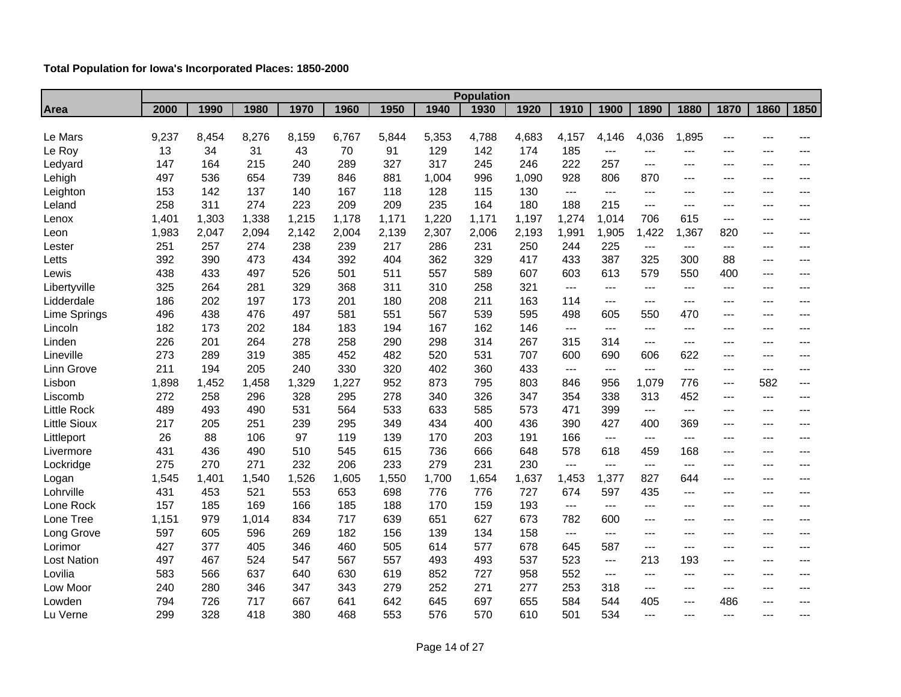| Total Population for Iowa's Incorporated Places: 1850-2000 |  |  |  |
|------------------------------------------------------------|--|--|--|
|------------------------------------------------------------|--|--|--|

|                     |       | <b>Population</b> |       |       |       |       |       |       |       |       |       |       |       |       |       |       |
|---------------------|-------|-------------------|-------|-------|-------|-------|-------|-------|-------|-------|-------|-------|-------|-------|-------|-------|
| Area                | 2000  | 1990              | 1980  | 1970  | 1960  | 1950  | 1940  | 1930  | 1920  | 1910  | 1900  | 1890  | 1880  | 1870  | 1860  | 1850  |
|                     |       |                   |       |       |       |       |       |       |       |       |       |       |       |       |       |       |
| Le Mars             | 9,237 | 8,454             | 8,276 | 8,159 | 6,767 | 5,844 | 5,353 | 4,788 | 4,683 | 4,157 | 4,146 | 4,036 | 1,895 | $---$ |       |       |
| Le Roy              | 13    | 34                | 31    | 43    | 70    | 91    | 129   | 142   | 174   | 185   | $---$ | $---$ | $---$ | $---$ | $---$ | ---   |
| Ledyard             | 147   | 164               | 215   | 240   | 289   | 327   | 317   | 245   | 246   | 222   | 257   | $---$ | $---$ | $---$ | $---$ | ---   |
| Lehigh              | 497   | 536               | 654   | 739   | 846   | 881   | 1,004 | 996   | 1,090 | 928   | 806   | 870   | $---$ | $---$ | ---   | ---   |
| Leighton            | 153   | 142               | 137   | 140   | 167   | 118   | 128   | 115   | 130   | ---   | $---$ | $---$ | $---$ | $---$ | $---$ | ---   |
| Leland              | 258   | 311               | 274   | 223   | 209   | 209   | 235   | 164   | 180   | 188   | 215   | ---   | $---$ | $---$ | $---$ | ---   |
| Lenox               | 1,401 | 1,303             | 1,338 | 1,215 | 1,178 | 1,171 | 1,220 | 1,171 | 1,197 | 1,274 | 1,014 | 706   | 615   | ---   | $--$  | ---   |
| Leon                | 1,983 | 2,047             | 2,094 | 2,142 | 2,004 | 2,139 | 2,307 | 2,006 | 2,193 | 1,991 | 1,905 | 1,422 | 1,367 | 820   | $---$ | ---   |
| Lester              | 251   | 257               | 274   | 238   | 239   | 217   | 286   | 231   | 250   | 244   | 225   | ---   | $---$ | $---$ | $---$ | ---   |
| Letts               | 392   | 390               | 473   | 434   | 392   | 404   | 362   | 329   | 417   | 433   | 387   | 325   | 300   | 88    | $---$ | ---   |
| Lewis               | 438   | 433               | 497   | 526   | 501   | 511   | 557   | 589   | 607   | 603   | 613   | 579   | 550   | 400   | $---$ | $---$ |
| Libertyville        | 325   | 264               | 281   | 329   | 368   | 311   | 310   | 258   | 321   | ---   | $---$ | $---$ | $---$ | ---   | $---$ | $---$ |
| Lidderdale          | 186   | 202               | 197   | 173   | 201   | 180   | 208   | 211   | 163   | 114   | $---$ | $---$ | $---$ | $---$ | $---$ | $---$ |
| Lime Springs        | 496   | 438               | 476   | 497   | 581   | 551   | 567   | 539   | 595   | 498   | 605   | 550   | 470   | $---$ | $---$ | $---$ |
| Lincoln             | 182   | 173               | 202   | 184   | 183   | 194   | 167   | 162   | 146   | ---   | $---$ | $---$ | $---$ | $---$ | $---$ | ---   |
| Linden              | 226   | 201               | 264   | 278   | 258   | 290   | 298   | 314   | 267   | 315   | 314   | $--$  | $---$ | $---$ | ---   | ---   |
| Lineville           | 273   | 289               | 319   | 385   | 452   | 482   | 520   | 531   | 707   | 600   | 690   | 606   | 622   | $---$ | $---$ | ---   |
| Linn Grove          | 211   | 194               | 205   | 240   | 330   | 320   | 402   | 360   | 433   | $---$ | ---   | ---   | ---   | $---$ | $---$ | ---   |
| Lisbon              | 1,898 | 1,452             | 1,458 | 1,329 | 1,227 | 952   | 873   | 795   | 803   | 846   | 956   | 1,079 | 776   | $---$ | 582   | ---   |
| Liscomb             | 272   | 258               | 296   | 328   | 295   | 278   | 340   | 326   | 347   | 354   | 338   | 313   | 452   | $---$ | $---$ | $---$ |
| <b>Little Rock</b>  | 489   | 493               | 490   | 531   | 564   | 533   | 633   | 585   | 573   | 471   | 399   | $---$ | ---   | $---$ | $---$ | ---   |
| <b>Little Sioux</b> | 217   | 205               | 251   | 239   | 295   | 349   | 434   | 400   | 436   | 390   | 427   | 400   | 369   | $---$ | $---$ | $---$ |
| Littleport          | 26    | 88                | 106   | 97    | 119   | 139   | 170   | 203   | 191   | 166   | $---$ | $---$ | $---$ | $---$ | $---$ | $---$ |
| Livermore           | 431   | 436               | 490   | 510   | 545   | 615   | 736   | 666   | 648   | 578   | 618   | 459   | 168   | $---$ | $---$ | ---   |
| Lockridge           | 275   | 270               | 271   | 232   | 206   | 233   | 279   | 231   | 230   | ---   | $---$ | ---   | $---$ | $---$ | $---$ | ---   |
| Logan               | 1,545 | 1,401             | 1,540 | 1,526 | 1,605 | 1,550 | 1,700 | 1,654 | 1,637 | 1,453 | 1,377 | 827   | 644   | $---$ | $---$ | ---   |
| Lohrville           | 431   | 453               | 521   | 553   | 653   | 698   | 776   | 776   | 727   | 674   | 597   | 435   | $---$ | $---$ | $---$ | ---   |
| Lone Rock           | 157   | 185               | 169   | 166   | 185   | 188   | 170   | 159   | 193   | ---   | $---$ | $---$ | $---$ | $---$ | $---$ | ---   |
| Lone Tree           | 1,151 | 979               | 1,014 | 834   | 717   | 639   | 651   | 627   | 673   | 782   | 600   | $---$ | $---$ | $---$ | $---$ | ---   |
| Long Grove          | 597   | 605               | 596   | 269   | 182   | 156   | 139   | 134   | 158   | ---   | ---   | $---$ | $---$ | $---$ | $---$ | ---   |
| Lorimor             | 427   | 377               | 405   | 346   | 460   | 505   | 614   | 577   | 678   | 645   | 587   | $---$ | $---$ | $---$ | ---   | ---   |
| <b>Lost Nation</b>  | 497   | 467               | 524   | 547   | 567   | 557   | 493   | 493   | 537   | 523   | $---$ | 213   | 193   | $---$ | $---$ | ---   |
| Lovilia             | 583   | 566               | 637   | 640   | 630   | 619   | 852   | 727   | 958   | 552   | ---   | $---$ | $---$ | $---$ | $---$ | ---   |
| Low Moor            | 240   | 280               | 346   | 347   | 343   | 279   | 252   | 271   | 277   | 253   | 318   | $---$ | $---$ | $---$ | $---$ | $---$ |
| Lowden              | 794   | 726               | 717   | 667   | 641   | 642   | 645   | 697   | 655   | 584   | 544   | 405   | $---$ | 486   | $---$ | ---   |
| Lu Verne            | 299   | 328               | 418   | 380   | 468   | 553   | 576   | 570   | 610   | 501   | 534   | ---   | $---$ | $---$ | $---$ | ---   |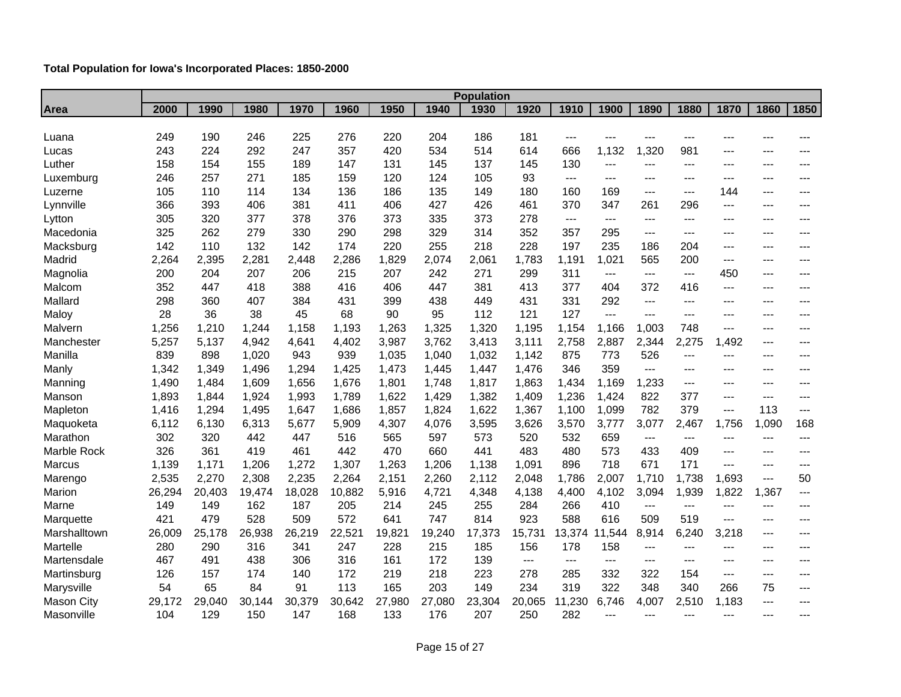|                   | <b>Population</b> |        |        |        |        |        |        |        |                            |        |       |       |       |       |       |       |
|-------------------|-------------------|--------|--------|--------|--------|--------|--------|--------|----------------------------|--------|-------|-------|-------|-------|-------|-------|
| Area              | 2000              | 1990   | 1980   | 1970   | 1960   | 1950   | 1940   | 1930   | 1920                       | 1910   | 1900  | 1890  | 1880  | 1870  | 1860  | 1850  |
|                   |                   |        |        |        |        |        |        |        |                            |        |       |       |       |       |       |       |
| Luana             | 249               | 190    | 246    | 225    | 276    | 220    | 204    | 186    | 181                        | ---    | ---   |       | ---   | ---   |       |       |
| Lucas             | 243               | 224    | 292    | 247    | 357    | 420    | 534    | 514    | 614                        | 666    | 1,132 | ,320  | 981   | ---   | ---   |       |
| Luther            | 158               | 154    | 155    | 189    | 147    | 131    | 145    | 137    | 145                        | 130    | $---$ | ---   | ---   | ---   | ---   | ---   |
| Luxemburg         | 246               | 257    | 271    | 185    | 159    | 120    | 124    | 105    | 93                         | ---    | $---$ | $---$ | ---   | ---   | $---$ | ---   |
| Luzerne           | 105               | 110    | 114    | 134    | 136    | 186    | 135    | 149    | 180                        | 160    | 169   | $---$ | ---   | 144   | $---$ |       |
| Lynnville         | 366               | 393    | 406    | 381    | 411    | 406    | 427    | 426    | 461                        | 370    | 347   | 261   | 296   | ---   | ---   | ---   |
| Lytton            | 305               | 320    | 377    | 378    | 376    | 373    | 335    | 373    | 278                        | $---$  | $---$ | ---   | $---$ | ---   | $---$ | ---   |
| Macedonia         | 325               | 262    | 279    | 330    | 290    | 298    | 329    | 314    | 352                        | 357    | 295   | $---$ | ---   | ---   | ---   | ---   |
| Macksburg         | 142               | 110    | 132    | 142    | 174    | 220    | 255    | 218    | 228                        | 197    | 235   | 186   | 204   | ---   | ---   | ---   |
| Madrid            | 2,264             | 2,395  | 2,281  | 2,448  | 2,286  | 1,829  | 2,074  | 2,061  | 1,783                      | 1,191  | 1,021 | 565   | 200   | ---   | $---$ | ---   |
| Magnolia          | 200               | 204    | 207    | 206    | 215    | 207    | 242    | 271    | 299                        | 311    | $---$ | $---$ | ---   | 450   | ---   | $---$ |
| Malcom            | 352               | 447    | 418    | 388    | 416    | 406    | 447    | 381    | 413                        | 377    | 404   | 372   | 416   | $---$ | $---$ | ---   |
| Mallard           | 298               | 360    | 407    | 384    | 431    | 399    | 438    | 449    | 431                        | 331    | 292   | $---$ | ---   | $---$ | ---   | ---   |
| Maloy             | 28                | 36     | 38     | 45     | 68     | 90     | 95     | 112    | 121                        | 127    | $---$ | $---$ | ---   | ---   | $---$ | ---   |
| Malvern           | 1,256             | 1,210  | 1,244  | 1,158  | 1,193  | 1,263  | 1,325  | 1,320  | 1,195                      | 1,154  | 1,166 | 1,003 | 748   | ---   | $---$ |       |
| Manchester        | 5,257             | 5,137  | 4,942  | 4,641  | 4,402  | 3,987  | 3,762  | 3,413  | 3,111                      | 2,758  | 2,887 | 2,344 | 2,275 | 1,492 | $---$ | ---   |
| Manilla           | 839               | 898    | 1,020  | 943    | 939    | 1,035  | 1,040  | 1,032  | 1,142                      | 875    | 773   | 526   | ---   | ---   | ---   | ---   |
| Manly             | 1,342             | 1,349  | 1,496  | 1,294  | 1,425  | 1,473  | 1,445  | 1,447  | 1,476                      | 346    | 359   | $---$ | ---   | ---   | ---   |       |
| Manning           | 1,490             | 1,484  | 1,609  | 1,656  | 1,676  | 1,801  | 1,748  | 1,817  | 1,863                      | 1,434  | 1,169 | 1,233 | ---   | $---$ | ---   | ---   |
| Manson            | 1,893             | 1,844  | 1,924  | 1,993  | 1,789  | 1,622  | 1,429  | 1,382  | 1,409                      | 1,236  | 1,424 | 822   | 377   | ---   | $---$ | $---$ |
| Mapleton          | 1,416             | 1,294  | 1,495  | 1,647  | 1,686  | 1,857  | 1,824  | 1,622  | 1,367                      | 1,100  | 1,099 | 782   | 379   | ---   | 113   | ---   |
| Maquoketa         | 6,112             | 6,130  | 6,313  | 5,677  | 5,909  | 4,307  | 4,076  | 3,595  | 3,626                      | 3,570  | 3,777 | 3,077 | 2,467 | 1,756 | 1,090 | 168   |
| Marathon          | 302               | 320    | 442    | 447    | 516    | 565    | 597    | 573    | 520                        | 532    | 659   | $---$ | ---   | ---   | $---$ | ---   |
| Marble Rock       | 326               | 361    | 419    | 461    | 442    | 470    | 660    | 441    | 483                        | 480    | 573   | 433   | 409   | ---   | $---$ | ---   |
| <b>Marcus</b>     | 1,139             | 1,171  | 1,206  | 1,272  | 1,307  | 1,263  | 1,206  | 1,138  | 1,091                      | 896    | 718   | 671   | 171   | ---   | $---$ | $---$ |
| Marengo           | 2,535             | 2,270  | 2,308  | 2,235  | 2,264  | 2,151  | 2,260  | 2,112  | 2,048                      | 1,786  | 2,007 | 1,710 | 1,738 | 1,693 | $---$ | 50    |
| Marion            | 26,294            | 20,403 | 19,474 | 18,028 | 10,882 | 5,916  | 4,721  | 4,348  | 4,138                      | 4,400  | 4,102 | 3,094 | 1,939 | 1,822 | 1,367 | ---   |
| Marne             | 149               | 149    | 162    | 187    | 205    | 214    | 245    | 255    | 284                        | 266    | 410   | $---$ | ---   | ---   | $---$ | ---   |
| Marquette         | 421               | 479    | 528    | 509    | 572    | 641    | 747    | 814    | 923                        | 588    | 616   | 509   | 519   | ---   | ---   | ---   |
| Marshalltown      | 26,009            | 25,178 | 26,938 | 26,219 | 22,521 | 19,821 | 19,240 | 17,373 | 15,731                     | 13,374 | 1,544 | 8,914 | 6,240 | 3,218 | $---$ | ---   |
| Martelle          | 280               | 290    | 316    | 341    | 247    | 228    | 215    | 185    | 156                        | 178    | 158   | ---   | ---   | ---   | ---   |       |
| Martensdale       | 467               | 491    | 438    | 306    | 316    | 161    | 172    | 139    | $\qquad \qquad \text{---}$ | ---    | $---$ | $---$ | ---   | ---   | $---$ | ---   |
| Martinsburg       | 126               | 157    | 174    | 140    | 172    | 219    | 218    | 223    | 278                        | 285    | 332   | 322   | 154   | $---$ | $---$ | $---$ |
| Marysville        | 54                | 65     | 84     | 91     | 113    | 165    | 203    | 149    | 234                        | 319    | 322   | 348   | 340   | 266   | 75    | ---   |
| <b>Mason City</b> | 29,172            | 29,040 | 30,144 | 30,379 | 30,642 | 27,980 | 27,080 | 23,304 | 20,065                     | 11,230 | 6,746 | 4,007 | 2,510 | 1,183 | ---   | ---   |
| Masonville        | 104               | 129    | 150    | 147    | 168    | 133    | 176    | 207    | 250                        | 282    | $---$ | $---$ | ---   | ---   | ---   | ---   |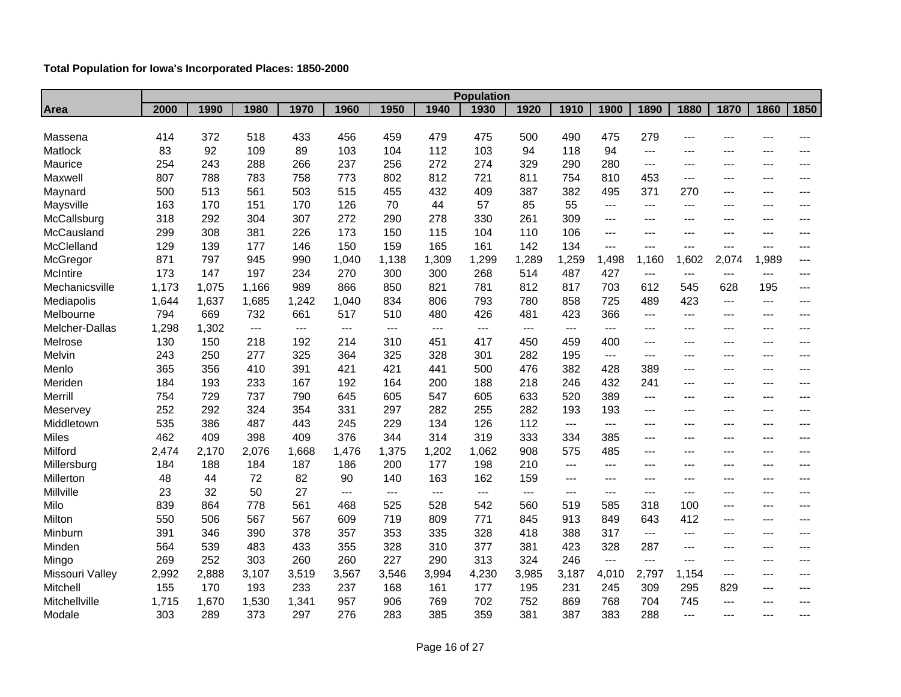|                 |       | <b>Population</b> |                      |       |       |       |       |       |       |       |       |       |         |       |                     |       |
|-----------------|-------|-------------------|----------------------|-------|-------|-------|-------|-------|-------|-------|-------|-------|---------|-------|---------------------|-------|
| Area            | 2000  | 1990              | 1980                 | 1970  | 1960  | 1950  | 1940  | 1930  | 1920  | 1910  | 1900  | 1890  | 1880    | 1870  | 1860                | 1850  |
|                 |       |                   |                      |       |       |       |       |       |       |       |       |       |         |       |                     |       |
| Massena         | 414   | 372               | 518                  | 433   | 456   | 459   | 479   | 475   | 500   | 490   | 475   | 279   | ---     |       |                     |       |
| Matlock         | 83    | 92                | 109                  | 89    | 103   | 104   | 112   | 103   | 94    | 118   | 94    | ---   | $---$   | $---$ | $---$               | ---   |
| Maurice         | 254   | 243               | 288                  | 266   | 237   | 256   | 272   | 274   | 329   | 290   | 280   | $---$ | $---$   | $---$ | $---$               | ---   |
| Maxwell         | 807   | 788               | 783                  | 758   | 773   | 802   | 812   | 721   | 811   | 754   | 810   | 453   | $---$   | $---$ | $---$               | ---   |
| Maynard         | 500   | 513               | 561                  | 503   | 515   | 455   | 432   | 409   | 387   | 382   | 495   | 371   | 270     | $---$ | $---$               | ---   |
| Maysville       | 163   | 170               | 151                  | 170   | 126   | 70    | 44    | 57    | 85    | 55    | $---$ | ---   | ---     | $---$ | $---$               | ---   |
| McCallsburg     | 318   | 292               | 304                  | 307   | 272   | 290   | 278   | 330   | 261   | 309   | ---   | ---   | $---$   | $---$ | $---$               | ---   |
| McCausland      | 299   | 308               | 381                  | 226   | 173   | 150   | 115   | 104   | 110   | 106   | ---   | ---   | $---$   | $---$ | $---$               | ---   |
| McClelland      | 129   | 139               | 177                  | 146   | 150   | 159   | 165   | 161   | 142   | 134   | ---   | ---   | ---     | $---$ | $---$               | ---   |
| McGregor        | 871   | 797               | 945                  | 990   | 1,040 | 1,138 | 1,309 | 1,299 | 1,289 | 1,259 | 1,498 | 1,160 | 1,602   | 2,074 | 1,989               | $---$ |
| McIntire        | 173   | 147               | 197                  | 234   | 270   | 300   | 300   | 268   | 514   | 487   | 427   | $---$ | $---$   | $---$ | $---$               | $---$ |
| Mechanicsville  | 1,173 | 1,075             | 1,166                | 989   | 866   | 850   | 821   | 781   | 812   | 817   | 703   | 612   | 545     | 628   | 195                 | ---   |
| Mediapolis      | 1,644 | 1,637             | 1,685                | 1,242 | 1,040 | 834   | 806   | 793   | 780   | 858   | 725   | 489   | 423     | ---   | $\qquad \qquad - -$ | ---   |
| Melbourne       | 794   | 669               | 732                  | 661   | 517   | 510   | 480   | 426   | 481   | 423   | 366   | $---$ | $---$   | $---$ | $---$               | $---$ |
| Melcher-Dallas  | 1,298 | 1,302             | $\scriptstyle\cdots$ | $---$ | $---$ | $---$ | ---   | $---$ | ---   | ---   | ---   | ---   | ---     | $---$ | $---$               |       |
| Melrose         | 130   | 150               | 218                  | 192   | 214   | 310   | 451   | 417   | 450   | 459   | 400   | ---   | ---     | $---$ | $---$               | ---   |
| Melvin          | 243   | 250               | 277                  | 325   | 364   | 325   | 328   | 301   | 282   | 195   | $---$ | ---   | $---$   | $---$ | $---$               | $---$ |
| Menlo           | 365   | 356               | 410                  | 391   | 421   | 421   | 441   | 500   | 476   | 382   | 428   | 389   | ---     | $---$ | $---$               |       |
| Meriden         | 184   | 193               | 233                  | 167   | 192   | 164   | 200   | 188   | 218   | 246   | 432   | 241   | $---$   | $---$ | $---$               | $---$ |
| Merrill         | 754   | 729               | 737                  | 790   | 645   | 605   | 547   | 605   | 633   | 520   | 389   | $---$ | $- - -$ | $---$ | $---$               | ---   |
| Meservey        | 252   | 292               | 324                  | 354   | 331   | 297   | 282   | 255   | 282   | 193   | 193   | ---   | ---     | $---$ | $---$               |       |
| Middletown      | 535   | 386               | 487                  | 443   | 245   | 229   | 134   | 126   | 112   | $---$ | ---   | ---   | ---     | $---$ | $---$               | ---   |
| <b>Miles</b>    | 462   | 409               | 398                  | 409   | 376   | 344   | 314   | 319   | 333   | 334   | 385   | ---   | $---$   | $---$ | $---$               | $---$ |
| Milford         | 2,474 | 2,170             | 2,076                | 1,668 | 1,476 | 1,375 | 1,202 | 1,062 | 908   | 575   | 485   | ---   | $---$   | $---$ | $---$               | ---   |
| Millersburg     | 184   | 188               | 184                  | 187   | 186   | 200   | 177   | 198   | 210   | $---$ | ---   | ---   | $---$   | $---$ | $---$               | ---   |
| Millerton       | 48    | 44                | 72                   | 82    | 90    | 140   | 163   | 162   | 159   | ---   | ---   | ---   | $---$   | $---$ | $---$               | ---   |
| Millville       | 23    | 32                | 50                   | 27    | $---$ | $---$ | ---   | $---$ | $---$ | ---   | ---   | $---$ | $---$   | $---$ | $---$               |       |
| Milo            | 839   | 864               | 778                  | 561   | 468   | 525   | 528   | 542   | 560   | 519   | 585   | 318   | 100     | ---   | $---$               | ---   |
| Milton          | 550   | 506               | 567                  | 567   | 609   | 719   | 809   | 771   | 845   | 913   | 849   | 643   | 412     | $---$ | $---$               | $---$ |
| Minburn         | 391   | 346               | 390                  | 378   | 357   | 353   | 335   | 328   | 418   | 388   | 317   | ---   | ---     | $---$ | $---$               | ---   |
| Minden          | 564   | 539               | 483                  | 433   | 355   | 328   | 310   | 377   | 381   | 423   | 328   | 287   | ---     | ---   | ---                 | ---   |
| Mingo           | 269   | 252               | 303                  | 260   | 260   | 227   | 290   | 313   | 324   | 246   | $---$ | $---$ | $---$   | $---$ | $---$               | ---   |
| Missouri Valley | 2,992 | 2,888             | 3,107                | 3,519 | 3,567 | 3,546 | 3,994 | 4,230 | 3,985 | 3,187 | 4,010 | 2,797 | 1,154   | ---   | $---$               | ---   |
| Mitchell        | 155   | 170               | 193                  | 233   | 237   | 168   | 161   | 177   | 195   | 231   | 245   | 309   | 295     | 829   | $---$               | ---   |
| Mitchellville   | 1,715 | 1,670             | 1,530                | 1,341 | 957   | 906   | 769   | 702   | 752   | 869   | 768   | 704   | 745     | $---$ | $---$               | ---   |
| Modale          | 303   | 289               | 373                  | 297   | 276   | 283   | 385   | 359   | 381   | 387   | 383   | 288   | ---     | $---$ | $---$               | ---   |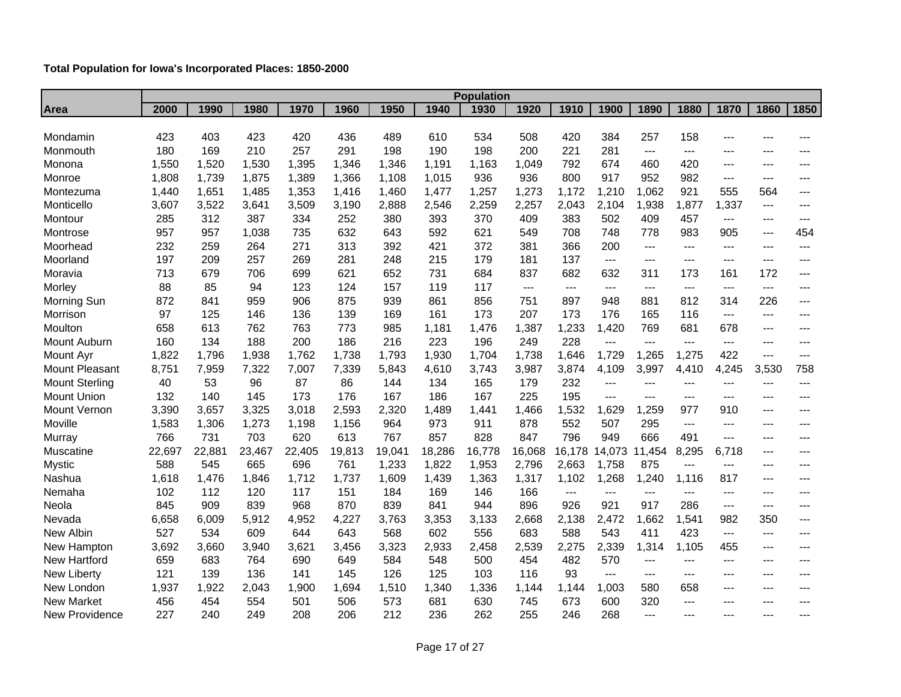|                       | <b>Population</b> |        |        |        |        |        |        |        |                     |        |        |        |                |       |       |       |
|-----------------------|-------------------|--------|--------|--------|--------|--------|--------|--------|---------------------|--------|--------|--------|----------------|-------|-------|-------|
| Area                  | 2000              | 1990   | 1980   | 1970   | 1960   | 1950   | 1940   | 1930   | 1920                | 1910   | 1900   | 1890   | 1880           | 1870  | 1860  | 1850  |
|                       |                   |        |        |        |        |        |        |        |                     |        |        |        |                |       |       |       |
| Mondamin              | 423               | 403    | 423    | 420    | 436    | 489    | 610    | 534    | 508                 | 420    | 384    | 257    | 158            | $---$ |       | ---   |
| Monmouth              | 180               | 169    | 210    | 257    | 291    | 198    | 190    | 198    | 200                 | 221    | 281    | $---$  | $---$          | $---$ | ---   |       |
| Monona                | 1,550             | 1,520  | 1,530  | 1,395  | 1,346  | 1,346  | 1,191  | 1,163  | 1,049               | 792    | 674    | 460    | 420            | ---   | ---   |       |
| Monroe                | 1,808             | 1,739  | 1,875  | 1,389  | 1,366  | 1,108  | 1,015  | 936    | 936                 | 800    | 917    | 952    | 982            | $---$ | $---$ | ---   |
| Montezuma             | 1,440             | 1,651  | 1,485  | 1,353  | 1,416  | 1,460  | 1,477  | 1,257  | 1,273               | 1,172  | 1,210  | 1,062  | 921            | 555   | 564   | ---   |
| Monticello            | 3,607             | 3,522  | 3,641  | 3,509  | 3,190  | 2,888  | 2,546  | 2,259  | 2,257               | 2,043  | 2,104  | 1,938  | 1,877          | 1,337 | $---$ | ---   |
| Montour               | 285               | 312    | 387    | 334    | 252    | 380    | 393    | 370    | 409                 | 383    | 502    | 409    | 457            | $---$ | $---$ | $---$ |
| Montrose              | 957               | 957    | 1,038  | 735    | 632    | 643    | 592    | 621    | 549                 | 708    | 748    | 778    | 983            | 905   | $---$ | 454   |
| Moorhead              | 232               | 259    | 264    | 271    | 313    | 392    | 421    | 372    | 381                 | 366    | 200    | $---$  | $---$          | ---   | $--$  | ---   |
| Moorland              | 197               | 209    | 257    | 269    | 281    | 248    | 215    | 179    | 181                 | 137    | $---$  | $---$  | $---$          | $---$ | $---$ | $---$ |
| Moravia               | 713               | 679    | 706    | 699    | 621    | 652    | 731    | 684    | 837                 | 682    | 632    | 311    | 173            | 161   | 172   | $---$ |
| Morley                | 88                | 85     | 94     | 123    | 124    | 157    | 119    | 117    | $\qquad \qquad - -$ | ---    | ---    | ---    | ---            | $---$ | $---$ | ---   |
| Morning Sun           | 872               | 841    | 959    | 906    | 875    | 939    | 861    | 856    | 751                 | 897    | 948    | 881    | 812            | 314   | 226   | $---$ |
| Morrison              | 97                | 125    | 146    | 136    | 139    | 169    | 161    | 173    | 207                 | 173    | 176    | 165    | 116            | $---$ | ---   | ---   |
| Moulton               | 658               | 613    | 762    | 763    | 773    | 985    | 1,181  | 1,476  | 1,387               | 1,233  | 1,420  | 769    | 681            | 678   | $---$ | ---   |
| Mount Auburn          | 160               | 134    | 188    | 200    | 186    | 216    | 223    | 196    | 249                 | 228    | $---$  | $---$  | $\overline{a}$ | $---$ | $---$ | ---   |
| Mount Ayr             | 1,822             | 1,796  | 1,938  | 1,762  | 1,738  | 1,793  | 1,930  | 1,704  | 1,738               | 1,646  | 1,729  | 1,265  | 1,275          | 422   | $---$ | $---$ |
| Mount Pleasant        | 8,751             | 7,959  | 7,322  | 7,007  | 7,339  | 5,843  | 4,610  | 3,743  | 3,987               | 3,874  | 4,109  | 3,997  | 4,410          | 4,245 | 3,530 | 758   |
| <b>Mount Sterling</b> | 40                | 53     | 96     | 87     | 86     | 144    | 134    | 165    | 179                 | 232    | ---    | $---$  | $---$          | $---$ | $---$ | $---$ |
| <b>Mount Union</b>    | 132               | 140    | 145    | 173    | 176    | 167    | 186    | 167    | 225                 | 195    | ---    | ---    | $---$          | $---$ | $---$ | ---   |
| Mount Vernon          | 3,390             | 3,657  | 3,325  | 3,018  | 2,593  | 2,320  | 1,489  | 1,441  | 1,466               | 1,532  | 1,629  | 1,259  | 977            | 910   | $---$ |       |
| Moville               | 1,583             | 1,306  | 1,273  | 1,198  | 1,156  | 964    | 973    | 911    | 878                 | 552    | 507    | 295    | ---            | $---$ | $---$ | ---   |
| Murray                | 766               | 731    | 703    | 620    | 613    | 767    | 857    | 828    | 847                 | 796    | 949    | 666    | 491            | $---$ | $---$ | ---   |
| Muscatine             | 22,697            | 22,881 | 23,467 | 22,405 | 19,813 | 19,041 | 18,286 | 16,778 | 16,068              | 16,178 | 14,073 | 11,454 | 8,295          | 6,718 | ---   |       |
| <b>Mystic</b>         | 588               | 545    | 665    | 696    | 761    | 1,233  | 1,822  | 1,953  | 2,796               | 2,663  | 1,758  | 875    | $---$          | ---   | $---$ | ---   |
| Nashua                | 1,618             | 1,476  | 1,846  | 1,712  | 1,737  | 1,609  | 1,439  | 1,363  | 1,317               | 1,102  | 1,268  | 1,240  | 1,116          | 817   | $---$ | ---   |
| Nemaha                | 102               | 112    | 120    | 117    | 151    | 184    | 169    | 146    | 166                 | ---    | ---    | $---$  | ---            | ---   | ---   |       |
| Neola                 | 845               | 909    | 839    | 968    | 870    | 839    | 841    | 944    | 896                 | 926    | 921    | 917    | 286            | $--$  | $--$  | ---   |
| Nevada                | 6,658             | 6,009  | 5,912  | 4,952  | 4,227  | 3,763  | 3,353  | 3,133  | 2,668               | 2,138  | 2,472  | 1,662  | 1,541          | 982   | 350   | $---$ |
| New Albin             | 527               | 534    | 609    | 644    | 643    | 568    | 602    | 556    | 683                 | 588    | 543    | 411    | 423            | ---   | ---   | ---   |
| New Hampton           | 3,692             | 3,660  | 3,940  | 3,621  | 3,456  | 3,323  | 2,933  | 2,458  | 2,539               | 2,275  | 2,339  | 1,314  | 1,105          | 455   | $--$  | ---   |
| New Hartford          | 659               | 683    | 764    | 690    | 649    | 584    | 548    | 500    | 454                 | 482    | 570    | $---$  | $---$          | $---$ | $---$ | ---   |
| New Liberty           | 121               | 139    | 136    | 141    | 145    | 126    | 125    | 103    | 116                 | 93     | $---$  | ---    | $---$          | $---$ | $---$ | ---   |
| New London            | 1,937             | 1,922  | 2,043  | 1,900  | 1,694  | 1,510  | 1,340  | 1,336  | 1,144               | 1,144  | 1,003  | 580    | 658            | ---   | $---$ | ---   |
| <b>New Market</b>     | 456               | 454    | 554    | 501    | 506    | 573    | 681    | 630    | 745                 | 673    | 600    | 320    | $---$          | $---$ | $---$ | ---   |
| New Providence        | 227               | 240    | 249    | 208    | 206    | 212    | 236    | 262    | 255                 | 246    | 268    | $---$  | ---            | $---$ | ---   |       |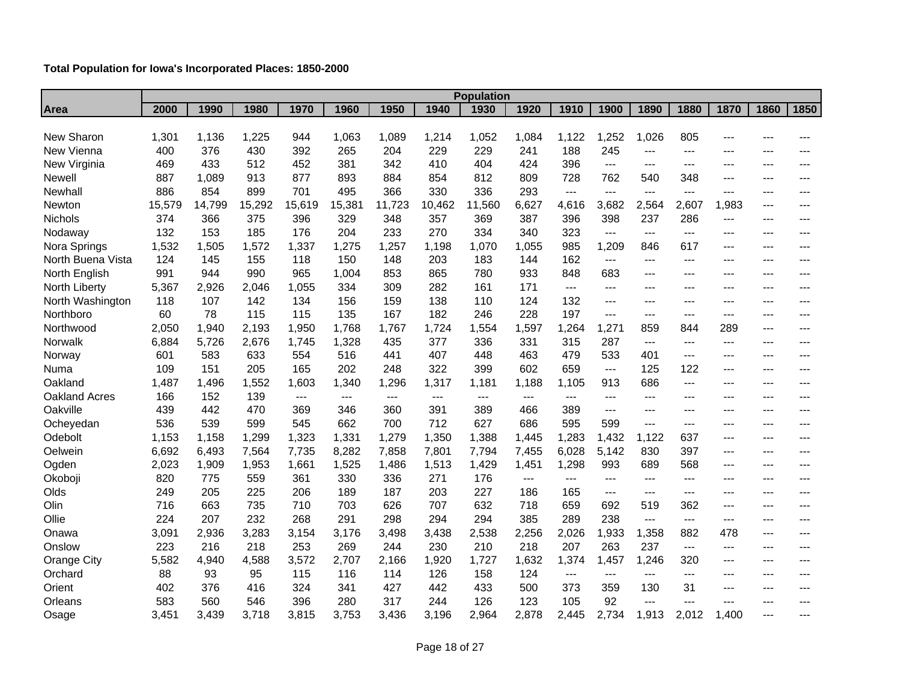|                      | <b>Population</b> |        |        |        |        |        |        |        |                            |               |       |       |       |       |         |         |
|----------------------|-------------------|--------|--------|--------|--------|--------|--------|--------|----------------------------|---------------|-------|-------|-------|-------|---------|---------|
| Area                 | 2000              | 1990   | 1980   | 1970   | 1960   | 1950   | 1940   | 1930   | 1920                       | 1910          | 1900  | 1890  | 1880  | 1870  | 1860    | 1850    |
|                      |                   |        |        |        |        |        |        |        |                            |               |       |       |       |       |         |         |
| New Sharon           | 1,301             | 1,136  | 1,225  | 944    | 1,063  | 1,089  | 1,214  | 1,052  | 1,084                      | 1,122         | 1,252 | 1,026 | 805   |       |         |         |
| New Vienna           | 400               | 376    | 430    | 392    | 265    | 204    | 229    | 229    | 241                        | 188           | 245   | $---$ | ---   | ---   | ---     |         |
| New Virginia         | 469               | 433    | 512    | 452    | 381    | 342    | 410    | 404    | 424                        | 396           | $---$ | ---   | $---$ | $---$ | ---     | $---$   |
| Newell               | 887               | 1,089  | 913    | 877    | 893    | 884    | 854    | 812    | 809                        | 728           | 762   | 540   | 348   | ---   | ---     |         |
| Newhall              | 886               | 854    | 899    | 701    | 495    | 366    | 330    | 336    | 293                        | $---$         | $---$ | $---$ | $---$ | $---$ | $---$   | $---$   |
| Newton               | 15,579            | 14,799 | 15,292 | 15,619 | 15,381 | 11,723 | 10,462 | 11,560 | 6,627                      | 4,616         | 3,682 | 2,564 | 2,607 | 1,983 | ---     | ---     |
| <b>Nichols</b>       | 374               | 366    | 375    | 396    | 329    | 348    | 357    | 369    | 387                        | 396           | 398   | 237   | 286   | $---$ | $---$   | ---     |
| Nodaway              | 132               | 153    | 185    | 176    | 204    | 233    | 270    | 334    | 340                        | 323           | $---$ | $---$ | $---$ | $---$ | $---$   | $---$   |
| Nora Springs         | 1,532             | 1,505  | 1,572  | 1,337  | 1,275  | 1,257  | 1,198  | 1,070  | 1,055                      | 985           | 1,209 | 846   | 617   | $---$ | ---     | $---$   |
| North Buena Vista    | 124               | 145    | 155    | 118    | 150    | 148    | 203    | 183    | 144                        | 162           | $---$ | ---   | $--$  | $---$ | $---$   | ---     |
| North English        | 991               | 944    | 990    | 965    | 1,004  | 853    | 865    | 780    | 933                        | 848           | 683   | $---$ | $---$ | $---$ | $---$   | $---$   |
| North Liberty        | 5,367             | 2,926  | 2,046  | 1,055  | 334    | 309    | 282    | 161    | 171                        | ---           | ---   | $---$ | $---$ | $---$ | $---$   | $---$   |
| North Washington     | 118               | 107    | 142    | 134    | 156    | 159    | 138    | 110    | 124                        | 132           | $---$ | ---   | $--$  | $---$ | $---$   | $---$   |
| Northboro            | 60                | 78     | 115    | 115    | 135    | 167    | 182    | 246    | 228                        | 197           | $---$ | $---$ | $---$ | $---$ | $---$   | $---$   |
| Northwood            | 2,050             | 1,940  | 2,193  | 1,950  | 1,768  | 1,767  | 1,724  | 1,554  | 1,597                      | 1,264         | 1,271 | 859   | 844   | 289   | $---$   |         |
| Norwalk              | 6,884             | 5,726  | 2,676  | 1,745  | 1,328  | 435    | 377    | 336    | 331                        | 315           | 287   | $---$ | $---$ | $---$ | $---$   | ---     |
| Norway               | 601               | 583    | 633    | 554    | 516    | 441    | 407    | 448    | 463                        | 479           | 533   | 401   | $---$ | $---$ | $---$   | $---$   |
| Numa                 | 109               | 151    | 205    | 165    | 202    | 248    | 322    | 399    | 602                        | 659           | $---$ | 125   | 122   | $---$ | $---$   |         |
| Oakland              | 1,487             | 1,496  | 1,552  | 1,603  | 1,340  | 1,296  | 1,317  | 1,181  | 1,188                      | 1,105         | 913   | 686   | $--$  | $---$ | $---$   |         |
| <b>Oakland Acres</b> | 166               | 152    | 139    | ---    | ---    | $---$  | $---$  | ---    | ---                        | ---           | $---$ | $---$ | $---$ | $---$ | $---$   | $- - -$ |
| Oakville             | 439               | 442    | 470    | 369    | 346    | 360    | 391    | 389    | 466                        | 389           | ---   | ---   | ---   | ---   | $--$    |         |
| Ocheyedan            | 536               | 539    | 599    | 545    | 662    | 700    | 712    | 627    | 686                        | 595           | 599   | $---$ | $---$ | $---$ | ---     | $---$   |
| Odebolt              | 1,153             | 1,158  | 1,299  | 1,323  | 1,331  | 1,279  | 1,350  | 1,388  | 1,445                      | 1,283         | 1,432 | 1,122 | 637   | $---$ | ---     | $---$   |
| Oelwein              | 6,692             | 6,493  | 7,564  | 7,735  | 8,282  | 7,858  | 7,801  | 7,794  | 7,455                      | 6,028         | 5,142 | 830   | 397   | $---$ | $---$   | $---$   |
| Ogden                | 2,023             | 1,909  | 1,953  | 1,661  | 1,525  | 1,486  | 1,513  | 1,429  | 1,451                      | 1,298         | 993   | 689   | 568   | $---$ | ---     | $---$   |
| Okoboji              | 820               | 775    | 559    | 361    | 330    | 336    | 271    | 176    | $\qquad \qquad \text{---}$ | ---           | $---$ | $---$ | ---   | $---$ | ---     | ---     |
| Olds                 | 249               | 205    | 225    | 206    | 189    | 187    | 203    | 227    | 186                        | 165           | ---   | $---$ | ---   | $---$ | $---$   |         |
| Olin                 | 716               | 663    | 735    | 710    | 703    | 626    | 707    | 632    | 718                        | 659           | 692   | 519   | 362   | $---$ | $---$   | $---$   |
| Ollie                | 224               | 207    | 232    | 268    | 291    | 298    | 294    | 294    | 385                        | 289           | 238   | ---   | $---$ | $---$ | ---     | $---$   |
| Onawa                | 3,091             | 2,936  | 3,283  | 3,154  | 3,176  | 3,498  | 3,438  | 2,538  | 2,256                      | 2,026         | 1,933 | 1,358 | 882   | 478   | ---     | ---     |
| Onslow               | 223               | 216    | 218    | 253    | 269    | 244    | 230    | 210    | 218                        | 207           | 263   | 237   | $---$ | $---$ | $---$   | $---$   |
| <b>Orange City</b>   | 5,582             | 4,940  | 4,588  | 3,572  | 2,707  | 2,166  | 1,920  | 1,727  | 1,632                      | 1,374         | 1,457 | 1,246 | 320   | $---$ | $---$   |         |
| Orchard              | 88                | 93     | 95     | 115    | 116    | 114    | 126    | 158    | 124                        | $\sim$ $\sim$ | $---$ | $---$ | ---   | $---$ | $---$   | $---$   |
| Orient               | 402               | 376    | 416    | 324    | 341    | 427    | 442    | 433    | 500                        | 373           | 359   | 130   | 31    | $---$ | $---$   | $---$   |
| Orleans              | 583               | 560    | 546    | 396    | 280    | 317    | 244    | 126    | 123                        | 105           | 92    | $---$ | ---   | ---   | $---$   | ---     |
| Osage                | 3,451             | 3,439  | 3,718  | 3,815  | 3,753  | 3,436  | 3,196  | 2,964  | 2,878                      | 2,445         | 2,734 | 1,913 | 2,012 | 1,400 | $- - -$ | $---$   |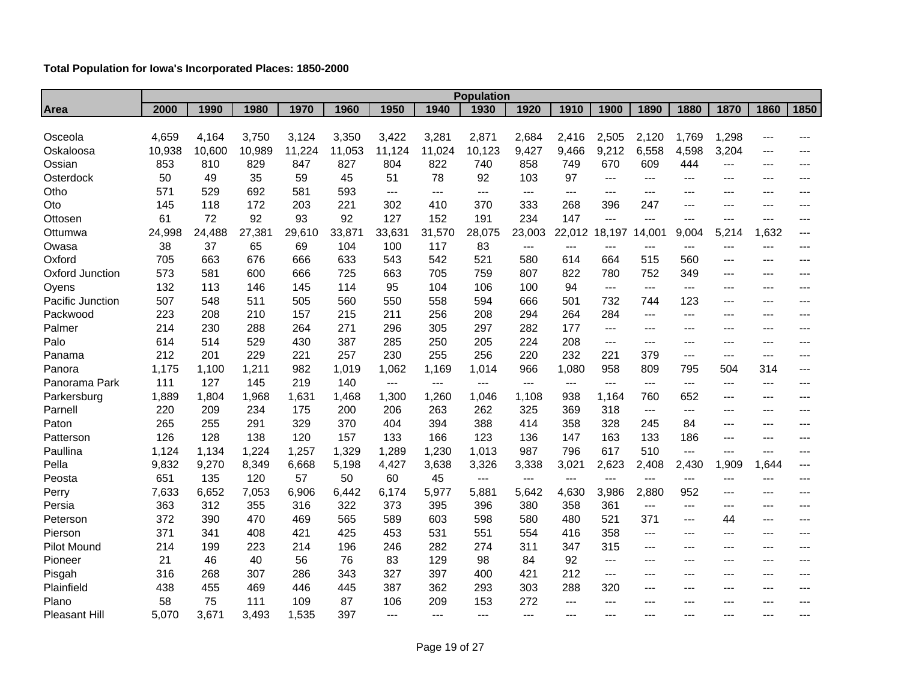|                        | <b>Population</b> |        |        |        |        |        |        |        |        |        |        |            |       |                |                              |       |
|------------------------|-------------------|--------|--------|--------|--------|--------|--------|--------|--------|--------|--------|------------|-------|----------------|------------------------------|-------|
| <b>Area</b>            | 2000              | 1990   | 1980   | 1970   | 1960   | 1950   | 1940   | 1930   | 1920   | 1910   | 1900   | 1890       | 1880  | 1870           | 1860                         | 1850  |
|                        |                   |        |        |        |        |        |        |        |        |        |        |            |       |                |                              |       |
| Osceola                | 4,659             | 4,164  | 3,750  | 3,124  | 3,350  | 3,422  | 3,281  | 2,871  | 2,684  | 2,416  | 2,505  | 2,120      | 1,769 | 1,298          | $---$                        |       |
| Oskaloosa              | 10,938            | 10,600 | 10,989 | 11,224 | 11,053 | 11,124 | 11,024 | 10,123 | 9,427  | 9,466  | 9,212  | 6,558      | 4,598 | 3,204          | $--$                         | ---   |
| Ossian                 | 853               | 810    | 829    | 847    | 827    | 804    | 822    | 740    | 858    | 749    | 670    | 609        | 444   | $\overline{a}$ | $---$                        | ---   |
| Osterdock              | 50                | 49     | 35     | 59     | 45     | 51     | 78     | 92     | 103    | 97     | ---    | $---$      | ---   | $---$          | $---$                        | ---   |
| Otho                   | 571               | 529    | 692    | 581    | 593    | $---$  | ---    | $---$  | $---$  | $---$  | ---    | $---$      | $---$ | $--$           | $---$                        | ---   |
| Oto                    | 145               | 118    | 172    | 203    | 221    | 302    | 410    | 370    | 333    | 268    | 396    | 247        | $---$ | $---$          | $---$                        | ---   |
| Ottosen                | 61                | 72     | 92     | 93     | 92     | 127    | 152    | 191    | 234    | 147    | $---$  | $---$      | $---$ | $---$          | ---                          | ---   |
| Ottumwa                | 24,998            | 24,488 | 27,381 | 29,610 | 33,871 | 33,631 | 31,570 | 28,075 | 23,003 | 22,012 | 18,197 | 4,001<br>1 | 9,004 | 5,214          | 1,632                        | ---   |
| Owasa                  | 38                | 37     | 65     | 69     | 104    | 100    | 117    | 83     | $---$  | $---$  | $---$  | $---$      | $---$ | $---$          | $---$                        | $---$ |
| Oxford                 | 705               | 663    | 676    | 666    | 633    | 543    | 542    | 521    | 580    | 614    | 664    | 515        | 560   | ---            | $---$                        | ---   |
| <b>Oxford Junction</b> | 573               | 581    | 600    | 666    | 725    | 663    | 705    | 759    | 807    | 822    | 780    | 752        | 349   | $---$          | $---$                        | ---   |
| Oyens                  | 132               | 113    | 146    | 145    | 114    | 95     | 104    | 106    | 100    | 94     | $---$  | $---$      | $---$ | $---$          | $---$                        | $---$ |
| Pacific Junction       | 507               | 548    | 511    | 505    | 560    | 550    | 558    | 594    | 666    | 501    | 732    | 744        | 123   | $---$          | $---$                        | $---$ |
| Packwood               | 223               | 208    | 210    | 157    | 215    | 211    | 256    | 208    | 294    | 264    | 284    | $---$      | $---$ | $---$          | $---$                        | ---   |
| Palmer                 | 214               | 230    | 288    | 264    | 271    | 296    | 305    | 297    | 282    | 177    | $---$  | $---$      | $---$ | $---$          | $---$                        | $---$ |
| Palo                   | 614               | 514    | 529    | 430    | 387    | 285    | 250    | 205    | 224    | 208    | $---$  | $---$      | $---$ | $---$          | $---$                        | ---   |
| Panama                 | 212               | 201    | 229    | 221    | 257    | 230    | 255    | 256    | 220    | 232    | 221    | 379        | ---   | ---            | $---$                        | $---$ |
| Panora                 | 1,175             | 1,100  | 1,211  | 982    | 1,019  | 1,062  | 1,169  | 1,014  | 966    | 1,080  | 958    | 809        | 795   | 504            | 314                          | ---   |
| Panorama Park          | 111               | 127    | 145    | 219    | 140    | $---$  | $---$  | $---$  | $---$  | $---$  | $---$  | $---$      | $---$ | $---$          | $---$                        | ---   |
| Parkersburg            | 1,889             | 1,804  | 1,968  | 1,631  | 1,468  | 1,300  | 1,260  | 1,046  | 1,108  | 938    | 1,164  | 760        | 652   | $---$          | $---$                        | ---   |
| Parnell                | 220               | 209    | 234    | 175    | 200    | 206    | 263    | 262    | 325    | 369    | 318    | $---$      | ---   | $---$          | $\qquad \qquad \textbf{---}$ | ---   |
| Paton                  | 265               | 255    | 291    | 329    | 370    | 404    | 394    | 388    | 414    | 358    | 328    | 245        | 84    | $---$          | $\qquad \qquad \qquad -$     | ---   |
| Patterson              | 126               | 128    | 138    | 120    | 157    | 133    | 166    | 123    | 136    | 147    | 163    | 133        | 186   | ---            | $---$                        | ---   |
| Paullina               | 1,124             | 1,134  | 1,224  | 1,257  | 1,329  | 1,289  | 1,230  | 1,013  | 987    | 796    | 617    | 510        | $---$ | $---$          | $---$                        | ---   |
| Pella                  | 9,832             | 9,270  | 8,349  | 6,668  | 5,198  | 4,427  | 3,638  | 3,326  | 3,338  | 3,021  | 2,623  | 2,408      | 2,430 | 1,909          | 1,644                        | $---$ |
| Peosta                 | 651               | 135    | 120    | 57     | 50     | 60     | 45     | $---$  | $---$  | $---$  | $---$  | $---$      | $---$ | ---            | $---$                        | ---   |
| Perry                  | 7,633             | 6,652  | 7,053  | 6,906  | 6,442  | 6,174  | 5,977  | 5,881  | 5,642  | 4,630  | 3,986  | 2,880      | 952   | $---$          | ---                          | ---   |
| Persia                 | 363               | 312    | 355    | 316    | 322    | 373    | 395    | 396    | 380    | 358    | 361    | $---$      | $---$ | $---$          | $\qquad \qquad \qquad -$     | ---   |
| Peterson               | 372               | 390    | 470    | 469    | 565    | 589    | 603    | 598    | 580    | 480    | 521    | 371        | $---$ | 44             | $---$                        | ---   |
| Pierson                | 371               | 341    | 408    | 421    | 425    | 453    | 531    | 551    | 554    | 416    | 358    | $--$       | $---$ | ---            | ---                          | ---   |
| <b>Pilot Mound</b>     | 214               | 199    | 223    | 214    | 196    | 246    | 282    | 274    | 311    | 347    | 315    | $---$      | $---$ | $---$          | $---$                        | ---   |
| Pioneer                | 21                | 46     | 40     | 56     | 76     | 83     | 129    | 98     | 84     | 92     | ---    | $---$      | $---$ | $---$          | $---$                        | ---   |
| Pisgah                 | 316               | 268    | 307    | 286    | 343    | 327    | 397    | 400    | 421    | 212    | $---$  | $---$      | $---$ | $---$          | $---$                        | ---   |
| Plainfield             | 438               | 455    | 469    | 446    | 445    | 387    | 362    | 293    | 303    | 288    | 320    | $---$      | $---$ | $---$          | $---$                        | ---   |
| Plano                  | 58                | 75     | 111    | 109    | 87     | 106    | 209    | 153    | 272    | ---    |        | $---$      | ---   | $---$          | ---                          |       |
| <b>Pleasant Hill</b>   | 5,070             | 3,671  | 3,493  | 1,535  | 397    | $---$  | $---$  | $---$  | $---$  | $---$  | $---$  | $---$      | $---$ | $---$          | $---$                        | ---   |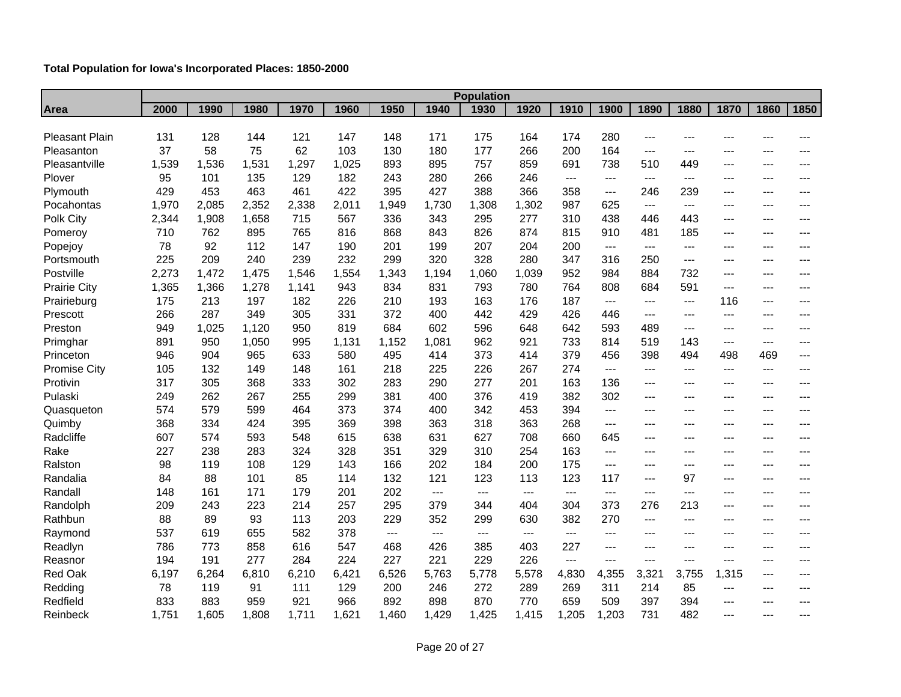|                       | <b>Population</b> |       |       |       |       |       |       |       |       |       |       |       |       |       |                              |       |
|-----------------------|-------------------|-------|-------|-------|-------|-------|-------|-------|-------|-------|-------|-------|-------|-------|------------------------------|-------|
| <b>Area</b>           | 2000              | 1990  | 1980  | 1970  | 1960  | 1950  | 1940  | 1930  | 1920  | 1910  | 1900  | 1890  | 1880  | 1870  | 1860                         | 1850  |
|                       |                   |       |       |       |       |       |       |       |       |       |       |       |       |       |                              |       |
| <b>Pleasant Plain</b> | 131               | 128   | 144   | 121   | 147   | 148   | 171   | 175   | 164   | 174   | 280   | ---   |       |       |                              |       |
| Pleasanton            | 37                | 58    | 75    | 62    | 103   | 130   | 180   | 177   | 266   | 200   | 164   | ---   | $---$ | $---$ | ---                          | ---   |
| Pleasantville         | 1,539             | 1,536 | 1,531 | 1,297 | 1,025 | 893   | 895   | 757   | 859   | 691   | 738   | 510   | 449   | $---$ | ---                          | $---$ |
| Plover                | 95                | 101   | 135   | 129   | 182   | 243   | 280   | 266   | 246   | ---   | $---$ | $---$ | ---   | ---   | ---                          |       |
| Plymouth              | 429               | 453   | 463   | 461   | 422   | 395   | 427   | 388   | 366   | 358   | $---$ | 246   | 239   | $---$ | $---$                        | $---$ |
| Pocahontas            | 1,970             | 2,085 | 2,352 | 2,338 | 2,011 | 1,949 | 1,730 | 1,308 | 1,302 | 987   | 625   | $---$ | $---$ | $---$ | ---                          | $---$ |
| Polk City             | 2,344             | 1,908 | 1,658 | 715   | 567   | 336   | 343   | 295   | 277   | 310   | 438   | 446   | 443   | $---$ | $---$                        | $---$ |
| Pomeroy               | 710               | 762   | 895   | 765   | 816   | 868   | 843   | 826   | 874   | 815   | 910   | 481   | 185   | $---$ | $---$                        | $---$ |
| Popejoy               | 78                | 92    | 112   | 147   | 190   | 201   | 199   | 207   | 204   | 200   | ---   | ---   | ---   | $---$ | $---$                        | $---$ |
| Portsmouth            | 225               | 209   | 240   | 239   | 232   | 299   | 320   | 328   | 280   | 347   | 316   | 250   | $--$  | $---$ | $---$                        | $---$ |
| Postville             | 2,273             | 1,472 | 1,475 | 1,546 | 1,554 | 1,343 | 1,194 | 1,060 | 1,039 | 952   | 984   | 884   | 732   | $---$ | $---$                        | $---$ |
| <b>Prairie City</b>   | 1,365             | 1,366 | 1,278 | 1,141 | 943   | 834   | 831   | 793   | 780   | 764   | 808   | 684   | 591   | $---$ | $---$                        | $---$ |
| Prairieburg           | 175               | 213   | 197   | 182   | 226   | 210   | 193   | 163   | 176   | 187   | $---$ | $---$ | $---$ | 116   | ---                          | $---$ |
| Prescott              | 266               | 287   | 349   | 305   | 331   | 372   | 400   | 442   | 429   | 426   | 446   | $---$ | $---$ | $---$ | $---$                        | $---$ |
| Preston               | 949               | 1,025 | 1,120 | 950   | 819   | 684   | 602   | 596   | 648   | 642   | 593   | 489   | $---$ | $---$ | $---$                        |       |
| Primghar              | 891               | 950   | 1,050 | 995   | 1,131 | 1,152 | 1,081 | 962   | 921   | 733   | 814   | 519   | 143   | $---$ | $\qquad \qquad \textbf{---}$ | $---$ |
| Princeton             | 946               | 904   | 965   | 633   | 580   | 495   | 414   | 373   | 414   | 379   | 456   | 398   | 494   | 498   | 469                          | $---$ |
| <b>Promise City</b>   | 105               | 132   | 149   | 148   | 161   | 218   | 225   | 226   | 267   | 274   | $---$ | $---$ | ---   | $---$ | $---$                        | $---$ |
| Protivin              | 317               | 305   | 368   | 333   | 302   | 283   | 290   | 277   | 201   | 163   | 136   | $---$ | ---   | $---$ | ---                          | ---   |
| Pulaski               | 249               | 262   | 267   | 255   | 299   | 381   | 400   | 376   | 419   | 382   | 302   | $---$ | $---$ | $---$ | ---                          | $---$ |
| Quasqueton            | 574               | 579   | 599   | 464   | 373   | 374   | 400   | 342   | 453   | 394   | $---$ | $---$ | ---   | ---   | $---$                        |       |
| Quimby                | 368               | 334   | 424   | 395   | 369   | 398   | 363   | 318   | 363   | 268   | $---$ | $---$ | $---$ | $---$ | $---$                        | $---$ |
| Radcliffe             | 607               | 574   | 593   | 548   | 615   | 638   | 631   | 627   | 708   | 660   | 645   | ---   | ---   | $---$ | ---                          | $---$ |
| Rake                  | 227               | 238   | 283   | 324   | 328   | 351   | 329   | 310   | 254   | 163   | $---$ | $---$ | $---$ | $---$ | $---$                        | $---$ |
| Ralston               | 98                | 119   | 108   | 129   | 143   | 166   | 202   | 184   | 200   | 175   | ---   | $---$ | $---$ | $---$ | $---$                        | $---$ |
| Randalia              | 84                | 88    | 101   | 85    | 114   | 132   | 121   | 123   | 113   | 123   | 117   | ---   | 97    | $---$ | $---$                        | ---   |
| Randall               | 148               | 161   | 171   | 179   | 201   | 202   | ---   | $---$ | ---   | ---   | ---   | $---$ | ---   | $---$ | $---$                        | ---   |
| Randolph              | 209               | 243   | 223   | 214   | 257   | 295   | 379   | 344   | 404   | 304   | 373   | 276   | 213   | $---$ | $---$                        | $---$ |
| Rathbun               | 88                | 89    | 93    | 113   | 203   | 229   | 352   | 299   | 630   | 382   | 270   | ---   | $---$ | $---$ | $---$                        | $---$ |
| Raymond               | 537               | 619   | 655   | 582   | 378   | $---$ | $---$ | $---$ | ---   | ---   | ---   | ---   | ---   | $--$  | ---                          | $---$ |
| Readlyn               | 786               | 773   | 858   | 616   | 547   | 468   | 426   | 385   | 403   | 227   | $---$ | $---$ | $---$ | $---$ | $---$                        | $---$ |
| Reasnor               | 194               | 191   | 277   | 284   | 224   | 227   | 221   | 229   | 226   | $---$ | $---$ | $---$ | ---   | ---   | $---$                        | $---$ |
| Red Oak               | 6,197             | 6,264 | 6,810 | 6,210 | 6,421 | 6,526 | 5,763 | 5,778 | 5,578 | 4,830 | 4,355 | 3,321 | 3,755 | 1,315 | $---$                        | $---$ |
| Redding               | 78                | 119   | 91    | 111   | 129   | 200   | 246   | 272   | 289   | 269   | 311   | 214   | 85    | $---$ | $---$                        | $---$ |
| Redfield              | 833               | 883   | 959   | 921   | 966   | 892   | 898   | 870   | 770   | 659   | 509   | 397   | 394   | $---$ | $---$                        | $---$ |
| Reinbeck              | 1,751             | 1,605 | 1,808 | 1,711 | 1,621 | 1,460 | 1,429 | 1,425 | 1,415 | 1,205 | 1,203 | 731   | 482   | ---   | $---$                        | $---$ |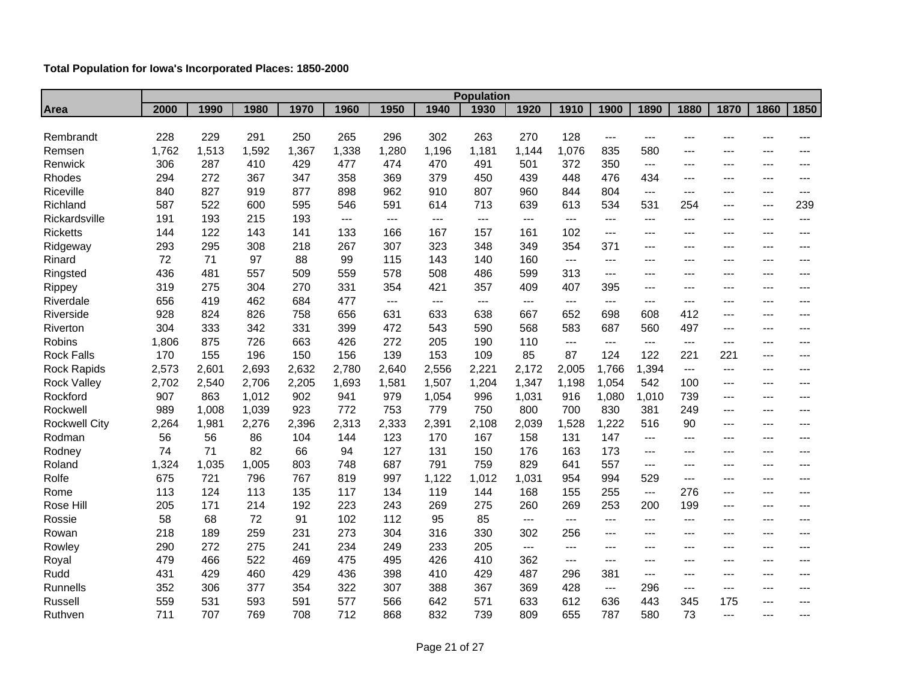| Total Population for Iowa's Incorporated Places: 1850-2000 |  |  |  |
|------------------------------------------------------------|--|--|--|
|------------------------------------------------------------|--|--|--|

|                      |       |       |       |       |       |       |       | <b>Population</b> |                       |       |                     |       |       |       |         |       |
|----------------------|-------|-------|-------|-------|-------|-------|-------|-------------------|-----------------------|-------|---------------------|-------|-------|-------|---------|-------|
| Area                 | 2000  | 1990  | 1980  | 1970  | 1960  | 1950  | 1940  | 1930              | 1920                  | 1910  | 1900                | 1890  | 1880  | 1870  | 1860    | 1850  |
|                      |       |       |       |       |       |       |       |                   |                       |       |                     |       |       |       |         |       |
| Rembrandt            | 228   | 229   | 291   | 250   | 265   | 296   | 302   | 263               | 270                   | 128   | ---                 | ---   | ---   |       |         |       |
| Remsen               | 1,762 | 1,513 | 1,592 | 1,367 | 1,338 | 1,280 | 1,196 | 1,181             | 1,144                 | 1,076 | 835                 | 580   | $---$ | $---$ | ---     |       |
| Renwick              | 306   | 287   | 410   | 429   | 477   | 474   | 470   | 491               | 501                   | 372   | 350                 | $---$ | $---$ | $---$ | ---     | $---$ |
| Rhodes               | 294   | 272   | 367   | 347   | 358   | 369   | 379   | 450               | 439                   | 448   | 476                 | 434   | $---$ | $---$ | $- - -$ |       |
| Riceville            | 840   | 827   | 919   | 877   | 898   | 962   | 910   | 807               | 960                   | 844   | 804                 | $---$ | $---$ | $---$ | ---     | $---$ |
| Richland             | 587   | 522   | 600   | 595   | 546   | 591   | 614   | 713               | 639                   | 613   | 534                 | 531   | 254   | $---$ | $---$   | 239   |
| Rickardsville        | 191   | 193   | 215   | 193   | $---$ | $---$ | $---$ | $---$             | $---$                 | $---$ | $---$               | $---$ | $---$ | $---$ | ---     | ---   |
| <b>Ricketts</b>      | 144   | 122   | 143   | 141   | 133   | 166   | 167   | 157               | 161                   | 102   | $---$               | $---$ | $---$ | $---$ | $---$   | $---$ |
| Ridgeway             | 293   | 295   | 308   | 218   | 267   | 307   | 323   | 348               | 349                   | 354   | 371                 | $---$ | $---$ | $---$ | $---$   | $---$ |
| Rinard               | 72    | 71    | 97    | 88    | 99    | 115   | 143   | 140               | 160                   | $---$ | ---                 | $---$ | ---   | $---$ | $--$    |       |
| Ringsted             | 436   | 481   | 557   | 509   | 559   | 578   | 508   | 486               | 599                   | 313   | $---$               | $---$ | $---$ | $---$ | ---     | $---$ |
| Rippey               | 319   | 275   | 304   | 270   | 331   | 354   | 421   | 357               | 409                   | 407   | 395                 | $---$ | $---$ | $---$ | $---$   | $---$ |
| Riverdale            | 656   | 419   | 462   | 684   | 477   | $---$ | $---$ | $---$             | ---                   | ---   | ---                 | ---   | $---$ | $---$ | ---     | $---$ |
| Riverside            | 928   | 824   | 826   | 758   | 656   | 631   | 633   | 638               | 667                   | 652   | 698                 | 608   | 412   | $---$ | ---     | $---$ |
| Riverton             | 304   | 333   | 342   | 331   | 399   | 472   | 543   | 590               | 568                   | 583   | 687                 | 560   | 497   | $---$ | $---$   | $---$ |
| Robins               | 1,806 | 875   | 726   | 663   | 426   | 272   | 205   | 190               | 110                   | $---$ | $---$               | $---$ | $---$ | $---$ | $---$   | $---$ |
| <b>Rock Falls</b>    | 170   | 155   | 196   | 150   | 156   | 139   | 153   | 109               | 85                    | 87    | 124                 | 122   | 221   | 221   | $---$   | $---$ |
| <b>Rock Rapids</b>   | 2,573 | 2,601 | 2,693 | 2,632 | 2,780 | 2,640 | 2,556 | 2,221             | 2,172                 | 2,005 | 1,766               | 1,394 | $---$ | $---$ | $---$   | $---$ |
| <b>Rock Valley</b>   | 2,702 | 2,540 | 2,706 | 2,205 | 1,693 | 1,581 | 1,507 | 1,204             | 1,347                 | 1,198 | 1,054               | 542   | 100   | $---$ | ---     |       |
| Rockford             | 907   | 863   | 1,012 | 902   | 941   | 979   | 1,054 | 996               | 1,031                 | 916   | 1,080               | 1,010 | 739   | $---$ | $---$   | $---$ |
| Rockwell             | 989   | 1,008 | 1,039 | 923   | 772   | 753   | 779   | 750               | 800                   | 700   | 830                 | 381   | 249   | $---$ | $---$   | $---$ |
| <b>Rockwell City</b> | 2,264 | 1,981 | 2,276 | 2,396 | 2,313 | 2,333 | 2,391 | 2,108             | 2,039                 | 1,528 | 1,222               | 516   | 90    | ---   | ---     |       |
| Rodman               | 56    | 56    | 86    | 104   | 144   | 123   | 170   | 167               | 158                   | 131   | 147                 | $---$ | $---$ | $---$ | $---$   | $---$ |
| Rodney               | 74    | 71    | 82    | 66    | 94    | 127   | 131   | 150               | 176                   | 163   | 173                 | ---   | ---   | $---$ | ---     | $---$ |
| Roland               | 1,324 | 1,035 | 1,005 | 803   | 748   | 687   | 791   | 759               | 829                   | 641   | 557                 | ---   | $---$ | $---$ | $---$   | $---$ |
| Rolfe                | 675   | 721   | 796   | 767   | 819   | 997   | 1,122 | 1,012             | 1,031                 | 954   | 994                 | 529   | $---$ | $---$ | ---     | $---$ |
| Rome                 | 113   | 124   | 113   | 135   | 117   | 134   | 119   | 144               | 168                   | 155   | 255                 | ---   | 276   | $---$ | $---$   | $---$ |
| Rose Hill            | 205   | 171   | 214   | 192   | 223   | 243   | 269   | 275               | 260                   | 269   | 253                 | 200   | 199   | $---$ | $---$   | $---$ |
| Rossie               | 58    | 68    | 72    | 91    | 102   | 112   | 95    | 85                | $\scriptstyle \cdots$ | ---   | $---$               | ---   | $---$ | $---$ | $---$   | $---$ |
| Rowan                | 218   | 189   | 259   | 231   | 273   | 304   | 316   | 330               | 302                   | 256   | ---                 | $---$ | $---$ | $---$ | $---$   | $---$ |
| Rowley               | 290   | 272   | 275   | 241   | 234   | 249   | 233   | 205               | $--$                  | ---   | ---                 | $---$ | ---   | $---$ | $---$   | ---   |
| Royal                | 479   | 466   | 522   | 469   | 475   | 495   | 426   | 410               | 362                   | ---   | $---$               | $---$ | $---$ | $---$ | $---$   | $---$ |
| Rudd                 | 431   | 429   | 460   | 429   | 436   | 398   | 410   | 429               | 487                   | 296   | 381                 | $---$ | $---$ | $---$ | $---$   | $---$ |
| Runnells             | 352   | 306   | 377   | 354   | 322   | 307   | 388   | 367               | 369                   | 428   | $\qquad \qquad - -$ | 296   | $---$ | $---$ | $---$   | $---$ |
| Russell              | 559   | 531   | 593   | 591   | 577   | 566   | 642   | 571               | 633                   | 612   | 636                 | 443   | 345   | 175   | $---$   | $---$ |
| Ruthven              | 711   | 707   | 769   | 708   | 712   | 868   | 832   | 739               | 809                   | 655   | 787                 | 580   | 73    | ---   | $---$   | $---$ |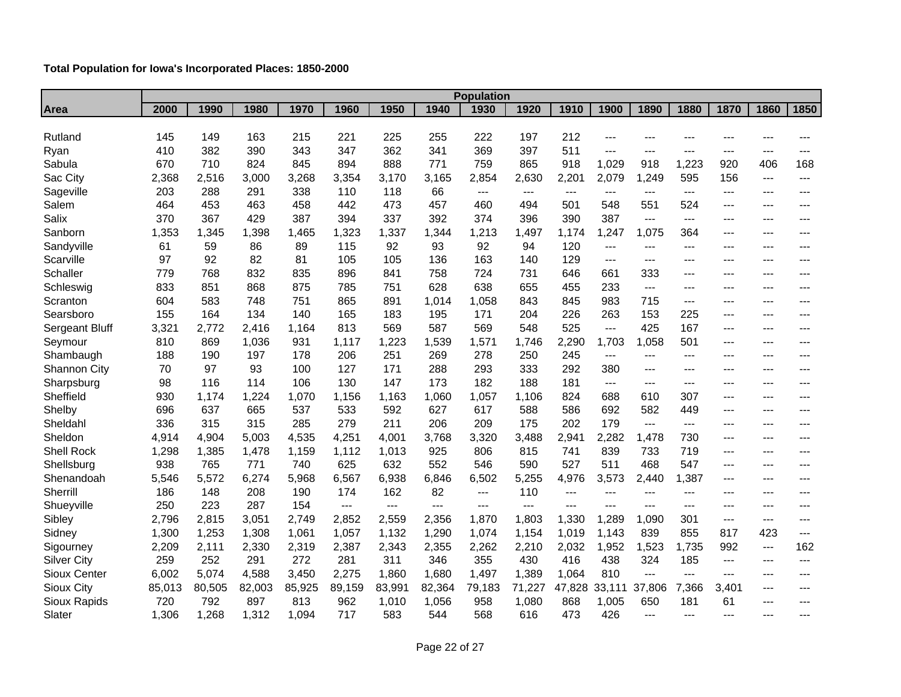| Total Population for Iowa's Incorporated Places: 1850-2000 |  |  |  |
|------------------------------------------------------------|--|--|--|
|------------------------------------------------------------|--|--|--|

|                     | <b>Population</b> |        |        |        |        |                          |        |        |        |        |        |        |       |       |                              |       |
|---------------------|-------------------|--------|--------|--------|--------|--------------------------|--------|--------|--------|--------|--------|--------|-------|-------|------------------------------|-------|
| Area                | 2000              | 1990   | 1980   | 1970   | 1960   | 1950                     | 1940   | 1930   | 1920   | 1910   | 1900   | 1890   | 1880  | 1870  | 1860                         | 1850  |
|                     |                   |        |        |        |        |                          |        |        |        |        |        |        |       |       |                              |       |
| Rutland             | 145               | 149    | 163    | 215    | 221    | 225                      | 255    | 222    | 197    | 212    | ---    |        |       |       |                              |       |
| Ryan                | 410               | 382    | 390    | 343    | 347    | 362                      | 341    | 369    | 397    | 511    | ---    | $---$  | $---$ | $---$ | $---$                        | $---$ |
| Sabula              | 670               | 710    | 824    | 845    | 894    | 888                      | 771    | 759    | 865    | 918    | 1,029  | 918    | 1,223 | 920   | 406                          | 168   |
| Sac City            | 2,368             | 2,516  | 3,000  | 3,268  | 3,354  | 3,170                    | 3,165  | 2,854  | 2,630  | 2,201  | 2,079  | 1,249  | 595   | 156   | $---$                        | ---   |
| Sageville           | 203               | 288    | 291    | 338    | 110    | 118                      | 66     | $---$  | $---$  | $---$  | $---$  | $---$  | $---$ | $---$ | $---$                        | $---$ |
| Salem               | 464               | 453    | 463    | 458    | 442    | 473                      | 457    | 460    | 494    | 501    | 548    | 551    | 524   | $---$ | $- - -$                      | ---   |
| Salix               | 370               | 367    | 429    | 387    | 394    | 337                      | 392    | 374    | 396    | 390    | 387    | ---    | $--$  | $---$ | ---                          | ---   |
| Sanborn             | 1,353             | 1,345  | 1,398  | 1,465  | 1,323  | 1,337                    | 1,344  | 1,213  | 1,497  | 1,174  | 1,247  | 1,075  | 364   | $---$ | $---$                        | $---$ |
| Sandyville          | 61                | 59     | 86     | 89     | 115    | 92                       | 93     | 92     | 94     | 120    | $---$  | ---    | ---   | $---$ | ---                          | ---   |
| Scarville           | 97                | 92     | 82     | 81     | 105    | 105                      | 136    | 163    | 140    | 129    | $---$  | ---    | $---$ | $---$ | $---$                        | $---$ |
| Schaller            | 779               | 768    | 832    | 835    | 896    | 841                      | 758    | 724    | 731    | 646    | 661    | 333    | $---$ | $---$ | $---$                        | $---$ |
| Schleswig           | 833               | 851    | 868    | 875    | 785    | 751                      | 628    | 638    | 655    | 455    | 233    | $---$  | ---   | $---$ | $---$                        | $---$ |
| Scranton            | 604               | 583    | 748    | 751    | 865    | 891                      | 1,014  | 1,058  | 843    | 845    | 983    | 715    | $---$ | $---$ | ---                          | $---$ |
| Searsboro           | 155               | 164    | 134    | 140    | 165    | 183                      | 195    | 171    | 204    | 226    | 263    | 153    | 225   | $---$ | $---$                        | $---$ |
| Sergeant Bluff      | 3,321             | 2,772  | 2,416  | 1,164  | 813    | 569                      | 587    | 569    | 548    | 525    | ---    | 425    | 167   | ---   | ---                          |       |
| Seymour             | 810               | 869    | 1,036  | 931    | 1,117  | 1,223                    | 1,539  | 1,571  | 1,746  | 2,290  | 1,703  | .058   | 501   | $---$ | ---                          | ---   |
| Shambaugh           | 188               | 190    | 197    | 178    | 206    | 251                      | 269    | 278    | 250    | 245    | $---$  | ---    | ---   | $---$ | ---                          | $---$ |
| <b>Shannon City</b> | 70                | 97     | 93     | 100    | 127    | 171                      | 288    | 293    | 333    | 292    | 380    | ---    | ---   | ---   | ---                          |       |
| Sharpsburg          | 98                | 116    | 114    | 106    | 130    | 147                      | 173    | 182    | 188    | 181    | ---    | ---    | $---$ | $---$ | $---$                        | $---$ |
| Sheffield           | 930               | 1,174  | 1,224  | 1,070  | 1,156  | 1,163                    | 1,060  | 1,057  | 1,106  | 824    | 688    | 610    | 307   | $---$ | $---$                        | ---   |
| Shelby              | 696               | 637    | 665    | 537    | 533    | 592                      | 627    | 617    | 588    | 586    | 692    | 582    | 449   | $---$ | $---$                        | ---   |
| Sheldahl            | 336               | 315    | 315    | 285    | 279    | 211                      | 206    | 209    | 175    | 202    | 179    | $---$  | $---$ | $---$ | $---$                        | $---$ |
| Sheldon             | 4,914             | 4,904  | 5,003  | 4,535  | 4,251  | 4,001                    | 3,768  | 3,320  | 3,488  | 2,941  | 2,282  | 1,478  | 730   | $---$ | $---$                        | ---   |
| <b>Shell Rock</b>   | 1,298             | 1,385  | 1,478  | 1,159  | 1,112  | 1,013                    | 925    | 806    | 815    | 741    | 839    | 733    | 719   | $---$ | $---$                        | ---   |
| Shellsburg          | 938               | 765    | 771    | 740    | 625    | 632                      | 552    | 546    | 590    | 527    | 511    | 468    | 547   | $---$ | ---                          | ---   |
| Shenandoah          | 5,546             | 5,572  | 6,274  | 5,968  | 6,567  | 6,938                    | 6,846  | 6,502  | 5,255  | 4,976  | 3,573  | 2,440  | 1,387 | $---$ | $---$                        | ---   |
| Sherrill            | 186               | 148    | 208    | 190    | 174    | 162                      | 82     | $---$  | 110    | $---$  | ---    | ---    | ---   | $--$  | $---$                        |       |
| Shueyville          | 250               | 223    | 287    | 154    | $---$  | $\overline{\phantom{a}}$ | $---$  | ---    | $---$  | ---    | ---    | $---$  | $---$ | $---$ | $---$                        | $---$ |
| Sibley              | 2,796             | 2,815  | 3,051  | 2,749  | 2,852  | 2,559                    | 2,356  | 1,870  | 1,803  | 1,330  | 1,289  | 0.090  | 301   | $---$ | ---                          | $---$ |
| Sidney              | 1,300             | 1,253  | 1,308  | 1,061  | 1,057  | 1,132                    | 1,290  | 1,074  | 1,154  | 1,019  | 1,143  | 839    | 855   | 817   | 423                          | $---$ |
| Sigourney           | 2,209             | 2,111  | 2,330  | 2,319  | 2,387  | 2,343                    | 2,355  | 2,262  | 2,210  | 2,032  | 1,952  | 1,523  | 1,735 | 992   | $\qquad \qquad \textbf{---}$ | 162   |
| <b>Silver City</b>  | 259               | 252    | 291    | 272    | 281    | 311                      | 346    | 355    | 430    | 416    | 438    | 324    | 185   | $---$ | $---$                        | $---$ |
| Sioux Center        | 6,002             | 5,074  | 4,588  | 3,450  | 2,275  | 1,860                    | 1,680  | 1,497  | 1,389  | 1,064  | 810    | ---    | $---$ | $---$ | $---$                        | $---$ |
| Sioux City          | 85,013            | 80,505 | 82,003 | 85,925 | 89,159 | 83,991                   | 82,364 | 79,183 | 71,227 | 47,828 | 33,111 | 37,806 | 7,366 | 3,401 | $---$                        | $---$ |
| Sioux Rapids        | 720               | 792    | 897    | 813    | 962    | 1,010                    | 1,056  | 958    | 1,080  | 868    | 1,005  | 650    | 181   | 61    | $- - -$                      | $---$ |
| Slater              | 1,306             | 1,268  | 1,312  | 1,094  | 717    | 583                      | 544    | 568    | 616    | 473    | 426    | ---    | $---$ | $---$ | $---$                        | $---$ |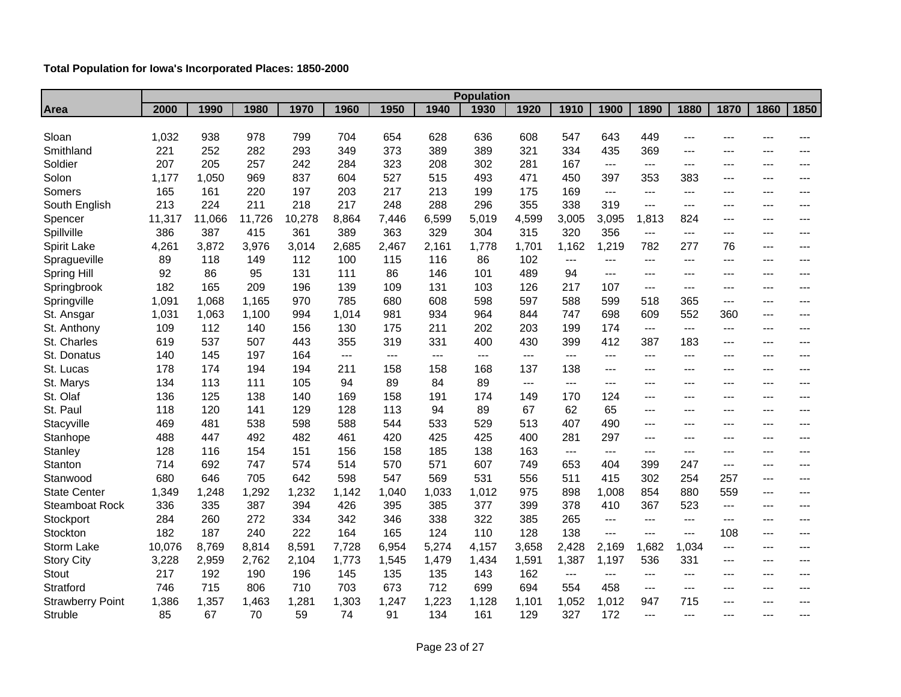|                         | <b>Population</b> |        |        |        |       |       |       |       |       |       |                            |       |       |       |       |       |
|-------------------------|-------------------|--------|--------|--------|-------|-------|-------|-------|-------|-------|----------------------------|-------|-------|-------|-------|-------|
| <b>Area</b>             | 2000              | 1990   | 1980   | 1970   | 1960  | 1950  | 1940  | 1930  | 1920  | 1910  | 1900                       | 1890  | 1880  | 1870  | 1860  | 1850  |
|                         |                   |        |        |        |       |       |       |       |       |       |                            |       |       |       |       |       |
| Sloan                   | 1,032             | 938    | 978    | 799    | 704   | 654   | 628   | 636   | 608   | 547   | 643                        | 449   | ---   | ---   |       |       |
| Smithland               | 221               | 252    | 282    | 293    | 349   | 373   | 389   | 389   | 321   | 334   | 435                        | 369   | $---$ | ---   | ---   | ---   |
| Soldier                 | 207               | 205    | 257    | 242    | 284   | 323   | 208   | 302   | 281   | 167   | ---                        | ---   | $---$ | ---   | ---   | ---   |
| Solon                   | 1,177             | 1,050  | 969    | 837    | 604   | 527   | 515   | 493   | 471   | 450   | 397                        | 353   | 383   | ---   | ---   | ---   |
| Somers                  | 165               | 161    | 220    | 197    | 203   | 217   | 213   | 199   | 175   | 169   | $\overline{a}$             | $---$ | $---$ | ---   | $---$ | ---   |
| South English           | 213               | 224    | 211    | 218    | 217   | 248   | 288   | 296   | 355   | 338   | 319                        | ---   | ---   | ---   | ---   | ---   |
| Spencer                 | 11,317            | 11,066 | 11,726 | 10,278 | 8,864 | 7,446 | 6,599 | 5,019 | 4,599 | 3,005 | 3,095                      | 1,813 | 824   | ---   | ---   | ---   |
| Spillville              | 386               | 387    | 415    | 361    | 389   | 363   | 329   | 304   | 315   | 320   | 356                        | ---   | $---$ | $---$ | $---$ | ---   |
| Spirit Lake             | 4,261             | 3,872  | 3,976  | 3,014  | 2,685 | 2,467 | 2,161 | 1,778 | 1,701 | 1,162 | 1,219                      | 782   | 277   | 76    | $---$ | ---   |
| Spragueville            | 89                | 118    | 149    | 112    | 100   | 115   | 116   | 86    | 102   | $---$ | $---$                      | $---$ | ---   | ---   | $---$ | $---$ |
| Spring Hill             | 92                | 86     | 95     | 131    | 111   | 86    | 146   | 101   | 489   | 94    | $---$                      | $---$ | $---$ | $---$ | $---$ | $---$ |
| Springbrook             | 182               | 165    | 209    | 196    | 139   | 109   | 131   | 103   | 126   | 217   | 107                        | ---   | $---$ | ---   | ---   | ---   |
| Springville             | 1,091             | 1,068  | 1,165  | 970    | 785   | 680   | 608   | 598   | 597   | 588   | 599                        | 518   | 365   | ---   | $---$ | ---   |
| St. Ansgar              | 1,031             | 1,063  | 1,100  | 994    | 1,014 | 981   | 934   | 964   | 844   | 747   | 698                        | 609   | 552   | 360   | $---$ | ---   |
| St. Anthony             | 109               | 112    | 140    | 156    | 130   | 175   | 211   | 202   | 203   | 199   | 174                        | ---   | $---$ | ---   | $---$ | ---   |
| St. Charles             | 619               | 537    | 507    | 443    | 355   | 319   | 331   | 400   | 430   | 399   | 412                        | 387   | 183   | ---   | $---$ | ---   |
| St. Donatus             | 140               | 145    | 197    | 164    | $---$ | $---$ | $---$ | $---$ | $---$ | $---$ | $---$                      | $---$ | $---$ | ---   | $---$ | ---   |
| St. Lucas               | 178               | 174    | 194    | 194    | 211   | 158   | 158   | 168   | 137   | 138   | $\qquad \qquad - -$        | ---   | ---   | ---   | $---$ | ---   |
| St. Marys               | 134               | 113    | 111    | 105    | 94    | 89    | 84    | 89    | $---$ | ---   | ---                        | ---   | ---   | ---   | ---   |       |
| St. Olaf                | 136               | 125    | 138    | 140    | 169   | 158   | 191   | 174   | 149   | 170   | 124                        | ---   | ---   | ---   | ---   | ---   |
| St. Paul                | 118               | 120    | 141    | 129    | 128   | 113   | 94    | 89    | 67    | 62    | 65                         | ---   | ---   | ---   | $---$ | ---   |
| Stacyville              | 469               | 481    | 538    | 598    | 588   | 544   | 533   | 529   | 513   | 407   | 490                        | ---   | ---   | ---   | ---   |       |
| Stanhope                | 488               | 447    | 492    | 482    | 461   | 420   | 425   | 425   | 400   | 281   | 297                        | ---   | $---$ | ---   | ---   | ---   |
| Stanley                 | 128               | 116    | 154    | 151    | 156   | 158   | 185   | 138   | 163   | $---$ | $---$                      | ---   | $---$ | $---$ | $---$ | $---$ |
| Stanton                 | 714               | 692    | 747    | 574    | 514   | 570   | 571   | 607   | 749   | 653   | 404                        | 399   | 247   | ---   | ---   | ---   |
| Stanwood                | 680               | 646    | 705    | 642    | 598   | 547   | 569   | 531   | 556   | 511   | 415                        | 302   | 254   | 257   | $---$ | ---   |
| <b>State Center</b>     | 1,349             | 1,248  | 1,292  | 1,232  | 1,142 | 1,040 | 1,033 | 1,012 | 975   | 898   | 1,008                      | 854   | 880   | 559   | $---$ | ---   |
| <b>Steamboat Rock</b>   | 336               | 335    | 387    | 394    | 426   | 395   | 385   | 377   | 399   | 378   | 410                        | 367   | 523   | ---   | $---$ |       |
| Stockport               | 284               | 260    | 272    | 334    | 342   | 346   | 338   | 322   | 385   | 265   | $\qquad \qquad \text{---}$ | ---   | ---   | ---   | ---   | ---   |
| Stockton                | 182               | 187    | 240    | 222    | 164   | 165   | 124   | 110   | 128   | 138   | ---                        | ---   | ---   | 108   | $---$ | ---   |
| <b>Storm Lake</b>       | 10,076            | 8,769  | 8,814  | 8,591  | 7,728 | 6,954 | 5,274 | 4,157 | 3,658 | 2,428 | 2,169                      | ,682  | 1,034 | ---   | ---   |       |
| <b>Story City</b>       | 3,228             | 2,959  | 2,762  | 2,104  | 1,773 | 1,545 | 1,479 | 1,434 | 1,591 | 1,387 | 1,197                      | 536   | 331   | $---$ | $---$ | ---   |
| Stout                   | 217               | 192    | 190    | 196    | 145   | 135   | 135   | 143   | 162   | $---$ | ---                        | ---   | $---$ | ---   | $---$ | ---   |
| Stratford               | 746               | 715    | 806    | 710    | 703   | 673   | 712   | 699   | 694   | 554   | 458                        | ---   | ---   | ---   | ---   |       |
| <b>Strawberry Point</b> | 1,386             | 1,357  | 1,463  | 1,281  | 1,303 | 1,247 | 1,223 | 1,128 | 1,101 | 1,052 | 1,012                      | 947   | 715   | $---$ | ---   | ---   |
| Struble                 | 85                | 67     | 70     | 59     | 74    | 91    | 134   | 161   | 129   | 327   | 172                        | ---   | ---   | ---   | $---$ | ---   |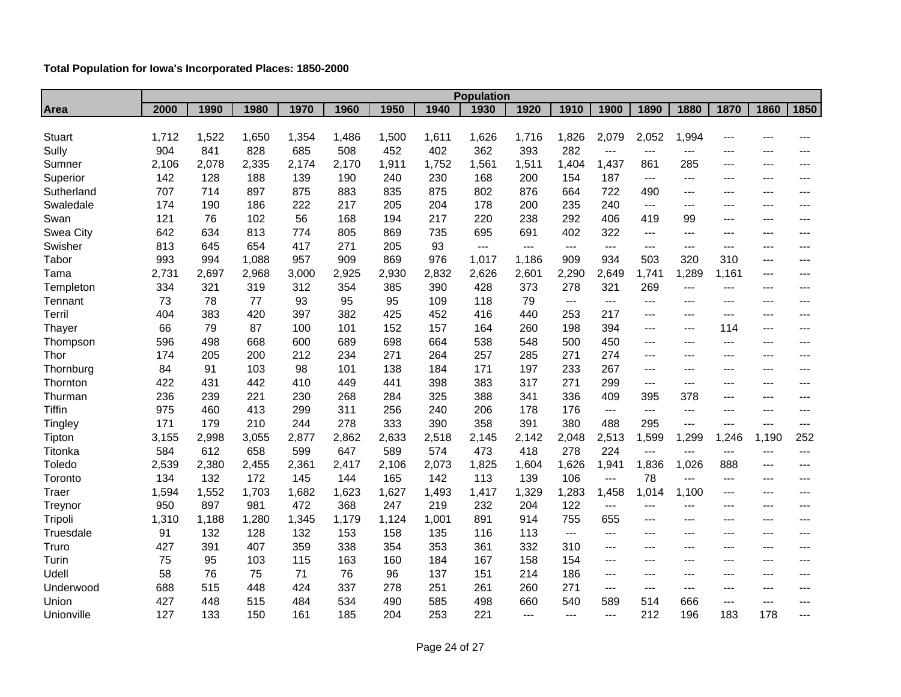| Total Population for Iowa's Incorporated Places: 1850-2000 |  |  |  |
|------------------------------------------------------------|--|--|--|
|------------------------------------------------------------|--|--|--|

| 1990<br>1970<br>1960<br>1950<br>1930<br>1910<br>1890<br>1880<br>1870<br>1860<br>1850<br>2000<br>1980<br>1940<br>1920<br>1900<br>Area<br>1,712<br>1,522<br>Stuart<br>1,650<br>1,354<br>1,486<br>1,500<br>1,611<br>1,626<br>1,716<br>1,826<br>2,079<br>2,052<br>1,994<br>$---$<br>904<br>685<br>402<br>362<br>282<br>Sully<br>841<br>828<br>508<br>452<br>393<br>$---$<br>$---$<br>$---$<br>$--$<br>---<br>---<br>2,106<br>1,404<br>285<br>2,078<br>2,335<br>2,174<br>2,170<br>1,911<br>1,752<br>1,561<br>1,511<br>1,437<br>861<br>Sumner<br>$---$<br>$\qquad \qquad \qquad -$<br>---<br>142<br>128<br>139<br>190<br>240<br>230<br>Superior<br>188<br>168<br>200<br>154<br>187<br>$---$<br>$---$<br>$---$<br>$---$<br>---<br>707<br>714<br>897<br>875<br>883<br>835<br>875<br>802<br>876<br>664<br>722<br>490<br>Sutherland<br>$--$<br>$---$<br>$---$<br>---<br>217<br>204<br>Swaledale<br>174<br>190<br>186<br>222<br>205<br>178<br>200<br>235<br>240<br>$---$<br>$---$<br>$---$<br>$\qquad \qquad -$<br>---<br>121<br>76<br>168<br>217<br>292<br>102<br>56<br>194<br>220<br>238<br>406<br>419<br>99<br>Swan<br>---<br>$---$<br>---<br>642<br>634<br>735<br>695<br>402<br>813<br>774<br>805<br>869<br>691<br>322<br>Swea City<br>$---$<br>$---$<br>$---$<br>$---$<br>---<br>813<br>645<br>654<br>417<br>271<br>205<br>93<br>Swisher<br>$---$<br>$---$<br>$---$<br>$---$<br>$---$<br>$---$<br>$---$<br>$---$<br>$---$<br>976<br>993<br>994<br>957<br>909<br>869<br>934<br>503<br>320<br>310<br>Tabor<br>1,088<br>1,017<br>1,186<br>909<br>---<br>---<br>2,731<br>2,697<br>3,000<br>2,925<br>2,930<br>2,832<br>2,626<br>2,290<br>2,649<br>1,741<br>1,289<br>1,161<br>Tama<br>2,968<br>2,601<br>$---$<br>---<br>334<br>321<br>312<br>390<br>319<br>354<br>385<br>428<br>373<br>278<br>321<br>269<br>Templeton<br>$---$<br>$---$<br>$---$<br>$---$<br>73<br>78<br>93<br>95<br>95<br>79<br>77<br>109<br>118<br>Tennant<br>$---$<br>$---$<br>$---$<br>---<br>$---$<br>---<br>---<br>404<br>383<br>253<br>420<br>397<br>382<br>425<br>452<br>416<br>440<br>217<br>Terril<br>$---$<br>$--$<br>$--$<br>$--$<br>---<br>66<br>79<br>152<br>87<br>100<br>101<br>157<br>164<br>260<br>198<br>394<br>114<br>Thayer<br>$---$<br>$---$<br>$---$<br>---<br>596<br>689<br>664<br>538<br>498<br>668<br>600<br>698<br>548<br>500<br>450<br>Thompson<br>$---$<br>$---$<br>$---$<br>$---$<br>---<br>174<br>205<br>200<br>212<br>234<br>271<br>264<br>257<br>271<br>274<br>Thor<br>285<br>$---$<br>$---$<br>$---$<br>---<br>---<br>84<br>91<br>103<br>98<br>101<br>138<br>184<br>171<br>197<br>233<br>267<br>Thornburg<br>$---$<br>$---$<br>$---$<br>$---$<br>---<br>422<br>398<br>Thornton<br>431<br>442<br>410<br>449<br>441<br>383<br>317<br>271<br>299<br>$---$<br>---<br>$---$<br>$---$ |         |     |     |     |     |     |     |     | <b>Population</b> |     |     |     |     |     |       |       |     |
|----------------------------------------------------------------------------------------------------------------------------------------------------------------------------------------------------------------------------------------------------------------------------------------------------------------------------------------------------------------------------------------------------------------------------------------------------------------------------------------------------------------------------------------------------------------------------------------------------------------------------------------------------------------------------------------------------------------------------------------------------------------------------------------------------------------------------------------------------------------------------------------------------------------------------------------------------------------------------------------------------------------------------------------------------------------------------------------------------------------------------------------------------------------------------------------------------------------------------------------------------------------------------------------------------------------------------------------------------------------------------------------------------------------------------------------------------------------------------------------------------------------------------------------------------------------------------------------------------------------------------------------------------------------------------------------------------------------------------------------------------------------------------------------------------------------------------------------------------------------------------------------------------------------------------------------------------------------------------------------------------------------------------------------------------------------------------------------------------------------------------------------------------------------------------------------------------------------------------------------------------------------------------------------------------------------------------------------------------------------------------------------------------------------------------------------------------------------------------------------------------------------------------------------------------------------------------------------------------------------------------------------------------------------------------------------------------------------------------------------------------------------------|---------|-----|-----|-----|-----|-----|-----|-----|-------------------|-----|-----|-----|-----|-----|-------|-------|-----|
|                                                                                                                                                                                                                                                                                                                                                                                                                                                                                                                                                                                                                                                                                                                                                                                                                                                                                                                                                                                                                                                                                                                                                                                                                                                                                                                                                                                                                                                                                                                                                                                                                                                                                                                                                                                                                                                                                                                                                                                                                                                                                                                                                                                                                                                                                                                                                                                                                                                                                                                                                                                                                                                                                                                                                                      |         |     |     |     |     |     |     |     |                   |     |     |     |     |     |       |       |     |
|                                                                                                                                                                                                                                                                                                                                                                                                                                                                                                                                                                                                                                                                                                                                                                                                                                                                                                                                                                                                                                                                                                                                                                                                                                                                                                                                                                                                                                                                                                                                                                                                                                                                                                                                                                                                                                                                                                                                                                                                                                                                                                                                                                                                                                                                                                                                                                                                                                                                                                                                                                                                                                                                                                                                                                      |         |     |     |     |     |     |     |     |                   |     |     |     |     |     |       |       |     |
|                                                                                                                                                                                                                                                                                                                                                                                                                                                                                                                                                                                                                                                                                                                                                                                                                                                                                                                                                                                                                                                                                                                                                                                                                                                                                                                                                                                                                                                                                                                                                                                                                                                                                                                                                                                                                                                                                                                                                                                                                                                                                                                                                                                                                                                                                                                                                                                                                                                                                                                                                                                                                                                                                                                                                                      |         |     |     |     |     |     |     |     |                   |     |     |     |     |     |       |       |     |
|                                                                                                                                                                                                                                                                                                                                                                                                                                                                                                                                                                                                                                                                                                                                                                                                                                                                                                                                                                                                                                                                                                                                                                                                                                                                                                                                                                                                                                                                                                                                                                                                                                                                                                                                                                                                                                                                                                                                                                                                                                                                                                                                                                                                                                                                                                                                                                                                                                                                                                                                                                                                                                                                                                                                                                      |         |     |     |     |     |     |     |     |                   |     |     |     |     |     |       |       |     |
|                                                                                                                                                                                                                                                                                                                                                                                                                                                                                                                                                                                                                                                                                                                                                                                                                                                                                                                                                                                                                                                                                                                                                                                                                                                                                                                                                                                                                                                                                                                                                                                                                                                                                                                                                                                                                                                                                                                                                                                                                                                                                                                                                                                                                                                                                                                                                                                                                                                                                                                                                                                                                                                                                                                                                                      |         |     |     |     |     |     |     |     |                   |     |     |     |     |     |       |       |     |
|                                                                                                                                                                                                                                                                                                                                                                                                                                                                                                                                                                                                                                                                                                                                                                                                                                                                                                                                                                                                                                                                                                                                                                                                                                                                                                                                                                                                                                                                                                                                                                                                                                                                                                                                                                                                                                                                                                                                                                                                                                                                                                                                                                                                                                                                                                                                                                                                                                                                                                                                                                                                                                                                                                                                                                      |         |     |     |     |     |     |     |     |                   |     |     |     |     |     |       |       |     |
|                                                                                                                                                                                                                                                                                                                                                                                                                                                                                                                                                                                                                                                                                                                                                                                                                                                                                                                                                                                                                                                                                                                                                                                                                                                                                                                                                                                                                                                                                                                                                                                                                                                                                                                                                                                                                                                                                                                                                                                                                                                                                                                                                                                                                                                                                                                                                                                                                                                                                                                                                                                                                                                                                                                                                                      |         |     |     |     |     |     |     |     |                   |     |     |     |     |     |       |       |     |
|                                                                                                                                                                                                                                                                                                                                                                                                                                                                                                                                                                                                                                                                                                                                                                                                                                                                                                                                                                                                                                                                                                                                                                                                                                                                                                                                                                                                                                                                                                                                                                                                                                                                                                                                                                                                                                                                                                                                                                                                                                                                                                                                                                                                                                                                                                                                                                                                                                                                                                                                                                                                                                                                                                                                                                      |         |     |     |     |     |     |     |     |                   |     |     |     |     |     |       |       |     |
|                                                                                                                                                                                                                                                                                                                                                                                                                                                                                                                                                                                                                                                                                                                                                                                                                                                                                                                                                                                                                                                                                                                                                                                                                                                                                                                                                                                                                                                                                                                                                                                                                                                                                                                                                                                                                                                                                                                                                                                                                                                                                                                                                                                                                                                                                                                                                                                                                                                                                                                                                                                                                                                                                                                                                                      |         |     |     |     |     |     |     |     |                   |     |     |     |     |     |       |       |     |
|                                                                                                                                                                                                                                                                                                                                                                                                                                                                                                                                                                                                                                                                                                                                                                                                                                                                                                                                                                                                                                                                                                                                                                                                                                                                                                                                                                                                                                                                                                                                                                                                                                                                                                                                                                                                                                                                                                                                                                                                                                                                                                                                                                                                                                                                                                                                                                                                                                                                                                                                                                                                                                                                                                                                                                      |         |     |     |     |     |     |     |     |                   |     |     |     |     |     |       |       |     |
|                                                                                                                                                                                                                                                                                                                                                                                                                                                                                                                                                                                                                                                                                                                                                                                                                                                                                                                                                                                                                                                                                                                                                                                                                                                                                                                                                                                                                                                                                                                                                                                                                                                                                                                                                                                                                                                                                                                                                                                                                                                                                                                                                                                                                                                                                                                                                                                                                                                                                                                                                                                                                                                                                                                                                                      |         |     |     |     |     |     |     |     |                   |     |     |     |     |     |       |       |     |
|                                                                                                                                                                                                                                                                                                                                                                                                                                                                                                                                                                                                                                                                                                                                                                                                                                                                                                                                                                                                                                                                                                                                                                                                                                                                                                                                                                                                                                                                                                                                                                                                                                                                                                                                                                                                                                                                                                                                                                                                                                                                                                                                                                                                                                                                                                                                                                                                                                                                                                                                                                                                                                                                                                                                                                      |         |     |     |     |     |     |     |     |                   |     |     |     |     |     |       |       |     |
|                                                                                                                                                                                                                                                                                                                                                                                                                                                                                                                                                                                                                                                                                                                                                                                                                                                                                                                                                                                                                                                                                                                                                                                                                                                                                                                                                                                                                                                                                                                                                                                                                                                                                                                                                                                                                                                                                                                                                                                                                                                                                                                                                                                                                                                                                                                                                                                                                                                                                                                                                                                                                                                                                                                                                                      |         |     |     |     |     |     |     |     |                   |     |     |     |     |     |       |       |     |
|                                                                                                                                                                                                                                                                                                                                                                                                                                                                                                                                                                                                                                                                                                                                                                                                                                                                                                                                                                                                                                                                                                                                                                                                                                                                                                                                                                                                                                                                                                                                                                                                                                                                                                                                                                                                                                                                                                                                                                                                                                                                                                                                                                                                                                                                                                                                                                                                                                                                                                                                                                                                                                                                                                                                                                      |         |     |     |     |     |     |     |     |                   |     |     |     |     |     |       |       |     |
|                                                                                                                                                                                                                                                                                                                                                                                                                                                                                                                                                                                                                                                                                                                                                                                                                                                                                                                                                                                                                                                                                                                                                                                                                                                                                                                                                                                                                                                                                                                                                                                                                                                                                                                                                                                                                                                                                                                                                                                                                                                                                                                                                                                                                                                                                                                                                                                                                                                                                                                                                                                                                                                                                                                                                                      |         |     |     |     |     |     |     |     |                   |     |     |     |     |     |       |       |     |
|                                                                                                                                                                                                                                                                                                                                                                                                                                                                                                                                                                                                                                                                                                                                                                                                                                                                                                                                                                                                                                                                                                                                                                                                                                                                                                                                                                                                                                                                                                                                                                                                                                                                                                                                                                                                                                                                                                                                                                                                                                                                                                                                                                                                                                                                                                                                                                                                                                                                                                                                                                                                                                                                                                                                                                      |         |     |     |     |     |     |     |     |                   |     |     |     |     |     |       |       |     |
|                                                                                                                                                                                                                                                                                                                                                                                                                                                                                                                                                                                                                                                                                                                                                                                                                                                                                                                                                                                                                                                                                                                                                                                                                                                                                                                                                                                                                                                                                                                                                                                                                                                                                                                                                                                                                                                                                                                                                                                                                                                                                                                                                                                                                                                                                                                                                                                                                                                                                                                                                                                                                                                                                                                                                                      |         |     |     |     |     |     |     |     |                   |     |     |     |     |     |       |       |     |
|                                                                                                                                                                                                                                                                                                                                                                                                                                                                                                                                                                                                                                                                                                                                                                                                                                                                                                                                                                                                                                                                                                                                                                                                                                                                                                                                                                                                                                                                                                                                                                                                                                                                                                                                                                                                                                                                                                                                                                                                                                                                                                                                                                                                                                                                                                                                                                                                                                                                                                                                                                                                                                                                                                                                                                      |         |     |     |     |     |     |     |     |                   |     |     |     |     |     |       |       |     |
|                                                                                                                                                                                                                                                                                                                                                                                                                                                                                                                                                                                                                                                                                                                                                                                                                                                                                                                                                                                                                                                                                                                                                                                                                                                                                                                                                                                                                                                                                                                                                                                                                                                                                                                                                                                                                                                                                                                                                                                                                                                                                                                                                                                                                                                                                                                                                                                                                                                                                                                                                                                                                                                                                                                                                                      |         |     |     |     |     |     |     |     |                   |     |     |     |     |     |       |       |     |
|                                                                                                                                                                                                                                                                                                                                                                                                                                                                                                                                                                                                                                                                                                                                                                                                                                                                                                                                                                                                                                                                                                                                                                                                                                                                                                                                                                                                                                                                                                                                                                                                                                                                                                                                                                                                                                                                                                                                                                                                                                                                                                                                                                                                                                                                                                                                                                                                                                                                                                                                                                                                                                                                                                                                                                      |         |     |     |     |     |     |     |     |                   |     |     |     |     |     |       |       |     |
|                                                                                                                                                                                                                                                                                                                                                                                                                                                                                                                                                                                                                                                                                                                                                                                                                                                                                                                                                                                                                                                                                                                                                                                                                                                                                                                                                                                                                                                                                                                                                                                                                                                                                                                                                                                                                                                                                                                                                                                                                                                                                                                                                                                                                                                                                                                                                                                                                                                                                                                                                                                                                                                                                                                                                                      |         |     |     |     |     |     |     |     |                   |     |     |     |     |     |       |       |     |
|                                                                                                                                                                                                                                                                                                                                                                                                                                                                                                                                                                                                                                                                                                                                                                                                                                                                                                                                                                                                                                                                                                                                                                                                                                                                                                                                                                                                                                                                                                                                                                                                                                                                                                                                                                                                                                                                                                                                                                                                                                                                                                                                                                                                                                                                                                                                                                                                                                                                                                                                                                                                                                                                                                                                                                      | Thurman | 236 | 239 | 221 | 230 | 268 | 284 | 325 | 388               | 341 | 336 | 409 | 395 | 378 | $---$ | $---$ | --- |
| 975<br>460<br>299<br>311<br>256<br>240<br>206<br>176<br><b>Tiffin</b><br>413<br>178<br>$---$<br>$---$<br>$---$<br>$---$<br>$---$<br>$---$                                                                                                                                                                                                                                                                                                                                                                                                                                                                                                                                                                                                                                                                                                                                                                                                                                                                                                                                                                                                                                                                                                                                                                                                                                                                                                                                                                                                                                                                                                                                                                                                                                                                                                                                                                                                                                                                                                                                                                                                                                                                                                                                                                                                                                                                                                                                                                                                                                                                                                                                                                                                                            |         |     |     |     |     |     |     |     |                   |     |     |     |     |     |       |       |     |
| 171<br>179<br>210<br>244<br>278<br>333<br>390<br>358<br>391<br>380<br>488<br>295<br>Tingley<br>---<br>$---$<br>---<br>$---$                                                                                                                                                                                                                                                                                                                                                                                                                                                                                                                                                                                                                                                                                                                                                                                                                                                                                                                                                                                                                                                                                                                                                                                                                                                                                                                                                                                                                                                                                                                                                                                                                                                                                                                                                                                                                                                                                                                                                                                                                                                                                                                                                                                                                                                                                                                                                                                                                                                                                                                                                                                                                                          |         |     |     |     |     |     |     |     |                   |     |     |     |     |     |       |       |     |
| 3,155<br>2,998<br>2,877<br>2,862<br>2,633<br>2,518<br>2,513<br>1,299<br>1,246<br>252<br>3,055<br>2,145<br>2,142<br>2,048<br>1,599<br>1,190<br>Tipton                                                                                                                                                                                                                                                                                                                                                                                                                                                                                                                                                                                                                                                                                                                                                                                                                                                                                                                                                                                                                                                                                                                                                                                                                                                                                                                                                                                                                                                                                                                                                                                                                                                                                                                                                                                                                                                                                                                                                                                                                                                                                                                                                                                                                                                                                                                                                                                                                                                                                                                                                                                                                 |         |     |     |     |     |     |     |     |                   |     |     |     |     |     |       |       |     |
| 584<br>612<br>599<br>589<br>574<br>224<br>Titonka<br>658<br>647<br>473<br>418<br>278<br>$---$<br>$---$<br>$---$<br>$---$<br>$---$                                                                                                                                                                                                                                                                                                                                                                                                                                                                                                                                                                                                                                                                                                                                                                                                                                                                                                                                                                                                                                                                                                                                                                                                                                                                                                                                                                                                                                                                                                                                                                                                                                                                                                                                                                                                                                                                                                                                                                                                                                                                                                                                                                                                                                                                                                                                                                                                                                                                                                                                                                                                                                    |         |     |     |     |     |     |     |     |                   |     |     |     |     |     |       |       |     |
| 2,380<br>2,073<br>Toledo<br>2,539<br>2,361<br>2,417<br>2,106<br>1,825<br>1,604<br>1,626<br>1,941<br>1,836<br>1,026<br>888<br>2,455<br>$---$<br>---                                                                                                                                                                                                                                                                                                                                                                                                                                                                                                                                                                                                                                                                                                                                                                                                                                                                                                                                                                                                                                                                                                                                                                                                                                                                                                                                                                                                                                                                                                                                                                                                                                                                                                                                                                                                                                                                                                                                                                                                                                                                                                                                                                                                                                                                                                                                                                                                                                                                                                                                                                                                                   |         |     |     |     |     |     |     |     |                   |     |     |     |     |     |       |       |     |
| 144<br>142<br>106<br>78<br>134<br>132<br>172<br>145<br>165<br>113<br>139<br>Toronto<br>$---$<br>---<br>$---$<br>---<br>---                                                                                                                                                                                                                                                                                                                                                                                                                                                                                                                                                                                                                                                                                                                                                                                                                                                                                                                                                                                                                                                                                                                                                                                                                                                                                                                                                                                                                                                                                                                                                                                                                                                                                                                                                                                                                                                                                                                                                                                                                                                                                                                                                                                                                                                                                                                                                                                                                                                                                                                                                                                                                                           |         |     |     |     |     |     |     |     |                   |     |     |     |     |     |       |       |     |
| 1,682<br>1,014<br>1,594<br>1,552<br>1,703<br>1,623<br>1,627<br>1,493<br>1,417<br>1,329<br>1,283<br>1,458<br>1,100<br>Traer<br>$---$<br>$---$<br>---                                                                                                                                                                                                                                                                                                                                                                                                                                                                                                                                                                                                                                                                                                                                                                                                                                                                                                                                                                                                                                                                                                                                                                                                                                                                                                                                                                                                                                                                                                                                                                                                                                                                                                                                                                                                                                                                                                                                                                                                                                                                                                                                                                                                                                                                                                                                                                                                                                                                                                                                                                                                                  |         |     |     |     |     |     |     |     |                   |     |     |     |     |     |       |       |     |
| 472<br>950<br>897<br>981<br>368<br>247<br>219<br>204<br>122<br>232<br>Treynor<br>$---$<br>$---$<br>---<br>$---$<br>---<br>---                                                                                                                                                                                                                                                                                                                                                                                                                                                                                                                                                                                                                                                                                                                                                                                                                                                                                                                                                                                                                                                                                                                                                                                                                                                                                                                                                                                                                                                                                                                                                                                                                                                                                                                                                                                                                                                                                                                                                                                                                                                                                                                                                                                                                                                                                                                                                                                                                                                                                                                                                                                                                                        |         |     |     |     |     |     |     |     |                   |     |     |     |     |     |       |       |     |
| 755<br>1,310<br>1,188<br>1,345<br>1,179<br>1,124<br>1,001<br>891<br>914<br>Tripoli<br>1,280<br>655<br>$---$<br>$---$<br>$---$<br>---<br>---                                                                                                                                                                                                                                                                                                                                                                                                                                                                                                                                                                                                                                                                                                                                                                                                                                                                                                                                                                                                                                                                                                                                                                                                                                                                                                                                                                                                                                                                                                                                                                                                                                                                                                                                                                                                                                                                                                                                                                                                                                                                                                                                                                                                                                                                                                                                                                                                                                                                                                                                                                                                                          |         |     |     |     |     |     |     |     |                   |     |     |     |     |     |       |       |     |
| 132<br>153<br>91<br>132<br>128<br>158<br>135<br>116<br>113<br>Truesdale<br>$---$<br>$---$<br>$---$<br>$---$<br>$---$<br>$---$<br>$---$                                                                                                                                                                                                                                                                                                                                                                                                                                                                                                                                                                                                                                                                                                                                                                                                                                                                                                                                                                                                                                                                                                                                                                                                                                                                                                                                                                                                                                                                                                                                                                                                                                                                                                                                                                                                                                                                                                                                                                                                                                                                                                                                                                                                                                                                                                                                                                                                                                                                                                                                                                                                                               |         |     |     |     |     |     |     |     |                   |     |     |     |     |     |       |       |     |
| 427<br>359<br>338<br>353<br>361<br>332<br>Truro<br>391<br>407<br>354<br>310<br>---<br>$---$<br>$---$<br>$---$<br>---<br>---                                                                                                                                                                                                                                                                                                                                                                                                                                                                                                                                                                                                                                                                                                                                                                                                                                                                                                                                                                                                                                                                                                                                                                                                                                                                                                                                                                                                                                                                                                                                                                                                                                                                                                                                                                                                                                                                                                                                                                                                                                                                                                                                                                                                                                                                                                                                                                                                                                                                                                                                                                                                                                          |         |     |     |     |     |     |     |     |                   |     |     |     |     |     |       |       |     |
| 75<br>95<br>103<br>163<br>160<br>184<br>167<br>158<br>154<br>Turin<br>115<br>$---$<br>$---$<br>$---$<br>$---$<br>$---$<br>---                                                                                                                                                                                                                                                                                                                                                                                                                                                                                                                                                                                                                                                                                                                                                                                                                                                                                                                                                                                                                                                                                                                                                                                                                                                                                                                                                                                                                                                                                                                                                                                                                                                                                                                                                                                                                                                                                                                                                                                                                                                                                                                                                                                                                                                                                                                                                                                                                                                                                                                                                                                                                                        |         |     |     |     |     |     |     |     |                   |     |     |     |     |     |       |       |     |
| Udell<br>58<br>76<br>96<br>75<br>71<br>76<br>137<br>151<br>214<br>186<br>$---$<br>$---$<br>$---$<br>$---$<br>$---$<br>---                                                                                                                                                                                                                                                                                                                                                                                                                                                                                                                                                                                                                                                                                                                                                                                                                                                                                                                                                                                                                                                                                                                                                                                                                                                                                                                                                                                                                                                                                                                                                                                                                                                                                                                                                                                                                                                                                                                                                                                                                                                                                                                                                                                                                                                                                                                                                                                                                                                                                                                                                                                                                                            |         |     |     |     |     |     |     |     |                   |     |     |     |     |     |       |       |     |
| 688<br>515<br>278<br>251<br>Underwood<br>448<br>424<br>337<br>261<br>260<br>271<br>$---$<br>$---$<br>$---$<br>$---$<br>$---$<br>---                                                                                                                                                                                                                                                                                                                                                                                                                                                                                                                                                                                                                                                                                                                                                                                                                                                                                                                                                                                                                                                                                                                                                                                                                                                                                                                                                                                                                                                                                                                                                                                                                                                                                                                                                                                                                                                                                                                                                                                                                                                                                                                                                                                                                                                                                                                                                                                                                                                                                                                                                                                                                                  |         |     |     |     |     |     |     |     |                   |     |     |     |     |     |       |       |     |
| 427<br>448<br>515<br>484<br>534<br>490<br>585<br>498<br>660<br>540<br>589<br>666<br>Union<br>514<br>$--$<br>---<br>---                                                                                                                                                                                                                                                                                                                                                                                                                                                                                                                                                                                                                                                                                                                                                                                                                                                                                                                                                                                                                                                                                                                                                                                                                                                                                                                                                                                                                                                                                                                                                                                                                                                                                                                                                                                                                                                                                                                                                                                                                                                                                                                                                                                                                                                                                                                                                                                                                                                                                                                                                                                                                                               |         |     |     |     |     |     |     |     |                   |     |     |     |     |     |       |       |     |
| 127<br>253<br>Unionville<br>133<br>150<br>161<br>185<br>204<br>221<br>212<br>196<br>183<br>178<br>$---$<br>$---$<br>$---$<br>$---$                                                                                                                                                                                                                                                                                                                                                                                                                                                                                                                                                                                                                                                                                                                                                                                                                                                                                                                                                                                                                                                                                                                                                                                                                                                                                                                                                                                                                                                                                                                                                                                                                                                                                                                                                                                                                                                                                                                                                                                                                                                                                                                                                                                                                                                                                                                                                                                                                                                                                                                                                                                                                                   |         |     |     |     |     |     |     |     |                   |     |     |     |     |     |       |       |     |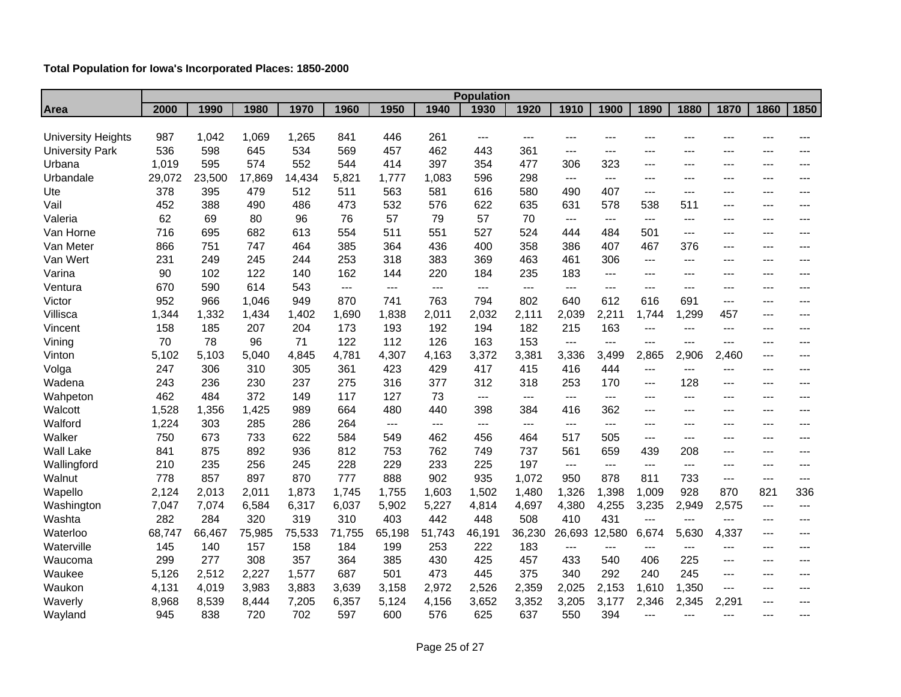| Total Population for Iowa's Incorporated Places: 1850-2000 |  |  |
|------------------------------------------------------------|--|--|
|------------------------------------------------------------|--|--|

|                           | <b>Population</b> |        |        |        |        |               |        |        |        |        |        |       |       |       |                              |       |
|---------------------------|-------------------|--------|--------|--------|--------|---------------|--------|--------|--------|--------|--------|-------|-------|-------|------------------------------|-------|
| <b>Area</b>               | 2000              | 1990   | 1980   | 1970   | 1960   | 1950          | 1940   | 1930   | 1920   | 1910   | 1900   | 1890  | 1880  | 1870  | 1860                         | 1850  |
|                           |                   |        |        |        |        |               |        |        |        |        |        |       |       |       |                              |       |
| <b>University Heights</b> | 987               | 1,042  | 1,069  | 1,265  | 841    | 446           | 261    | $---$  | $---$  |        | ---    | ---   | $---$ | $---$ |                              |       |
| <b>University Park</b>    | 536               | 598    | 645    | 534    | 569    | 457           | 462    | 443    | 361    | $---$  | $---$  | $---$ | $---$ | $---$ | $- - -$                      | ---   |
| Urbana                    | 1,019             | 595    | 574    | 552    | 544    | 414           | 397    | 354    | 477    | 306    | 323    | $---$ | $---$ | $---$ | $---$                        | ---   |
| Urbandale                 | 29,072            | 23,500 | 17,869 | 14,434 | 5,821  | 1,777         | 1,083  | 596    | 298    | ---    | ---    | ---   | ---   | $--$  | $---$                        | ---   |
| Ute                       | 378               | 395    | 479    | 512    | 511    | 563           | 581    | 616    | 580    | 490    | 407    | $---$ | $---$ | $---$ | $---$                        | $---$ |
| Vail                      | 452               | 388    | 490    | 486    | 473    | 532           | 576    | 622    | 635    | 631    | 578    | 538   | 511   | $---$ | $---$                        | $---$ |
| Valeria                   | 62                | 69     | 80     | 96     | 76     | 57            | 79     | 57     | 70     | ---    | $---$  | $---$ | $---$ | $---$ | $---$                        | ---   |
| Van Horne                 | 716               | 695    | 682    | 613    | 554    | 511           | 551    | 527    | 524    | 444    | 484    | 501   | $---$ | $---$ | $---$                        | $---$ |
| Van Meter                 | 866               | 751    | 747    | 464    | 385    | 364           | 436    | 400    | 358    | 386    | 407    | 467   | 376   | $---$ | ---                          | ---   |
| Van Wert                  | 231               | 249    | 245    | 244    | 253    | 318           | 383    | 369    | 463    | 461    | 306    | $---$ | $---$ | $---$ | $---$                        | $---$ |
| Varina                    | 90                | 102    | 122    | 140    | 162    | 144           | 220    | 184    | 235    | 183    | $---$  | $---$ | $---$ | $---$ | $---$                        | $---$ |
| Ventura                   | 670               | 590    | 614    | 543    | $---$  | $---$         | ---    | $---$  | ---    | ---    | ---    | ---   | $---$ | $---$ | ---                          | $---$ |
| Victor                    | 952               | 966    | 1,046  | 949    | 870    | 741           | 763    | 794    | 802    | 640    | 612    | 616   | 691   | $---$ | $---$                        | $---$ |
| Villisca                  | 1,344             | 1,332  | 1,434  | 1,402  | 1,690  | 1,838         | 2,011  | 2,032  | 2,111  | 2,039  | 2,211  | 1,744 | 1,299 | 457   | $---$                        | $---$ |
| Vincent                   | 158               | 185    | 207    | 204    | 173    | 193           | 192    | 194    | 182    | 215    | 163    | $---$ | $---$ | $---$ | $---$                        | ---   |
| Vining                    | 70                | 78     | 96     | 71     | 122    | 112           | 126    | 163    | 153    | ---    | $---$  | $---$ | $---$ | $---$ | $---$                        | $---$ |
| Vinton                    | 5,102             | 5,103  | 5,040  | 4,845  | 4,781  | 4,307         | 4,163  | 3,372  | 3,381  | 3,336  | 3,499  | 2,865 | 2,906 | 2,460 | ---                          | $---$ |
| Volga                     | 247               | 306    | 310    | 305    | 361    | 423           | 429    | 417    | 415    | 416    | 444    | ---   | $---$ | $---$ | $---$                        |       |
| Wadena                    | 243               | 236    | 230    | 237    | 275    | 316           | 377    | 312    | 318    | 253    | 170    | $---$ | 128   | $---$ | $---$                        | $---$ |
| Wahpeton                  | 462               | 484    | 372    | 149    | 117    | 127           | 73     | $---$  | $---$  | ---    | ---    | $---$ | $---$ | $---$ | $---$                        | ---   |
| Walcott                   | 1,528             | 1,356  | 1,425  | 989    | 664    | 480           | 440    | 398    | 384    | 416    | 362    | $---$ | $---$ | $---$ | ---                          | ---   |
| Walford                   | 1,224             | 303    | 285    | 286    | 264    | $\sim$ $\sim$ | $---$  | $---$  | ---    | ---    | ---    | $---$ | $---$ | $---$ | $---$                        | $---$ |
| Walker                    | 750               | 673    | 733    | 622    | 584    | 549           | 462    | 456    | 464    | 517    | 505    | ---   | $---$ | $---$ | $---$                        | $---$ |
| <b>Wall Lake</b>          | 841               | 875    | 892    | 936    | 812    | 753           | 762    | 749    | 737    | 561    | 659    | 439   | 208   | $---$ | $---$                        | ---   |
| Wallingford               | 210               | 235    | 256    | 245    | 228    | 229           | 233    | 225    | 197    | $---$  | $---$  | $---$ | $---$ | $---$ | $---$                        | $---$ |
| Walnut                    | 778               | 857    | 897    | 870    | 777    | 888           | 902    | 935    | 1,072  | 950    | 878    | 811   | 733   | $---$ | $\overline{a}$               | $---$ |
| Wapello                   | 2,124             | 2,013  | 2,011  | 1,873  | 1,745  | 1,755         | 1,603  | 1,502  | 1,480  | 1,326  | 1,398  | 1,009 | 928   | 870   | 821                          | 336   |
| Washington                | 7,047             | 7,074  | 6,584  | 6,317  | 6,037  | 5,902         | 5,227  | 4,814  | 4,697  | 4,380  | 4,255  | 3,235 | 2,949 | 2,575 | $\qquad \qquad \textbf{---}$ | ---   |
| Washta                    | 282               | 284    | 320    | 319    | 310    | 403           | 442    | 448    | 508    | 410    | 431    | $---$ | $---$ | $---$ | $---$                        | $---$ |
| Waterloo                  | 68,747            | 66,467 | 75,985 | 75,533 | 71,755 | 65,198        | 51,743 | 46,191 | 36,230 | 26,693 | 12,580 | 6,674 | 5,630 | 4,337 | $--$                         | $---$ |
| Waterville                | 145               | 140    | 157    | 158    | 184    | 199           | 253    | 222    | 183    | $---$  | $---$  | $---$ | $---$ | $---$ | $---$                        | $---$ |
| Waucoma                   | 299               | 277    | 308    | 357    | 364    | 385           | 430    | 425    | 457    | 433    | 540    | 406   | 225   | $---$ | $---$                        | $---$ |
| Waukee                    | 5,126             | 2,512  | 2,227  | 1,577  | 687    | 501           | 473    | 445    | 375    | 340    | 292    | 240   | 245   | $---$ | $---$                        | $---$ |
| Waukon                    | 4,131             | 4,019  | 3,983  | 3,883  | 3,639  | 3,158         | 2,972  | 2,526  | 2,359  | 2,025  | 2,153  | 1,610 | 1,350 | $---$ | $---$                        | $---$ |
| Waverly                   | 8,968             | 8,539  | 8,444  | 7,205  | 6,357  | 5,124         | 4,156  | 3,652  | 3,352  | 3,205  | 3,177  | 2,346 | 2,345 | 2,291 | $---$                        | $---$ |
| Wayland                   | 945               | 838    | 720    | 702    | 597    | 600           | 576    | 625    | 637    | 550    | 394    | ---   | $---$ | $---$ | $---$                        | $---$ |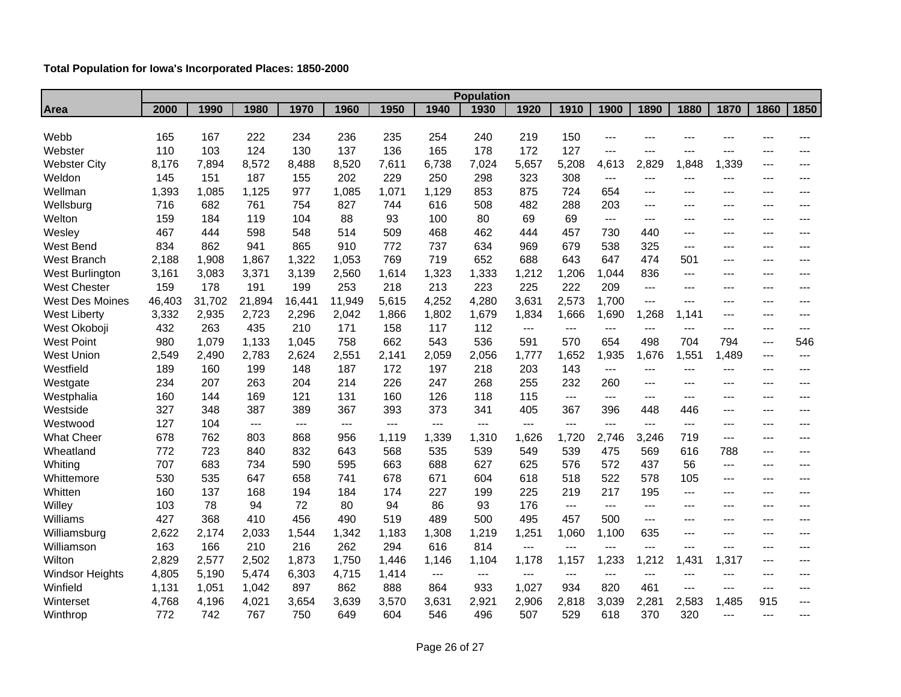|                        |        |        |        |        |        |       |       | <b>Population</b> |       |       |       |       |       |       |       |       |
|------------------------|--------|--------|--------|--------|--------|-------|-------|-------------------|-------|-------|-------|-------|-------|-------|-------|-------|
| Area                   | 2000   | 1990   | 1980   | 1970   | 1960   | 1950  | 1940  | 1930              | 1920  | 1910  | 1900  | 1890  | 1880  | 1870  | 1860  | 1850  |
|                        |        |        |        |        |        |       |       |                   |       |       |       |       |       |       |       |       |
| Webb                   | 165    | 167    | 222    | 234    | 236    | 235   | 254   | 240               | 219   | 150   | ---   | ---   |       |       |       |       |
| Webster                | 110    | 103    | 124    | 130    | 137    | 136   | 165   | 178               | 172   | 127   | ---   | ---   | ---   | $---$ | ---   | ---   |
| <b>Webster City</b>    | 8,176  | 7,894  | 8,572  | 8,488  | 8,520  | 7,611 | 6,738 | 7,024             | 5,657 | 5,208 | 4,613 | 2,829 | 1,848 | 1,339 | $---$ | ---   |
| Weldon                 | 145    | 151    | 187    | 155    | 202    | 229   | 250   | 298               | 323   | 308   | $---$ | ---   | $---$ | ---   | $---$ | ---   |
| Wellman                | 1,393  | 1,085  | 1,125  | 977    | 1,085  | 1,071 | 1,129 | 853               | 875   | 724   | 654   | $---$ | ---   | ---   | $---$ | ---   |
| Wellsburg              | 716    | 682    | 761    | 754    | 827    | 744   | 616   | 508               | 482   | 288   | 203   | $---$ | ---   | ---   | ---   | ---   |
| Welton                 | 159    | 184    | 119    | 104    | 88     | 93    | 100   | 80                | 69    | 69    | $---$ | $---$ | ---   | ---   | $---$ | ---   |
| Wesley                 | 467    | 444    | 598    | 548    | 514    | 509   | 468   | 462               | 444   | 457   | 730   | 440   | $---$ | ---   | ---   | ---   |
| West Bend              | 834    | 862    | 941    | 865    | 910    | 772   | 737   | 634               | 969   | 679   | 538   | 325   | $---$ | ---   | $---$ | ---   |
| West Branch            | 2,188  | 1,908  | 1,867  | 1,322  | 1,053  | 769   | 719   | 652               | 688   | 643   | 647   | 474   | 501   | $---$ | $---$ | $---$ |
| West Burlington        | 3,161  | 3,083  | 3,371  | 3,139  | 2,560  | 1,614 | 1,323 | 1,333             | 1,212 | 1,206 | 1,044 | 836   | ---   | ---   | ---   | ---   |
| <b>West Chester</b>    | 159    | 178    | 191    | 199    | 253    | 218   | 213   | 223               | 225   | 222   | 209   | $---$ | ---   | ---   | ---   | ---   |
| <b>West Des Moines</b> | 46,403 | 31,702 | 21,894 | 16,441 | 11,949 | 5,615 | 4,252 | 4,280             | 3,631 | 2,573 | 1,700 | $---$ | $---$ | ---   | $---$ | ---   |
| <b>West Liberty</b>    | 3,332  | 2,935  | 2,723  | 2,296  | 2,042  | 1,866 | 1,802 | 1,679             | 1,834 | 1,666 | 1,690 | 1,268 | 1,141 | ---   | $---$ | ---   |
| West Okoboji           | 432    | 263    | 435    | 210    | 171    | 158   | 117   | 112               | $---$ | $---$ | ---   | ---   | ---   | ---   | ---   | ---   |
| <b>West Point</b>      | 980    | 1,079  | 1,133  | 1,045  | 758    | 662   | 543   | 536               | 591   | 570   | 654   | 498   | 704   | 794   | $---$ | 546   |
| <b>West Union</b>      | 2,549  | 2,490  | 2,783  | 2,624  | 2,551  | 2,141 | 2,059 | 2,056             | 1,777 | 1,652 | 1,935 | 676,  | 1,551 | 1,489 | $---$ | $---$ |
| Westfield              | 189    | 160    | 199    | 148    | 187    | 172   | 197   | 218               | 203   | 143   | $---$ | $--$  | $---$ | $---$ | ---   | ---   |
| Westgate               | 234    | 207    | 263    | 204    | 214    | 226   | 247   | 268               | 255   | 232   | 260   | $---$ | ---   | ---   | $---$ | ---   |
| Westphalia             | 160    | 144    | 169    | 121    | 131    | 160   | 126   | 118               | 115   | ---   | ---   | $---$ | ---   | ---   | $---$ |       |
| Westside               | 327    | 348    | 387    | 389    | 367    | 393   | 373   | 341               | 405   | 367   | 396   | 448   | 446   | $---$ | ---   | ---   |
| Westwood               | 127    | 104    | $---$  | $---$  | $---$  | $---$ | $---$ | $---$             | $---$ | $---$ | $---$ | ---   | ---   | ---   | $---$ | ---   |
| <b>What Cheer</b>      | 678    | 762    | 803    | 868    | 956    | 1,119 | 1,339 | 1,310             | 1,626 | 1,720 | 2,746 | 3,246 | 719   | ---   | $---$ | ---   |
| Wheatland              | 772    | 723    | 840    | 832    | 643    | 568   | 535   | 539               | 549   | 539   | 475   | 569   | 616   | 788   | ---   | ---   |
| Whiting                | 707    | 683    | 734    | 590    | 595    | 663   | 688   | 627               | 625   | 576   | 572   | 437   | 56    | ---   | ---   | ---   |
| Whittemore             | 530    | 535    | 647    | 658    | 741    | 678   | 671   | 604               | 618   | 518   | 522   | 578   | 105   | ---   | ---   |       |
| Whitten                | 160    | 137    | 168    | 194    | 184    | 174   | 227   | 199               | 225   | 219   | 217   | 195   | ---   | $---$ | ---   | ---   |
| Willey                 | 103    | 78     | 94     | 72     | 80     | 94    | 86    | 93                | 176   | $---$ | $---$ | $---$ | ---   | ---   | $---$ | ---   |
| Williams               | 427    | 368    | 410    | 456    | 490    | 519   | 489   | 500               | 495   | 457   | 500   | ---   | ---   | ---   | $---$ | ---   |
| Williamsburg           | 2,622  | 2,174  | 2,033  | 1,544  | 1,342  | 1,183 | 1,308 | 1,219             | 1,251 | 1,060 | 1,100 | 635   | ---   | ---   | ---   | ---   |
| Williamson             | 163    | 166    | 210    | 216    | 262    | 294   | 616   | 814               | $---$ | $---$ | $---$ | ---   | ---   | ---   | $---$ | ---   |
| Wilton                 | 2,829  | 2,577  | 2,502  | 1,873  | 1,750  | 1,446 | 1,146 | 1,104             | 1,178 | 1,157 | 1,233 | 1,212 | 1,431 | 1,317 | ---   | ---   |
| <b>Windsor Heights</b> | 4,805  | 5,190  | 5,474  | 6,303  | 4,715  | 1,414 | $---$ | ---               | $---$ | $---$ | ---   | ---   | $---$ | $---$ | $---$ | ---   |
| Winfield               | 1,131  | 1,051  | 1,042  | 897    | 862    | 888   | 864   | 933               | 1,027 | 934   | 820   | 461   | $---$ | ---   | $---$ | $---$ |
| Winterset              | 4,768  | 4,196  | 4,021  | 3,654  | 3,639  | 3,570 | 3,631 | 2,921             | 2,906 | 2,818 | 3,039 | 2,281 | 2,583 | 1,485 | 915   | ---   |
| Winthrop               | 772    | 742    | 767    | 750    | 649    | 604   | 546   | 496               | 507   | 529   | 618   | 370   | 320   | ---   | $---$ | ---   |